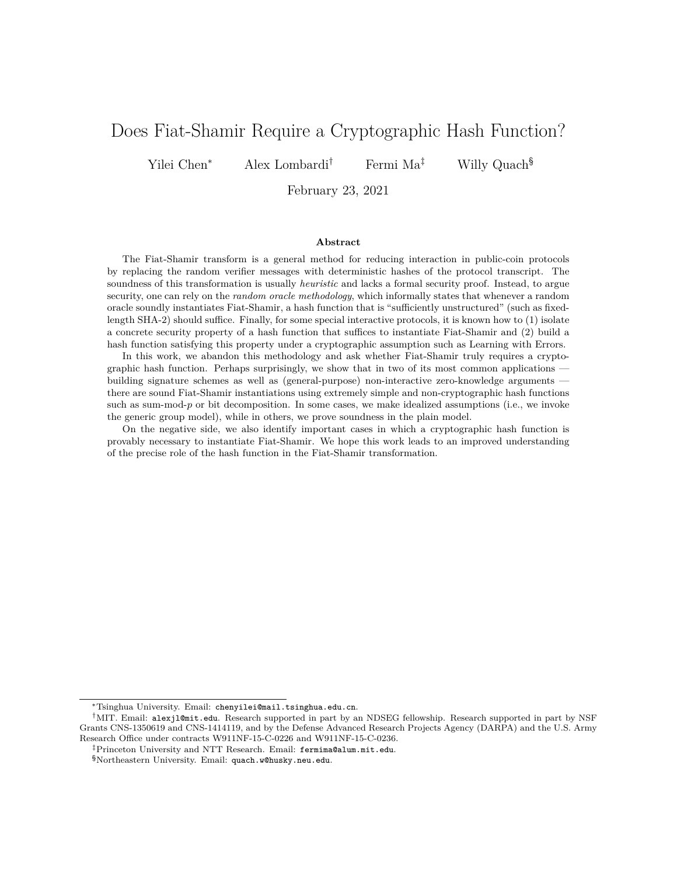# Does Fiat-Shamir Require a Cryptographic Hash Function?

Yilei Chen\* Alex Lombardi<sup>†</sup> Fermi Ma<sup>‡</sup> Willy Quach<sup>§</sup>

February 23, 2021

#### **Abstract**

The Fiat-Shamir transform is a general method for reducing interaction in public-coin protocols by replacing the random verifier messages with deterministic hashes of the protocol transcript. The soundness of this transformation is usually *heuristic* and lacks a formal security proof. Instead, to argue security, one can rely on the *random oracle methodology*, which informally states that whenever a random oracle soundly instantiates Fiat-Shamir, a hash function that is "sufficiently unstructured" (such as fixedlength SHA-2) should suffice. Finally, for some special interactive protocols, it is known how to (1) isolate a concrete security property of a hash function that suffices to instantiate Fiat-Shamir and (2) build a hash function satisfying this property under a cryptographic assumption such as Learning with Errors.

In this work, we abandon this methodology and ask whether Fiat-Shamir truly requires a cryptographic hash function. Perhaps surprisingly, we show that in two of its most common applications building signature schemes as well as (general-purpose) non-interactive zero-knowledge arguments there are sound Fiat-Shamir instantiations using extremely simple and non-cryptographic hash functions such as sum-mod- $p$  or bit decomposition. In some cases, we make idealized assumptions (i.e., we invoke the generic group model), while in others, we prove soundness in the plain model.

On the negative side, we also identify important cases in which a cryptographic hash function is provably necessary to instantiate Fiat-Shamir. We hope this work leads to an improved understanding of the precise role of the hash function in the Fiat-Shamir transformation.

<sup>\*</sup>Tsinghua University. Email: chenyilei@mail.tsinghua.edu.cn.

<sup>†</sup>MIT. Email: alexjl@mit.edu. Research supported in part by an NDSEG fellowship. Research supported in part by NSF Grants CNS-1350619 and CNS-1414119, and by the Defense Advanced Research Projects Agency (DARPA) and the U.S. Army Research Office under contracts W911NF-15-C-0226 and W911NF-15-C-0236.

<sup>‡</sup>Princeton University and NTT Research. Email: fermima@alum.mit.edu.

<sup>§</sup>Northeastern University. Email: quach.w@husky.neu.edu.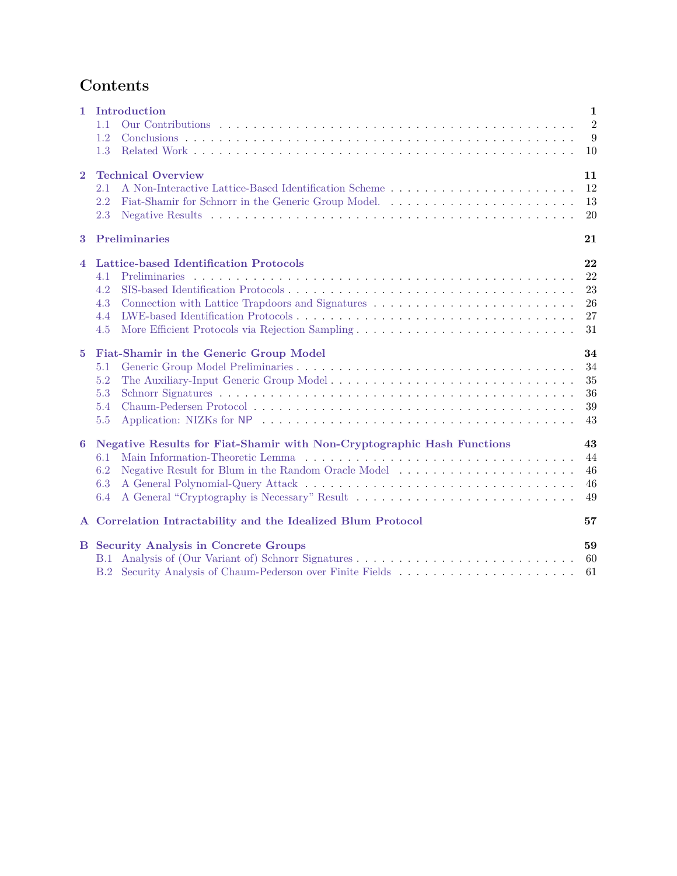# **Contents**

| $\mathbf{1}$   | Introduction<br>1.1<br>1.2<br>1.3                                                                                    | $\mathbf{1}$<br>$\overline{2}$<br>9<br>10 |  |  |
|----------------|----------------------------------------------------------------------------------------------------------------------|-------------------------------------------|--|--|
| $\overline{2}$ | <b>Technical Overview</b><br>2.1<br>2.2<br>2.3                                                                       | 11<br>12<br>13<br>20                      |  |  |
| 3              | Preliminaries<br>21                                                                                                  |                                           |  |  |
| $\overline{4}$ | Lattice-based Identification Protocols<br><b>Preliminaries</b><br>4.1<br>4.2<br>4.3<br>4.4<br>4.5                    | 22<br>22<br>23<br>26<br>27<br>31          |  |  |
| $\overline{5}$ | Fiat-Shamir in the Generic Group Model<br>5.1<br>5.2<br>The Auxiliary-Input Generic Group Model<br>5.3<br>5.4<br>5.5 | 34<br>34<br>35<br>36<br>39<br>43          |  |  |
| 6              | Negative Results for Fiat-Shamir with Non-Cryptographic Hash Functions<br>6.1<br>6.2<br>6.3<br>6.4                   | 43<br>44<br>46<br>46<br>49                |  |  |
|                | A Correlation Intractability and the Idealized Blum Protocol<br>57                                                   |                                           |  |  |
|                | <b>B</b> Security Analysis in Concrete Groups<br>B.1                                                                 | 59<br>60<br>61                            |  |  |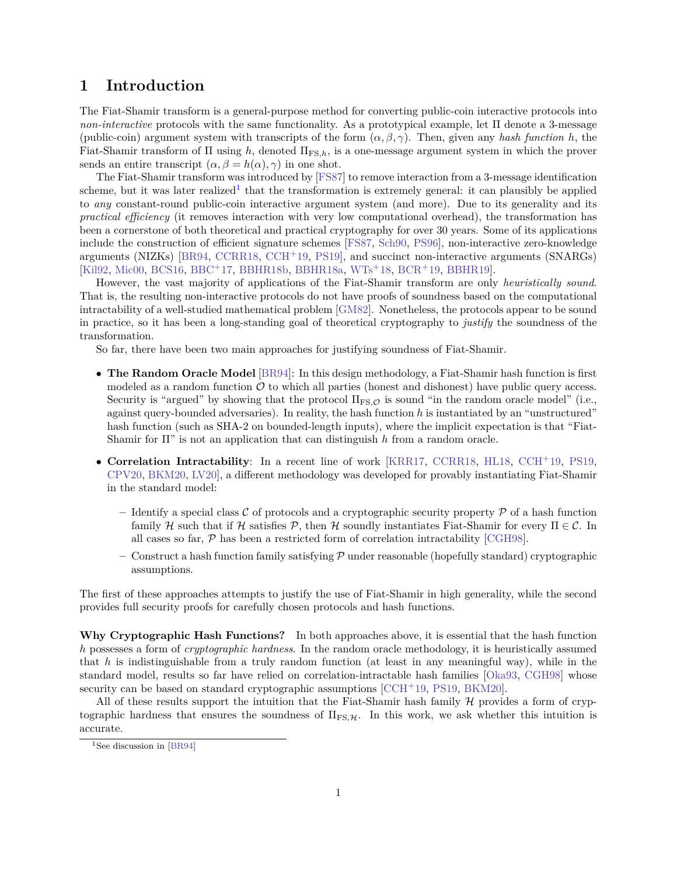## <span id="page-2-0"></span>**1 Introduction**

The Fiat-Shamir transform is a general-purpose method for converting public-coin interactive protocols into *non-interactive* protocols with the same functionality. As a prototypical example, let Π denote a 3-message (public-coin) argument system with transcripts of the form  $(\alpha, \beta, \gamma)$ . Then, given any *hash function h*, the Fiat-Shamir transform of Π using *ℎ*, denoted ΠFS*,ℎ*, is a one-message argument system in which the prover sends an entire transcript  $(\alpha, \beta = h(\alpha), \gamma)$  in one shot.

The Fiat-Shamir transform was introduced by [\[FS87\]](#page-56-0) to remove interaction from a 3-message identification scheme, but it was later realized<sup>[1](#page-2-1)</sup> that the transformation is extremely general: it can plausibly be applied to *any* constant-round public-coin interactive argument system (and more). Due to its generality and its *practical efficiency* (it removes interaction with very low computational overhead), the transformation has been a cornerstone of both theoretical and practical cryptography for over 30 years. Some of its applications include the construction of efficient signature schemes [\[FS87,](#page-56-0) [Sch90,](#page-58-1) [PS96\]](#page-58-2), non-interactive zero-knowledge arguments (NIZKs) [\[BR94,](#page-54-0) [CCRR18,](#page-54-1) [CCH](#page-54-2)<sup>+</sup>19, [PS19\]](#page-58-3), and succinct non-interactive arguments (SNARGs) [\[Kil92,](#page-56-1) [Mic00,](#page-57-0) [BCS16,](#page-54-3) [BBC](#page-53-0)<sup>+</sup>17, [BBHR18b,](#page-54-4) [BBHR18a,](#page-54-5) [WTs](#page-58-4)<sup>+</sup>18, [BCR](#page-54-6)<sup>+</sup>19, [BBHR19\]](#page-54-7).

However, the vast majority of applications of the Fiat-Shamir transform are only *heuristically sound*. That is, the resulting non-interactive protocols do not have proofs of soundness based on the computational intractability of a well-studied mathematical problem [\[GM82\]](#page-56-2). Nonetheless, the protocols appear to be sound in practice, so it has been a long-standing goal of theoretical cryptography to *justify* the soundness of the transformation.

So far, there have been two main approaches for justifying soundness of Fiat-Shamir.

- ∙ **The Random Oracle Model** [\[BR94\]](#page-54-0): In this design methodology, a Fiat-Shamir hash function is first modeled as a random function  $\mathcal O$  to which all parties (honest and dishonest) have public query access. Security is "argued" by showing that the protocol Π<sub>FS</sub>  $\phi$  is sound "in the random oracle model" (i.e., against query-bounded adversaries). In reality, the hash function *ℎ* is instantiated by an "unstructured" hash function (such as SHA-2 on bounded-length inputs), where the implicit expectation is that "Fiat-Shamir for Π" is not an application that can distinguish *ℎ* from a random oracle.
- ∙ **Correlation Intractability**: In a recent line of work [\[KRR17,](#page-57-1) [CCRR18,](#page-54-1) [HL18,](#page-56-3) [CCH](#page-54-2)<sup>+</sup>19, [PS19,](#page-58-3) [CPV20,](#page-55-0) [BKM20,](#page-54-8) [LV20\]](#page-57-2), a different methodology was developed for provably instantiating Fiat-Shamir in the standard model:
	- Identify a special class C of protocols and a cryptographic security property  $P$  of a hash function family *H* such that if *H* satisfies  $\mathcal{P}$ , then *H* soundly instantiates Fiat-Shamir for every  $\Pi \in \mathcal{C}$ . In all cases so far,  $P$  has been a restricted form of correlation intractability [\[CGH98\]](#page-55-1).
	- $-$  Construct a hash function family satisfying  $\mathcal P$  under reasonable (hopefully standard) cryptographic assumptions.

The first of these approaches attempts to justify the use of Fiat-Shamir in high generality, while the second provides full security proofs for carefully chosen protocols and hash functions.

**Why Cryptographic Hash Functions?** In both approaches above, it is essential that the hash function *ℎ* possesses a form of *cryptographic hardness*. In the random oracle methodology, it is heuristically assumed that *ℎ* is indistinguishable from a truly random function (at least in any meaningful way), while in the standard model, results so far have relied on correlation-intractable hash families [\[Oka93,](#page-58-5) [CGH98\]](#page-55-1) whose security can be based on standard cryptographic assumptions  $[CCH<sup>+</sup>19, PS19, BKM20]$  $[CCH<sup>+</sup>19, PS19, BKM20]$  $[CCH<sup>+</sup>19, PS19, BKM20]$  $[CCH<sup>+</sup>19, PS19, BKM20]$  $[CCH<sup>+</sup>19, PS19, BKM20]$ .

All of these results support the intuition that the Fiat-Shamir hash family  $\mathcal H$  provides a form of cryptographic hardness that ensures the soundness of  $\Pi_{FS,H}$ . In this work, we ask whether this intuition is accurate.

<span id="page-2-1"></span><sup>&</sup>lt;sup>1</sup>See discussion in [\[BR94\]](#page-54-0)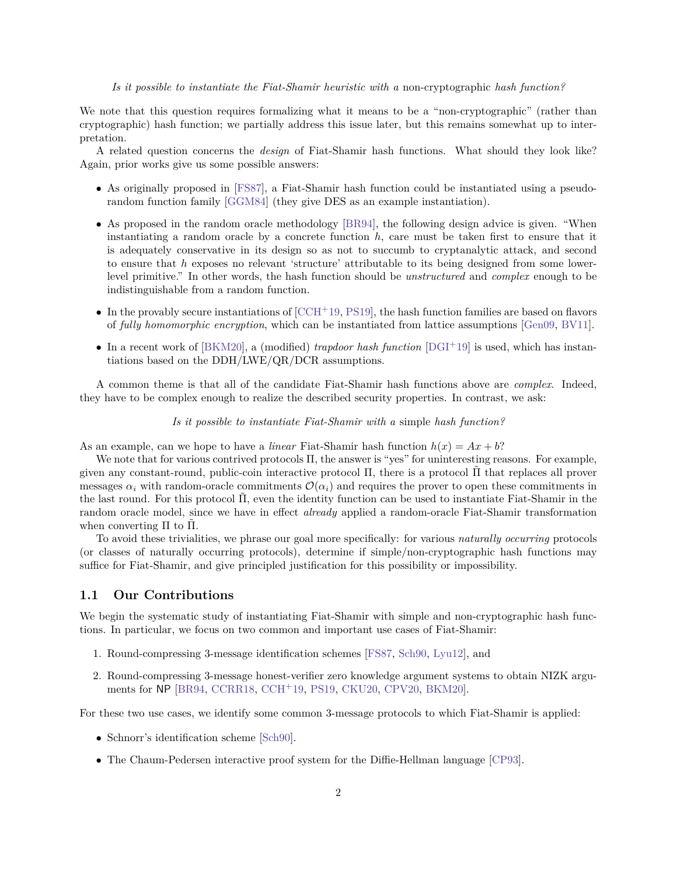#### *Is it possible to instantiate the Fiat-Shamir heuristic with a* non-cryptographic *hash function?*

We note that this question requires formalizing what it means to be a "non-cryptographic" (rather than cryptographic) hash function; we partially address this issue later, but this remains somewhat up to interpretation.

A related question concerns the *design* of Fiat-Shamir hash functions. What should they look like? Again, prior works give us some possible answers:

- ∙ As originally proposed in [\[FS87\]](#page-56-0), a Fiat-Shamir hash function could be instantiated using a pseudorandom function family [\[GGM84\]](#page-56-4) (they give DES as an example instantiation).
- ∙ As proposed in the random oracle methodology [\[BR94\]](#page-54-0), the following design advice is given. "When instantiating a random oracle by a concrete function *ℎ*, care must be taken first to ensure that it is adequately conservative in its design so as not to succumb to cryptanalytic attack, and second to ensure that *ℎ* exposes no relevant 'structure' attributable to its being designed from some lowerlevel primitive." In other words, the hash function should be *unstructured* and *complex* enough to be indistinguishable from a random function.
- In the provably secure instantiations of  $[CCH+19, PS19]$  $[CCH+19, PS19]$  $[CCH+19, PS19]$ , the hash function families are based on flavors of *fully homomorphic encryption*, which can be instantiated from lattice assumptions [\[Gen09,](#page-56-5) [BV11\]](#page-54-9).
- ∙ In a recent work of [\[BKM20\]](#page-54-8), a (modified) *trapdoor hash function* [\[DGI](#page-55-2)<sup>+</sup>19] is used, which has instantiations based on the DDH/LWE/QR/DCR assumptions.

A common theme is that all of the candidate Fiat-Shamir hash functions above are *complex*. Indeed, they have to be complex enough to realize the described security properties. In contrast, we ask:

*Is it possible to instantiate Fiat-Shamir with a* simple *hash function?*

As an example, can we hope to have a *linear* Fiat-Shamir hash function  $h(x) = Ax + b$ ?

We note that for various contrived protocols Π, the answer is "yes" for uninteresting reasons. For example, given any constant-round, public-coin interactive protocol  $\Pi$ , there is a protocol  $\Pi$  that replaces all prover messages  $\alpha_i$  with random-oracle commitments  $\mathcal{O}(\alpha_i)$  and requires the prover to open these commitments in the last round. For this protocol  $\Pi$ , even the identity function can be used to instantiate Fiat-Shamir in the random oracle model, since we have in effect *already* applied a random-oracle Fiat-Shamir transformation when converting  $\Pi$  to  $\Pi$ .

To avoid these trivialities, we phrase our goal more specifically: for various *naturally occurring* protocols (or classes of naturally occurring protocols), determine if simple/non-cryptographic hash functions may suffice for Fiat-Shamir, and give principled justification for this possibility or impossibility.

## <span id="page-3-0"></span>**1.1 Our Contributions**

We begin the systematic study of instantiating Fiat-Shamir with simple and non-cryptographic hash functions. In particular, we focus on two common and important use cases of Fiat-Shamir:

- 1. Round-compressing 3-message identification schemes [\[FS87,](#page-56-0) [Sch90,](#page-58-1) [Lyu12\]](#page-57-3), and
- 2. Round-compressing 3-message honest-verifier zero knowledge argument systems to obtain NIZK arguments for NP [\[BR94,](#page-54-0) [CCRR18,](#page-54-1) [CCH](#page-54-2)<sup>+</sup>19, [PS19,](#page-58-3) [CKU20,](#page-55-3) [CPV20,](#page-55-0) [BKM20\]](#page-54-8).

For these two use cases, we identify some common 3-message protocols to which Fiat-Shamir is applied:

- ∙ Schnorr's identification scheme [\[Sch90\]](#page-58-1).
- ∙ The Chaum-Pedersen interactive proof system for the Diffie-Hellman language [\[CP93\]](#page-55-4).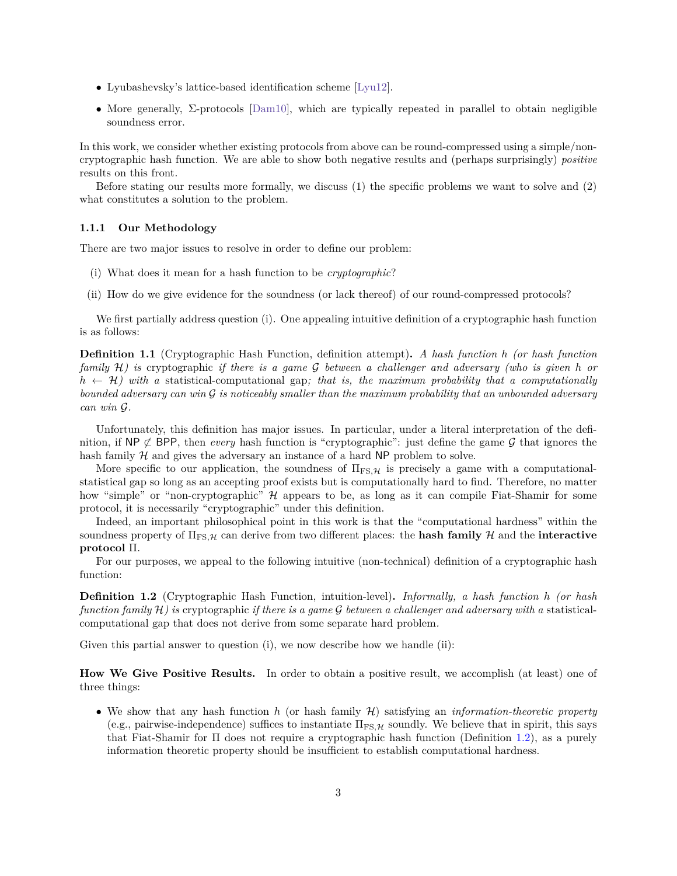- ∙ Lyubashevsky's lattice-based identification scheme [\[Lyu12\]](#page-57-3).
- ∙ More generally, Σ-protocols [\[Dam10\]](#page-55-5), which are typically repeated in parallel to obtain negligible soundness error.

In this work, we consider whether existing protocols from above can be round-compressed using a simple/noncryptographic hash function. We are able to show both negative results and (perhaps surprisingly) *positive* results on this front.

Before stating our results more formally, we discuss (1) the specific problems we want to solve and (2) what constitutes a solution to the problem.

#### **1.1.1 Our Methodology**

There are two major issues to resolve in order to define our problem:

- (i) What does it mean for a hash function to be *cryptographic*?
- (ii) How do we give evidence for the soundness (or lack thereof) of our round-compressed protocols?

We first partially address question (i). One appealing intuitive definition of a cryptographic hash function is as follows:

**Definition 1.1** (Cryptographic Hash Function, definition attempt)**.** *A hash function ℎ (or hash function family* ℋ*) is* cryptographic *if there is a game between a challenger and adversary (who is given ℎ or*  $h \leftarrow \mathcal{H}$ ) with a statistical-computational gap; that is, the maximum probability that a computationally *bounded adversary can win is noticeably smaller than the maximum probability that an unbounded adversary*  $can$  *win*  $\mathcal{G}$ *.* 

Unfortunately, this definition has major issues. In particular, under a literal interpretation of the definition, if NP  $\not\subset$  BPP, then *every* hash function is "cryptographic": just define the game  $\mathcal G$  that ignores the hash family  $H$  and gives the adversary an instance of a hard NP problem to solve.

More specific to our application, the soundness of  $\Pi_{FS,H}$  is precisely a game with a computationalstatistical gap so long as an accepting proof exists but is computationally hard to find. Therefore, no matter how "simple" or "non-cryptographic" H appears to be, as long as it can compile Fiat-Shamir for some protocol, it is necessarily "cryptographic" under this definition.

Indeed, an important philosophical point in this work is that the "computational hardness" within the soundness property of  $\Pi_{FS, H}$  can derive from two different places: the **hash family**  $H$  and the **interactive protocol** Π.

For our purposes, we appeal to the following intuitive (non-technical) definition of a cryptographic hash function:

<span id="page-4-0"></span>**Definition 1.2** (Cryptographic Hash Function, intuition-level)**.** *Informally, a hash function ℎ (or hash function family*  $H$ *) is* cryptographic *if there is a game*  $G$  between a challenger and adversary with a statisticalcomputational gap that does not derive from some separate hard problem*.*

Given this partial answer to question (i), we now describe how we handle (ii):

**How We Give Positive Results.** In order to obtain a positive result, we accomplish (at least) one of three things:

∙ We show that any hash function *ℎ* (or hash family ℋ) satisfying an *information-theoretic property* (e.g., pairwise-independence) suffices to instantiate  $\Pi_{FS,H}$  soundly. We believe that in spirit, this says that Fiat-Shamir for Π does not require a cryptographic hash function (Definition [1.2\)](#page-4-0), as a purely information theoretic property should be insufficient to establish computational hardness.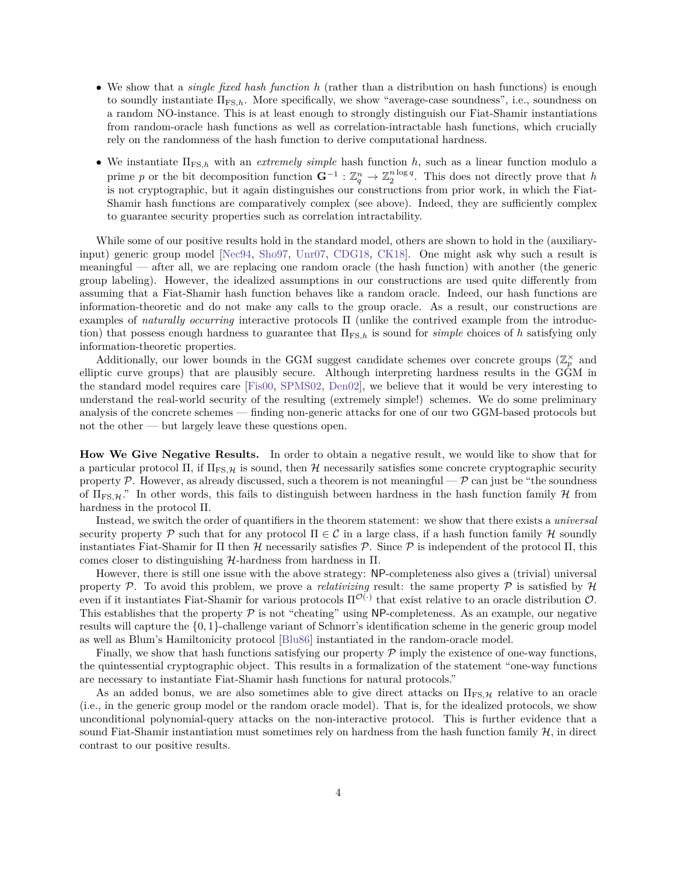- ∙ We show that a *single fixed hash function ℎ* (rather than a distribution on hash functions) is enough to soundly instantiate ΠFS*,ℎ*. More specifically, we show "average-case soundness", i.e., soundness on a random NO-instance. This is at least enough to strongly distinguish our Fiat-Shamir instantiations from random-oracle hash functions as well as correlation-intractable hash functions, which crucially rely on the randomness of the hash function to derive computational hardness.
- ∙ We instantiate ΠFS*,ℎ* with an *extremely simple* hash function *ℎ*, such as a linear function modulo a prime *p* or the bit decomposition function  $\mathbf{G}^{-1} : \mathbb{Z}_q^n \to \mathbb{Z}_2^{n \log q}$ . This does not directly prove that *h* is not cryptographic, but it again distinguishes our constructions from prior work, in which the Fiat-Shamir hash functions are comparatively complex (see above). Indeed, they are sufficiently complex to guarantee security properties such as correlation intractability.

While some of our positive results hold in the standard model, others are shown to hold in the (auxiliaryinput) generic group model [\[Nec94,](#page-57-4) [Sho97,](#page-58-6) [Unr07,](#page-58-7) [CDG18,](#page-55-6) [CK18\]](#page-55-7). One might ask why such a result is meaningful — after all, we are replacing one random oracle (the hash function) with another (the generic group labeling). However, the idealized assumptions in our constructions are used quite differently from assuming that a Fiat-Shamir hash function behaves like a random oracle. Indeed, our hash functions are information-theoretic and do not make any calls to the group oracle. As a result, our constructions are examples of *naturally occurring* interactive protocols Π (unlike the contrived example from the introduction) that possess enough hardness to guarantee that  $\Pi_{FS,h}$  is sound for *simple* choices of *h* satisfying only information-theoretic properties.

Additionally, our lower bounds in the GGM suggest candidate schemes over concrete groups  $(\mathbb{Z}_p^{\times})$  and elliptic curve groups) that are plausibly secure. Although interpreting hardness results in the GGM in the standard model requires care [\[Fis00,](#page-56-6) [SPMS02,](#page-58-8) [Den02\]](#page-55-8), we believe that it would be very interesting to understand the real-world security of the resulting (extremely simple!) schemes. We do some preliminary analysis of the concrete schemes — finding non-generic attacks for one of our two GGM-based protocols but not the other — but largely leave these questions open.

**How We Give Negative Results.** In order to obtain a negative result, we would like to show that for a particular protocol  $\Pi$ , if  $\Pi_{FS,\mathcal{H}}$  is sound, then  $\mathcal{H}$  necessarily satisfies some concrete cryptographic security property  $P$ . However, as already discussed, such a theorem is not meaningful  $-P$  can just be "the soundness" of  $\Pi_{\text{FS},\mathcal{H}}$ ." In other words, this fails to distinguish between hardness in the hash function family  $\mathcal{H}$  from hardness in the protocol Π.

Instead, we switch the order of quantifiers in the theorem statement: we show that there exists a *universal* security property  $\mathcal P$  such that for any protocol  $\Pi \in \mathcal C$  in a large class, if a hash function family  $\mathcal H$  soundly instantiates Fiat-Shamir for Π then  $\mathcal H$  necessarily satisfies  $\mathcal P$ . Since  $\mathcal P$  is independent of the protocol Π, this comes closer to distinguishing  $H$ -hardness from hardness in  $\Pi$ .

However, there is still one issue with the above strategy: NP-completeness also gives a (trivial) universal property  $P$ . To avoid this problem, we prove a *relativizing* result: the same property  $P$  is satisfied by  $H$ even if it instantiates Fiat-Shamir for various protocols  $\Pi^{\mathcal{O}(\cdot)}$  that exist relative to an oracle distribution  $\mathcal{O}$ . This establishes that the property  $P$  is not "cheating" using NP-completeness. As an example, our negative results will capture the {0*,* 1}-challenge variant of Schnorr's identification scheme in the generic group model as well as Blum's Hamiltonicity protocol [\[Blu86\]](#page-54-10) instantiated in the random-oracle model.

Finally, we show that hash functions satisfying our property  $\mathcal P$  imply the existence of one-way functions. the quintessential cryptographic object. This results in a formalization of the statement "one-way functions are necessary to instantiate Fiat-Shamir hash functions for natural protocols."

As an added bonus, we are also sometimes able to give direct attacks on  $\Pi_{FS, H}$  relative to an oracle (i.e., in the generic group model or the random oracle model). That is, for the idealized protocols, we show unconditional polynomial-query attacks on the non-interactive protocol. This is further evidence that a sound Fiat-Shamir instantiation must sometimes rely on hardness from the hash function family  $\mathcal{H}$ , in direct contrast to our positive results.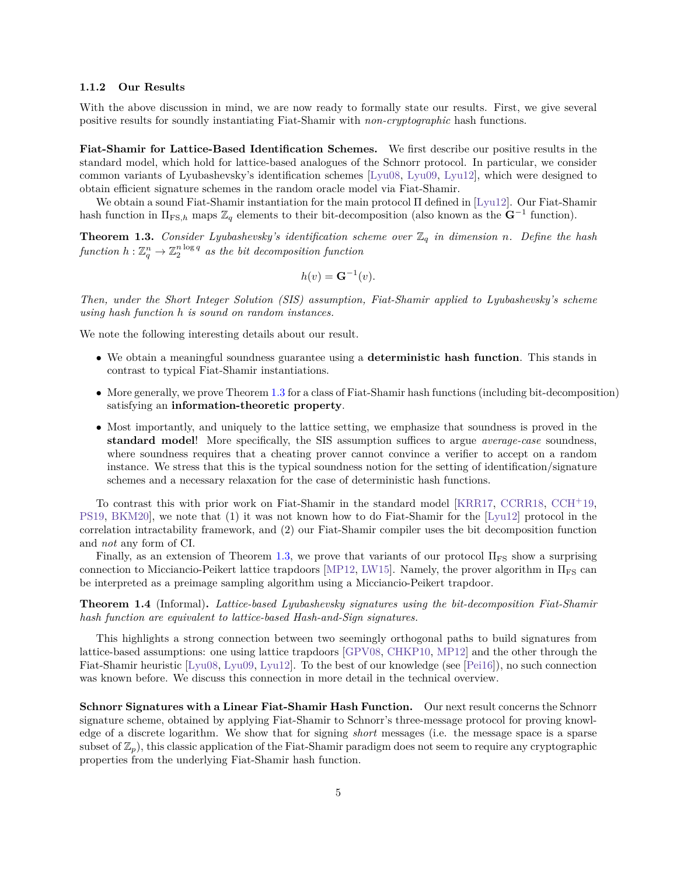#### **1.1.2 Our Results**

With the above discussion in mind, we are now ready to formally state our results. First, we give several positive results for soundly instantiating Fiat-Shamir with *non-cryptographic* hash functions.

**Fiat-Shamir for Lattice-Based Identification Schemes.** We first describe our positive results in the standard model, which hold for lattice-based analogues of the Schnorr protocol. In particular, we consider common variants of Lyubashevsky's identification schemes [\[Lyu08,](#page-57-5) [Lyu09,](#page-57-6) [Lyu12\]](#page-57-3), which were designed to obtain efficient signature schemes in the random oracle model via Fiat-Shamir.

We obtain a sound Fiat-Shamir instantiation for the main protocol Π defined in [\[Lyu12\]](#page-57-3). Our Fiat-Shamir hash function in  $\Pi_{\text{FS},h}$  maps  $\mathbb{Z}_q$  elements to their bit-decomposition (also known as the  $\mathbf{G}^{-1}$  function).

<span id="page-6-0"></span>**Theorem 1.3.** *Consider Lyubashevsky's identification scheme over*  $\mathbb{Z}_q$  *in dimension n. Define the hash*  $\mathit{function}\,\, h:\mathbb{Z}_q^n\rightarrow\mathbb{Z}_2^{n\log q}\,\, \mathit{as}\,\,the\,\,bit\,\,de{decomposition}\,\,function$ 

$$
h(v) = \mathbf{G}^{-1}(v).
$$

*Then, under the Short Integer Solution (SIS) assumption, Fiat-Shamir applied to Lyubashevsky's scheme using hash function ℎ is sound on random instances.*

We note the following interesting details about our result.

- ∙ We obtain a meaningful soundness guarantee using a **deterministic hash function**. This stands in contrast to typical Fiat-Shamir instantiations.
- ∙ More generally, we prove Theorem [1.3](#page-6-0) for a class of Fiat-Shamir hash functions (including bit-decomposition) satisfying an **information-theoretic property**.
- ∙ Most importantly, and uniquely to the lattice setting, we emphasize that soundness is proved in the **standard model**! More specifically, the SIS assumption suffices to argue *average-case* soundness, where soundness requires that a cheating prover cannot convince a verifier to accept on a random instance. We stress that this is the typical soundness notion for the setting of identification/signature schemes and a necessary relaxation for the case of deterministic hash functions.

To contrast this with prior work on Fiat-Shamir in the standard model [\[KRR17,](#page-57-1) [CCRR18,](#page-54-1) [CCH](#page-54-2)<sup>+</sup>19, [PS19,](#page-58-3) [BKM20\]](#page-54-8), we note that (1) it was not known how to do Fiat-Shamir for the [\[Lyu12\]](#page-57-3) protocol in the correlation intractability framework, and (2) our Fiat-Shamir compiler uses the bit decomposition function and *not* any form of CI.

Finally, as an extension of Theorem [1.3,](#page-6-0) we prove that variants of our protocol  $\Pi_{FS}$  show a surprising connection to Micciancio-Peikert lattice trapdoors [\[MP12,](#page-57-7) [LW15\]](#page-57-8). Namely, the prover algorithm in  $\Pi_{\text{FS}}$  can be interpreted as a preimage sampling algorithm using a Micciancio-Peikert trapdoor.

**Theorem 1.4** (Informal)**.** *Lattice-based Lyubashevsky signatures using the bit-decomposition Fiat-Shamir hash function are equivalent to lattice-based Hash-and-Sign signatures.*

This highlights a strong connection between two seemingly orthogonal paths to build signatures from lattice-based assumptions: one using lattice trapdoors [\[GPV08,](#page-56-7) [CHKP10,](#page-55-9) [MP12\]](#page-57-7) and the other through the Fiat-Shamir heuristic [\[Lyu08,](#page-57-5) [Lyu09,](#page-57-6) [Lyu12\]](#page-57-3). To the best of our knowledge (see [\[Pei16\]](#page-58-9)), no such connection was known before. We discuss this connection in more detail in the technical overview.

**Schnorr Signatures with a Linear Fiat-Shamir Hash Function.** Our next result concerns the Schnorr signature scheme, obtained by applying Fiat-Shamir to Schnorr's three-message protocol for proving knowledge of a discrete logarithm. We show that for signing *short* messages (i.e. the message space is a sparse subset of  $\mathbb{Z}_p$ , this classic application of the Fiat-Shamir paradigm does not seem to require any cryptographic properties from the underlying Fiat-Shamir hash function.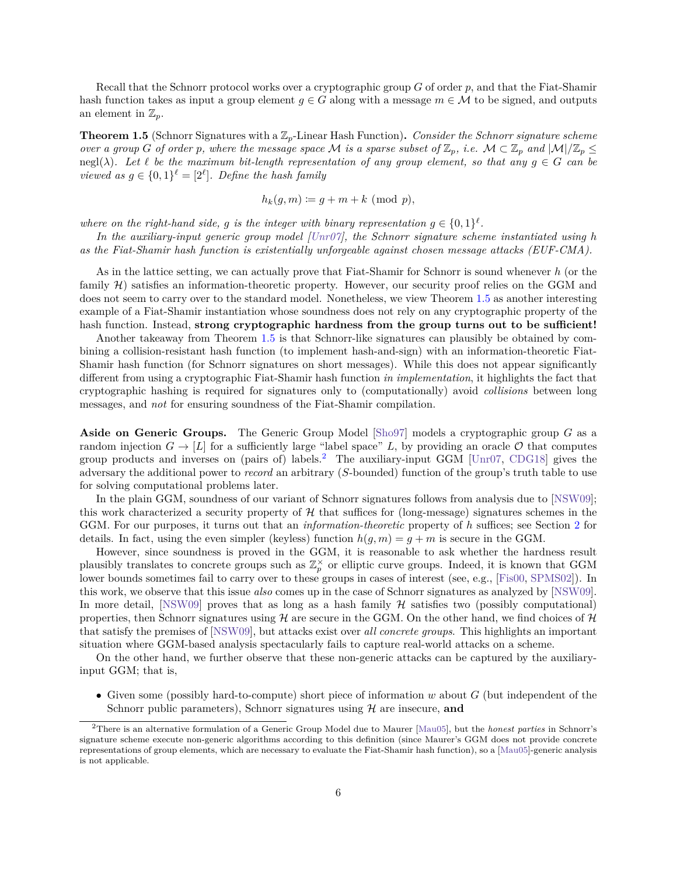Recall that the Schnorr protocol works over a cryptographic group  $G$  of order  $p$ , and that the Fiat-Shamir hash function takes as input a group element  $g \in G$  along with a message  $m \in \mathcal{M}$  to be signed, and outputs an element in  $\mathbb{Z}_p$ .

<span id="page-7-0"></span>**Theorem 1.5** (Schnorr Signatures with a  $\mathbb{Z}_p$ -Linear Hash Function). *Consider the Schnorr signature scheme over a group* G of order *p*, where the message space M is a sparse subset of  $\mathbb{Z}_p$ , i.e.  $\mathcal{M} \subset \mathbb{Z}_p$  and  $|\mathcal{M}|/\mathbb{Z}_p \leq$ negl( $\lambda$ ). Let  $\ell$  be the maximum bit-length representation of any group element, so that any  $g \in G$  can be *viewed as*  $g \in \{0,1\}^{\ell} = [2^{\ell}]$ . Define the hash family

$$
h_k(g,m) \coloneqq g + m + k \pmod{p},
$$

where on the right-hand side, g is the integer with binary representation  $g \in \{0,1\}^{\ell}$ .

*In the auxiliary-input generic group model [\[Unr07\]](#page-58-7), the Schnorr signature scheme instantiated using ℎ as the Fiat-Shamir hash function is existentially unforgeable against chosen message attacks (EUF-CMA).*

As in the lattice setting, we can actually prove that Fiat-Shamir for Schnorr is sound whenever *ℎ* (or the family  $\mathcal{H}$ ) satisfies an information-theoretic property. However, our security proof relies on the GGM and does not seem to carry over to the standard model. Nonetheless, we view Theorem [1.5](#page-7-0) as another interesting example of a Fiat-Shamir instantiation whose soundness does not rely on any cryptographic property of the hash function. Instead, **strong cryptographic hardness from the group turns out to be sufficient!**

Another takeaway from Theorem [1.5](#page-7-0) is that Schnorr-like signatures can plausibly be obtained by combining a collision-resistant hash function (to implement hash-and-sign) with an information-theoretic Fiat-Shamir hash function (for Schnorr signatures on short messages). While this does not appear significantly different from using a cryptographic Fiat-Shamir hash function *in implementation*, it highlights the fact that cryptographic hashing is required for signatures only to (computationally) avoid *collisions* between long messages, and *not* for ensuring soundness of the Fiat-Shamir compilation.

**Aside on Generic Groups.** The Generic Group Model  $[\text{Sho97}]$  models a cryptographic group G as a random injection  $G \to [L]$  for a sufficiently large "label space" L, by providing an oracle  $\mathcal O$  that computes group products and inverses on (pairs of) labels.<sup>[2](#page-7-1)</sup> The auxiliary-input GGM [\[Unr07,](#page-58-7) [CDG18\]](#page-55-6) gives the adversary the additional power to *record* an arbitrary (S-bounded) function of the group's truth table to use for solving computational problems later.

In the plain GGM, soundness of our variant of Schnorr signatures follows from analysis due to [\[NSW09\]](#page-58-10); this work characterized a security property of  $\mathcal{H}$  that suffices for (long-message) signatures schemes in the GGM. For our purposes, it turns out that an *information-theoretic* property of *ℎ* suffices; see Section [2](#page-12-0) for details. In fact, using the even simpler (keyless) function  $h(g, m) = g + m$  is secure in the GGM.

However, since soundness is proved in the GGM, it is reasonable to ask whether the hardness result plausibly translates to concrete groups such as  $\mathbb{Z}_p^{\times}$  or elliptic curve groups. Indeed, it is known that GGM lower bounds sometimes fail to carry over to these groups in cases of interest (see, e.g., [\[Fis00,](#page-56-6) [SPMS02\]](#page-58-8)). In this work, we observe that this issue *also* comes up in the case of Schnorr signatures as analyzed by [\[NSW09\]](#page-58-10). In more detail, [\[NSW09\]](#page-58-10) proves that as long as a hash family  $\mathcal H$  satisfies two (possibly computational) properties, then Schnorr signatures using  $\mathcal H$  are secure in the GGM. On the other hand, we find choices of  $\mathcal H$ that satisfy the premises of [\[NSW09\]](#page-58-10), but attacks exist over *all concrete groups*. This highlights an important situation where GGM-based analysis spectacularly fails to capture real-world attacks on a scheme.

On the other hand, we further observe that these non-generic attacks can be captured by the auxiliaryinput GGM; that is,

• Given some (possibly hard-to-compute) short piece of information  $w$  about  $G$  (but independent of the Schnorr public parameters), Schnorr signatures using  $\mathcal{H}$  are insecure, **and** 

<span id="page-7-1"></span><sup>2</sup>There is an alternative formulation of a Generic Group Model due to Maurer [\[Mau05\]](#page-57-9), but the *honest parties* in Schnorr's signature scheme execute non-generic algorithms according to this definition (since Maurer's GGM does not provide concrete representations of group elements, which are necessary to evaluate the Fiat-Shamir hash function), so a [\[Mau05\]](#page-57-9)-generic analysis is not applicable.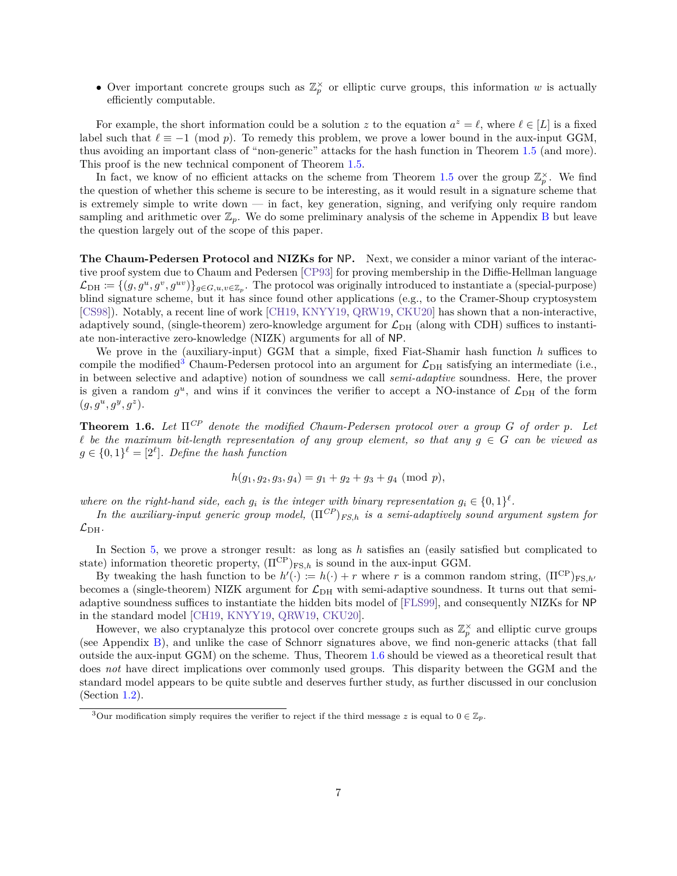• Over important concrete groups such as  $\mathbb{Z}_p^{\times}$  or elliptic curve groups, this information w is actually efficiently computable.

For example, the short information could be a solution z to the equation  $a^z = \ell$ , where  $\ell \in [L]$  is a fixed label such that  $\ell \equiv -1 \pmod{p}$ . To remedy this problem, we prove a lower bound in the aux-input GGM, thus avoiding an important class of "non-generic" attacks for the hash function in Theorem [1.5](#page-7-0) (and more). This proof is the new technical component of Theorem [1.5.](#page-7-0)

In fact, we know of no efficient attacks on the scheme from Theorem [1.5](#page-7-0) over the group  $\mathbb{Z}_p^{\times}$ . We find the question of whether this scheme is secure to be interesting, as it would result in a signature scheme that is extremely simple to write down — in fact, key generation, signing, and verifying only require random sampling and arithmetic over  $\mathbb{Z}_p$ . We do some preliminary analysis of the scheme in Appendix [B](#page-60-0) but leave the question largely out of the scope of this paper.

**The Chaum-Pedersen Protocol and NIZKs for** NP**.** Next, we consider a minor variant of the interactive proof system due to Chaum and Pedersen [\[CP93\]](#page-55-4) for proving membership in the Diffie-Hellman language  $\mathcal{L}_{\text{DH}} \coloneqq \{(g, g^u, g^v, g^{uv})\}_{g \in G, u, v \in \mathbb{Z}_p}$ . The protocol was originally introduced to instantiate a (special-purpose) blind signature scheme, but it has since found other applications (e.g., to the Cramer-Shoup cryptosystem [\[CS98\]](#page-55-10)). Notably, a recent line of work [\[CH19,](#page-55-11) [KNYY19,](#page-57-10) [QRW19,](#page-58-11) [CKU20\]](#page-55-3) has shown that a non-interactive, adaptively sound, (single-theorem) zero-knowledge argument for  $\mathcal{L}_{\text{DH}}$  (along with CDH) suffices to instantiate non-interactive zero-knowledge (NIZK) arguments for all of NP.

We prove in the (auxiliary-input) GGM that a simple, fixed Fiat-Shamir hash function *ℎ* suffices to compile the modified<sup>[3](#page-8-0)</sup> Chaum-Pedersen protocol into an argument for  $\mathcal{L}_{\text{DH}}$  satisfying an intermediate (i.e., in between selective and adaptive) notion of soundness we call *semi-adaptive* soundness. Here, the prover is given a random  $g^u$ , and wins if it convinces the verifier to accept a NO-instance of  $\mathcal{L}_{\text{DH}}$  of the form  $(g, g^u, g^y, g^z).$ 

<span id="page-8-1"></span>**Theorem 1.6.** *Let*  $\Pi^{CP}$  *denote the modified Chaum-Pedersen protocol over a group G of order p*. Let  $\ell$  be the maximum bit-length representation of any group element, so that any  $q \in G$  can be viewed as  $g \in \{0,1\}^{\ell} = [2^{\ell}]$ . Define the hash function

$$
h(g_1, g_2, g_3, g_4) = g_1 + g_2 + g_3 + g_4 \pmod{p},
$$

where on the right-hand side, each  $g_i$  is the integer with binary representation  $g_i \in \{0,1\}^{\ell}$ .

*In the auxiliary-input generic group model,*  $(\Pi^{CP})_{FS,h}$  *is a semi-adaptively sound argument system for*  $\mathcal{L}_{\rm DH}$ .

In Section [5,](#page-35-0) we prove a stronger result: as long as *h* satisfies an (easily satisfied but complicated to state) information theoretic property,  $(\Pi^{\text{CP}})_{\text{FS},h}$  is sound in the aux-input GGM.

By tweaking the hash function to be  $h'(\cdot) := h(\cdot) + r$  where r is a common random string,  $(\Pi^{\text{CP}})_{\text{FS},h'}$ becomes a (single-theorem) NIZK argument for  $\mathcal{L}_{DH}$  with semi-adaptive soundness. It turns out that semiadaptive soundness suffices to instantiate the hidden bits model of [\[FLS99\]](#page-56-8), and consequently NIZKs for NP in the standard model [\[CH19,](#page-55-11) [KNYY19,](#page-57-10) [QRW19,](#page-58-11) [CKU20\]](#page-55-3).

However, we also cryptanalyze this protocol over concrete groups such as  $\mathbb{Z}_p^{\times}$  and elliptic curve groups (see Appendix [B\)](#page-60-0), and unlike the case of Schnorr signatures above, we find non-generic attacks (that fall outside the aux-input GGM) on the scheme. Thus, Theorem [1.6](#page-8-1) should be viewed as a theoretical result that does *not* have direct implications over commonly used groups. This disparity between the GGM and the standard model appears to be quite subtle and deserves further study, as further discussed in our conclusion (Section [1.2\)](#page-10-0).

<span id="page-8-0"></span><sup>&</sup>lt;sup>3</sup>Our modification simply requires the verifier to reject if the third message z is equal to  $0 \in \mathbb{Z}_p$ .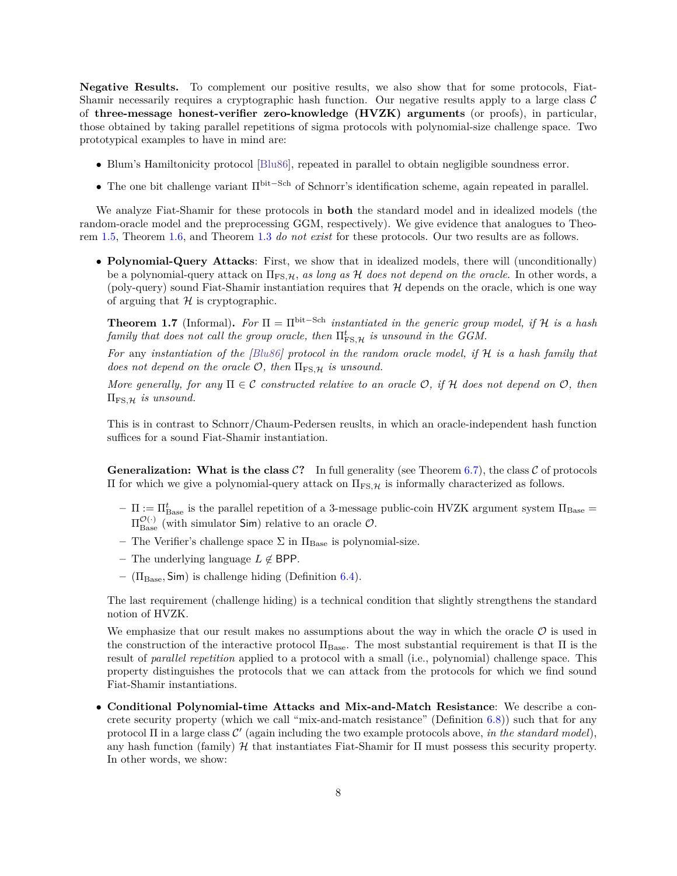**Negative Results.** To complement our positive results, we also show that for some protocols, Fiat-Shamir necessarily requires a cryptographic hash function. Our negative results apply to a large class  $\mathcal C$ of **three-message honest-verifier zero-knowledge (HVZK) arguments** (or proofs), in particular, those obtained by taking parallel repetitions of sigma protocols with polynomial-size challenge space. Two prototypical examples to have in mind are:

- ∙ Blum's Hamiltonicity protocol [\[Blu86\]](#page-54-10), repeated in parallel to obtain negligible soundness error.
- ∙ The one bit challenge variant Πbit−Sch of Schnorr's identification scheme, again repeated in parallel.

We analyze Fiat-Shamir for these protocols in **both** the standard model and in idealized models (the random-oracle model and the preprocessing GGM, respectively). We give evidence that analogues to Theorem [1.5,](#page-7-0) Theorem [1.6,](#page-8-1) and Theorem [1.3](#page-6-0) *do not exist* for these protocols. Our two results are as follows.

∙ **Polynomial-Query Attacks**: First, we show that in idealized models, there will (unconditionally) be a polynomial-query attack on Π<sub>FS</sub><sub>*H*</sub>, *as long as H does not depend on the oracle*. In other words, a (poly-query) sound Fiat-Shamir instantiation requires that  $\mathcal H$  depends on the oracle, which is one way of arguing that  $H$  is cryptographic.

<span id="page-9-1"></span>**Theorem 1.7** (Informal). For  $\Pi = \Pi^{\text{bit-Sch}}$  *instantiated in the generic group model, if*  $\mathcal{H}$  *is a hash family that does not call the group oracle, then*  $\Pi_{\textrm{FS},\mathcal{H}}^{t}$  *is unsound in the GGM.* 

*For* any *instantiation of the [\[Blu86\]](#page-54-10)* protocol in the random oracle model, if H is a hash family that *does not depend on the oracle*  $\mathcal{O}$ *, then*  $\Pi_{\text{FS},\mathcal{H}}$  *is unsound.* 

*More generally, for any*  $\Pi \in \mathcal{C}$  *constructed relative to an oracle*  $\mathcal{O}$ *, if*  $\mathcal{H}$  *does not depend on*  $\mathcal{O}$ *, then*  $\Pi_{\text{FS},\mathcal{H}}$  *is unsound.* 

This is in contrast to Schnorr/Chaum-Pedersen reuslts, in which an oracle-independent hash function suffices for a sound Fiat-Shamir instantiation.

**Generalization: What is the class**  $C$ **?** In full generality (see Theorem [6.7\)](#page-49-0), the class  $C$  of protocols II for which we give a polynomial-query attack on  $\Pi_{FS,μ}$  is informally characterized as follows.

- $\Pi := \Pi_{\text{Base}}^t$  is the parallel repetition of a 3-message public-coin HVZK argument system  $\Pi_{\text{Base}} =$  $\Pi_{\text{Base}}^{\mathcal{O}(\cdot)}$  (with simulator Sim) relative to an oracle  $\mathcal{O}$ .
- The Verifier's challenge space  $\Sigma$  in  $\Pi_{\text{Base}}$  is polynomial-size.
- $-$  The underlying language  $L \notin$  BPP.
- **–** (ΠBase*,* Sim) is challenge hiding (Definition [6.4\)](#page-48-0).

The last requirement (challenge hiding) is a technical condition that slightly strengthens the standard notion of HVZK.

We emphasize that our result makes no assumptions about the way in which the oracle  $\mathcal O$  is used in the construction of the interactive protocol  $\Pi_{Base}$ . The most substantial requirement is that  $\Pi$  is the result of *parallel repetition* applied to a protocol with a small (i.e., polynomial) challenge space. This property distinguishes the protocols that we can attack from the protocols for which we find sound Fiat-Shamir instantiations.

<span id="page-9-0"></span>∙ **Conditional Polynomial-time Attacks and Mix-and-Match Resistance**: We describe a concrete security property (which we call "mix-and-match resistance" (Definition [6.8\)](#page-50-1)) such that for any protocol  $\Pi$  in a large class  $\mathcal{C}'$  (again including the two example protocols above, *in the standard model*), any hash function (family)  $\mathcal H$  that instantiates Fiat-Shamir for  $\Pi$  must possess this security property. In other words, we show: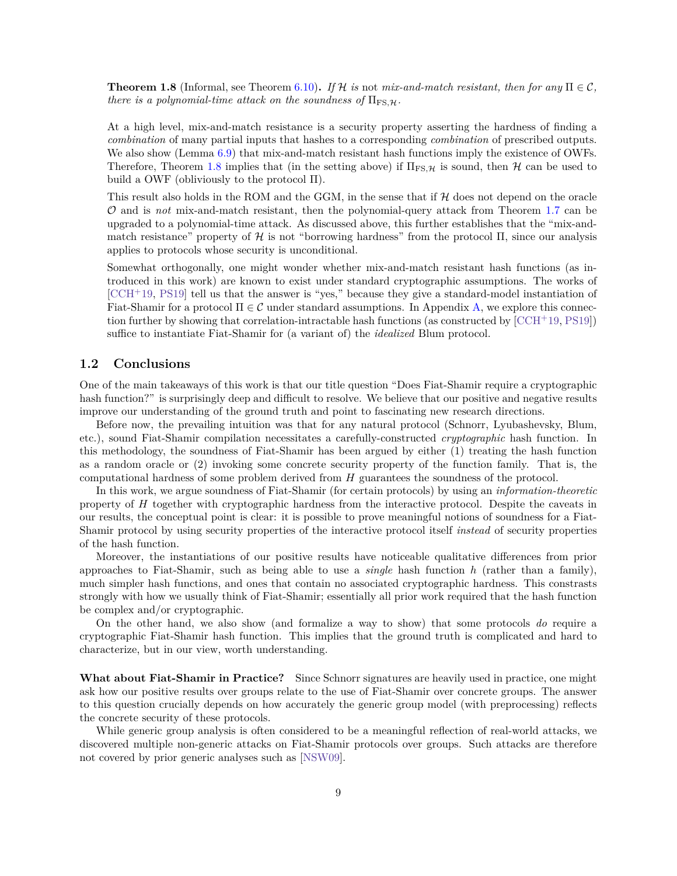**Theorem 1.8** (Informal, see Theorem [6.10\)](#page-51-0). If H is not mix-and-match resistant, then for any  $\Pi \in \mathcal{C}$ . *there is a polynomial-time attack on the soundness of*  $\Pi_{\text{FS},\mathcal{H}}$ .

At a high level, mix-and-match resistance is a security property asserting the hardness of finding a *combination* of many partial inputs that hashes to a corresponding *combination* of prescribed outputs. We also show (Lemma  $6.9$ ) that mix-and-match resistant hash functions imply the existence of OWFs. Therefore, Theorem [1.8](#page-9-0) implies that (in the setting above) if  $\Pi_{FS, H}$  is sound, then H can be used to build a OWF (obliviously to the protocol Π).

This result also holds in the ROM and the GGM, in the sense that if  $\mathcal H$  does not depend on the oracle and is *not* mix-and-match resistant, then the polynomial-query attack from Theorem [1.7](#page-9-1) can be upgraded to a polynomial-time attack. As discussed above, this further establishes that the "mix-andmatch resistance" property of  $\mathcal H$  is not "borrowing hardness" from the protocol  $\Pi$ , since our analysis applies to protocols whose security is unconditional.

Somewhat orthogonally, one might wonder whether mix-and-match resistant hash functions (as introduced in this work) are known to exist under standard cryptographic assumptions. The works of  $[CCH<sup>+</sup>19, PS19]$  $[CCH<sup>+</sup>19, PS19]$  $[CCH<sup>+</sup>19, PS19]$  tell us that the answer is "yes," because they give a standard-model instantiation of Fiat-Shamir for a protocol  $\Pi \in \mathcal{C}$  under standard assumptions. In Appendix [A,](#page-58-0) we explore this connection further by showing that correlation-intractable hash functions (as constructed by  $[CH^+19, PS19]$  $[CH^+19, PS19]$ ) suffice to instantiate Fiat-Shamir for (a variant of) the *idealized* Blum protocol.

## <span id="page-10-0"></span>**1.2 Conclusions**

One of the main takeaways of this work is that our title question "Does Fiat-Shamir require a cryptographic hash function?" is surprisingly deep and difficult to resolve. We believe that our positive and negative results improve our understanding of the ground truth and point to fascinating new research directions.

Before now, the prevailing intuition was that for any natural protocol (Schnorr, Lyubashevsky, Blum, etc.), sound Fiat-Shamir compilation necessitates a carefully-constructed *cryptographic* hash function. In this methodology, the soundness of Fiat-Shamir has been argued by either (1) treating the hash function as a random oracle or (2) invoking some concrete security property of the function family. That is, the computational hardness of some problem derived from  $H$  guarantees the soundness of the protocol.

In this work, we argue soundness of Fiat-Shamir (for certain protocols) by using an *information-theoretic* property of  $H$  together with cryptographic hardness from the interactive protocol. Despite the caveats in our results, the conceptual point is clear: it is possible to prove meaningful notions of soundness for a Fiat-Shamir protocol by using security properties of the interactive protocol itself *instead* of security properties of the hash function.

Moreover, the instantiations of our positive results have noticeable qualitative differences from prior approaches to Fiat-Shamir, such as being able to use a *single* hash function *ℎ* (rather than a family), much simpler hash functions, and ones that contain no associated cryptographic hardness. This constrasts strongly with how we usually think of Fiat-Shamir; essentially all prior work required that the hash function be complex and/or cryptographic.

On the other hand, we also show (and formalize a way to show) that some protocols *do* require a cryptographic Fiat-Shamir hash function. This implies that the ground truth is complicated and hard to characterize, but in our view, worth understanding.

**What about Fiat-Shamir in Practice?** Since Schnorr signatures are heavily used in practice, one might ask how our positive results over groups relate to the use of Fiat-Shamir over concrete groups. The answer to this question crucially depends on how accurately the generic group model (with preprocessing) reflects the concrete security of these protocols.

While generic group analysis is often considered to be a meaningful reflection of real-world attacks, we discovered multiple non-generic attacks on Fiat-Shamir protocols over groups. Such attacks are therefore not covered by prior generic analyses such as [\[NSW09\]](#page-58-10).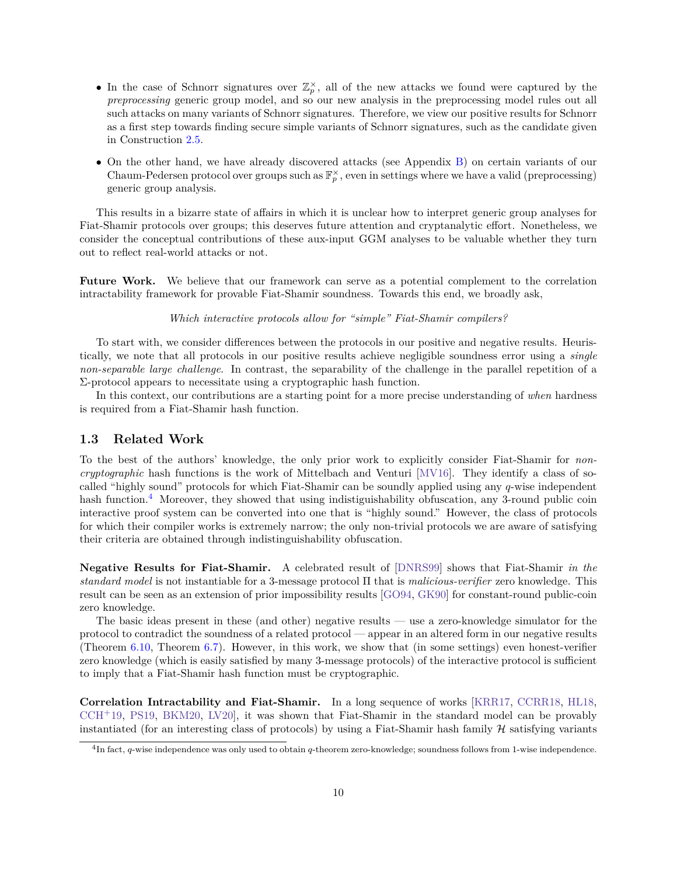- In the case of Schnorr signatures over  $\mathbb{Z}_p^{\times}$ , all of the new attacks we found were captured by the *preprocessing* generic group model, and so our new analysis in the preprocessing model rules out all such attacks on many variants of Schnorr signatures. Therefore, we view our positive results for Schnorr as a first step towards finding secure simple variants of Schnorr signatures, such as the candidate given in Construction [2.5.](#page-20-0)
- ∙ On the other hand, we have already discovered attacks (see Appendix [B\)](#page-60-0) on certain variants of our Chaum-Pedersen protocol over groups such as  $\mathbb{F}_p^{\times}$ , even in settings where we have a valid (preprocessing) generic group analysis.

This results in a bizarre state of affairs in which it is unclear how to interpret generic group analyses for Fiat-Shamir protocols over groups; this deserves future attention and cryptanalytic effort. Nonetheless, we consider the conceptual contributions of these aux-input GGM analyses to be valuable whether they turn out to reflect real-world attacks or not.

**Future Work.** We believe that our framework can serve as a potential complement to the correlation intractability framework for provable Fiat-Shamir soundness. Towards this end, we broadly ask,

## *Which interactive protocols allow for "simple" Fiat-Shamir compilers?*

To start with, we consider differences between the protocols in our positive and negative results. Heuristically, we note that all protocols in our positive results achieve negligible soundness error using a *single non-separable large challenge*. In contrast, the separability of the challenge in the parallel repetition of a Σ-protocol appears to necessitate using a cryptographic hash function.

In this context, our contributions are a starting point for a more precise understanding of *when* hardness is required from a Fiat-Shamir hash function.

### <span id="page-11-0"></span>**1.3 Related Work**

To the best of the authors' knowledge, the only prior work to explicitly consider Fiat-Shamir for *noncryptographic* hash functions is the work of Mittelbach and Venturi [\[MV16\]](#page-57-11). They identify a class of socalled "highly sound" protocols for which Fiat-Shamir can be soundly applied using any  $q$ -wise independent hash function.<sup>[4](#page-11-1)</sup> Moreover, they showed that using indistiguishability obfuscation, any 3-round public coin interactive proof system can be converted into one that is "highly sound." However, the class of protocols for which their compiler works is extremely narrow; the only non-trivial protocols we are aware of satisfying their criteria are obtained through indistinguishability obfuscation.

**Negative Results for Fiat-Shamir.** A celebrated result of [\[DNRS99\]](#page-55-12) shows that Fiat-Shamir *in the standard model* is not instantiable for a 3-message protocol Π that is *malicious-verifier* zero knowledge. This result can be seen as an extension of prior impossibility results [\[GO94,](#page-56-9) [GK90\]](#page-56-10) for constant-round public-coin zero knowledge.

The basic ideas present in these (and other) negative results — use a zero-knowledge simulator for the protocol to contradict the soundness of a related protocol — appear in an altered form in our negative results (Theorem [6.10,](#page-51-0) Theorem [6.7\)](#page-49-0). However, in this work, we show that (in some settings) even honest-verifier zero knowledge (which is easily satisfied by many 3-message protocols) of the interactive protocol is sufficient to imply that a Fiat-Shamir hash function must be cryptographic.

**Correlation Intractability and Fiat-Shamir.** In a long sequence of works [\[KRR17,](#page-57-1) [CCRR18,](#page-54-1) [HL18,](#page-56-3)  $CCH<sup>+</sup>19$  $CCH<sup>+</sup>19$ , [PS19,](#page-58-3) [BKM20,](#page-54-8) LV20, it was shown that Fiat-Shamir in the standard model can be provably instantiated (for an interesting class of protocols) by using a Fiat-Shamir hash family  $H$  satisfying variants

<span id="page-11-1"></span> $^{4}$ In fact,  $q$ -wise independence was only used to obtain  $q$ -theorem zero-knowledge; soundness follows from 1-wise independence.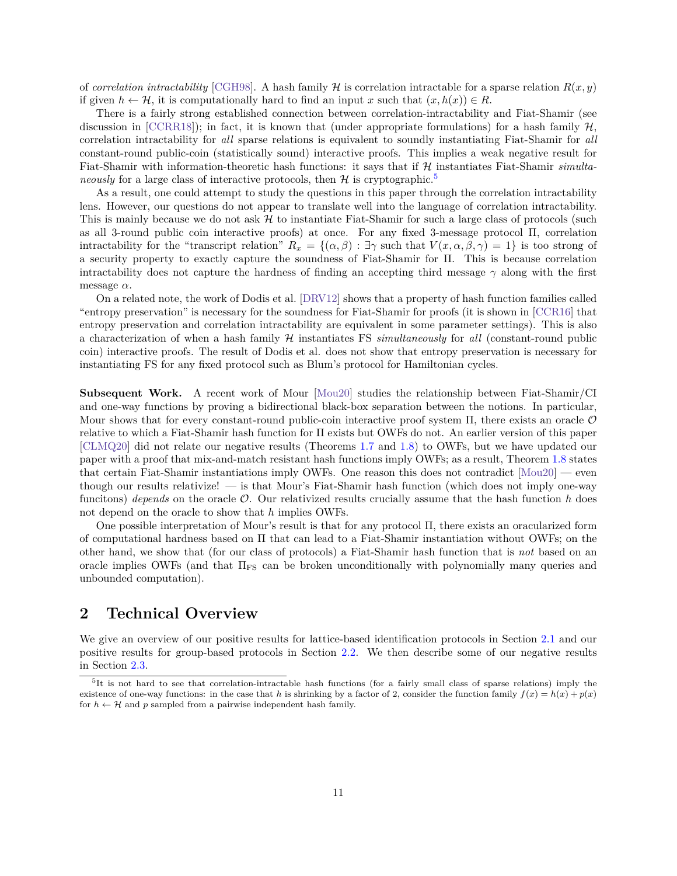of *correlation intractability* [\[CGH98\]](#page-55-1). A hash family  $\mathcal{H}$  is correlation intractable for a sparse relation  $R(x, y)$ if given  $h \leftarrow \mathcal{H}$ , it is computationally hard to find an input x such that  $(x, h(x)) \in R$ .

There is a fairly strong established connection between correlation-intractability and Fiat-Shamir (see discussion in  $[CCRR18]$ ; in fact, it is known that (under appropriate formulations) for a hash family  $\mathcal{H}$ , correlation intractability for *all* sparse relations is equivalent to soundly instantiating Fiat-Shamir for *all* constant-round public-coin (statistically sound) interactive proofs. This implies a weak negative result for Fiat-Shamir with information-theoretic hash functions: it says that if H instantiates Fiat-Shamir *simultaneously* for a large class of interactive protocols, then  $\mathcal{H}$  is cryptographic.<sup>[5](#page-12-1)</sup>

As a result, one could attempt to study the questions in this paper through the correlation intractability lens. However, our questions do not appear to translate well into the language of correlation intractability. This is mainly because we do not ask  $H$  to instantiate Fiat-Shamir for such a large class of protocols (such as all 3-round public coin interactive proofs) at once. For any fixed 3-message protocol Π, correlation intractability for the "transcript relation"  $R_x = \{(\alpha, \beta) : \exists \gamma \text{ such that } V(x, \alpha, \beta, \gamma) = 1\}$  is too strong of a security property to exactly capture the soundness of Fiat-Shamir for Π. This is because correlation intractability does not capture the hardness of finding an accepting third message  $\gamma$  along with the first message  $\alpha$ .

On a related note, the work of Dodis et al. [\[DRV12\]](#page-56-11) shows that a property of hash function families called "entropy preservation" is necessary for the soundness for Fiat-Shamir for proofs (it is shown in [\[CCR16\]](#page-54-11) that entropy preservation and correlation intractability are equivalent in some parameter settings). This is also a characterization of when a hash family ℋ instantiates FS *simultaneously* for *all* (constant-round public coin) interactive proofs. The result of Dodis et al. does not show that entropy preservation is necessary for instantiating FS for any fixed protocol such as Blum's protocol for Hamiltonian cycles.

**Subsequent Work.** A recent work of Mour [\[Mou20\]](#page-57-12) studies the relationship between Fiat-Shamir/CI and one-way functions by proving a bidirectional black-box separation between the notions. In particular, Mour shows that for every constant-round public-coin interactive proof system  $\Pi$ , there exists an oracle  $\mathcal O$ relative to which a Fiat-Shamir hash function for Π exists but OWFs do not. An earlier version of this paper [\[CLMQ20\]](#page-55-13) did not relate our negative results (Theorems [1.7](#page-9-1) and [1.8\)](#page-9-0) to OWFs, but we have updated our paper with a proof that mix-and-match resistant hash functions imply OWFs; as a result, Theorem [1.8](#page-9-0) states that certain Fiat-Shamir instantiations imply OWFs. One reason this does not contradict [\[Mou20\]](#page-57-12) — even though our results relativize! — is that Mour's Fiat-Shamir hash function (which does not imply one-way funcitons) *depends* on the oracle  $\mathcal{O}$ . Our relativized results crucially assume that the hash function *h* does not depend on the oracle to show that *ℎ* implies OWFs.

One possible interpretation of Mour's result is that for any protocol Π, there exists an oracularized form of computational hardness based on Π that can lead to a Fiat-Shamir instantiation without OWFs; on the other hand, we show that (for our class of protocols) a Fiat-Shamir hash function that is *not* based on an oracle implies OWFs (and that  $\Pi_{\text{FS}}$  can be broken unconditionally with polynomially many queries and unbounded computation).

## <span id="page-12-0"></span>**2 Technical Overview**

We give an overview of our positive results for lattice-based identification protocols in Section [2.1](#page-13-0) and our positive results for group-based protocols in Section [2.2.](#page-14-0) We then describe some of our negative results in Section [2.3.](#page-21-0)

<span id="page-12-1"></span><sup>&</sup>lt;sup>5</sup>It is not hard to see that correlation-intractable hash functions (for a fairly small class of sparse relations) imply the existence of one-way functions: in the case that *h* is shrinking by a factor of 2, consider the function family  $f(x) = h(x) + p(x)$ for  $h \leftarrow \mathcal{H}$  and p sampled from a pairwise independent hash family.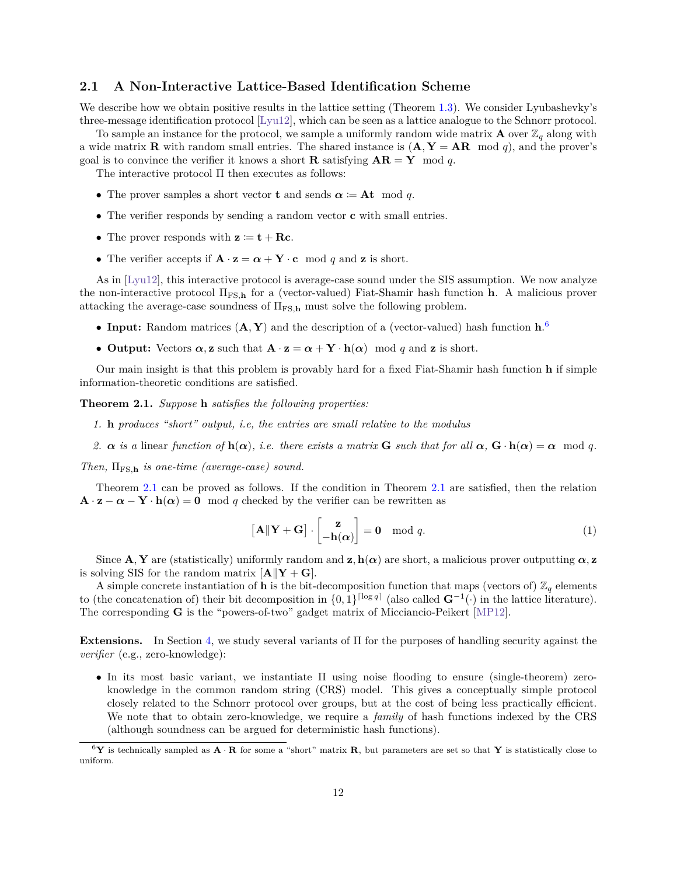### <span id="page-13-0"></span>**2.1 A Non-Interactive Lattice-Based Identification Scheme**

We describe how we obtain positive results in the lattice setting (Theorem [1.3\)](#page-6-0). We consider Lyubashevky's three-message identification protocol [\[Lyu12\]](#page-57-3), which can be seen as a lattice analogue to the Schnorr protocol.

To sample an instance for the protocol, we sample a uniformly random wide matrix **A** over  $\mathbb{Z}_q$  along with a wide matrix **R** with random small entries. The shared instance is  $(\mathbf{A}, \mathbf{Y} = \mathbf{A}\mathbf{R} \mod q)$ , and the prover's goal is to convince the verifier it knows a short **R** satisfying  $AR = Y \mod q$ .

The interactive protocol Π then executes as follows:

- The prover samples a short vector **t** and sends  $\alpha := At \mod q$ .
- ∙ The verifier responds by sending a random vector **c** with small entries.
- The prover responds with  $z := t + \mathbf{R}c$ .
- The verifier accepts if  $\mathbf{A} \cdot \mathbf{z} = \boldsymbol{\alpha} + \mathbf{Y} \cdot \mathbf{c} \mod q$  and **z** is short.

As in [\[Lyu12\]](#page-57-3), this interactive protocol is average-case sound under the SIS assumption. We now analyze the non-interactive protocol ΠFS*,***<sup>h</sup>** for a (vector-valued) Fiat-Shamir hash function **h**. A malicious prover attacking the average-case soundness of  $\Pi_{FS,h}$  must solve the following problem.

- ∙ **Input:** Random matrices (**A***,* **Y**) and the description of a (vector-valued) hash function **h**. [6](#page-13-1)
- **Output:** Vectors  $\alpha$ , **z** such that  $\mathbf{A} \cdot \mathbf{z} = \alpha + \mathbf{Y} \cdot \mathbf{h}(\alpha) \mod q$  and **z** is short.

Our main insight is that this problem is provably hard for a fixed Fiat-Shamir hash function **h** if simple information-theoretic conditions are satisfied.

<span id="page-13-2"></span>**Theorem 2.1.** *Suppose* **h** *satisfies the following properties:*

- *1.* **h** *produces "short" output, i.e, the entries are small relative to the modulus*
- 2.  $\alpha$  is a linear function of  $\mathbf{h}(\alpha)$ , i.e. there exists a matrix **G** such that for all  $\alpha$ ,  $\mathbf{G} \cdot \mathbf{h}(\alpha) = \alpha \mod q$ .

*Then,* ΠFS*,***<sup>h</sup>** *is one-time (average-case) sound.*

Theorem [2.1](#page-13-2) can be proved as follows. If the condition in Theorem [2.1](#page-13-2) are satisfied, then the relation  $\mathbf{A} \cdot \mathbf{z} - \alpha - \mathbf{Y} \cdot \mathbf{h}(\alpha) = 0 \mod q$  checked by the verifier can be rewritten as

<span id="page-13-3"></span>
$$
\left[\mathbf{A}\|\mathbf{Y}+\mathbf{G}\right]\cdot\begin{bmatrix} \mathbf{z} \\ -\mathbf{h}(\boldsymbol{\alpha}) \end{bmatrix} = \mathbf{0} \mod q. \tag{1}
$$

Since  $\mathbf{A}, \mathbf{Y}$  are (statistically) uniformly random and  $\mathbf{z}, \mathbf{h}(\alpha)$  are short, a malicious prover outputting  $\alpha, \mathbf{z}$ is solving SIS for the random matrix  $[\mathbf{A}||\mathbf{Y} + \mathbf{G}]$ .

A simple concrete instantiation of **h** is the bit-decomposition function that maps (vectors of)  $\mathbb{Z}_q$  elements to (the concatenation of) their bit decomposition in  $\{0,1\}^{\lceil \log q \rceil}$  (also called  $\mathbf{G}^{-1}(\cdot)$  in the lattice literature). The corresponding **G** is the "powers-of-two" gadget matrix of Micciancio-Peikert [\[MP12\]](#page-57-7).

**Extensions.** In Section [4,](#page-23-0) we study several variants of Π for the purposes of handling security against the *verifier* (e.g., zero-knowledge):

∙ In its most basic variant, we instantiate Π using noise flooding to ensure (single-theorem) zeroknowledge in the common random string (CRS) model. This gives a conceptually simple protocol closely related to the Schnorr protocol over groups, but at the cost of being less practically efficient. We note that to obtain zero-knowledge, we require a *family* of hash functions indexed by the CRS (although soundness can be argued for deterministic hash functions).

<span id="page-13-1"></span> ${}^6\mathbf{Y}$  is technically sampled as  $\mathbf{A} \cdot \mathbf{R}$  for some a "short" matrix  $\mathbf{R}$ , but parameters are set so that **Y** is statistically close to uniform.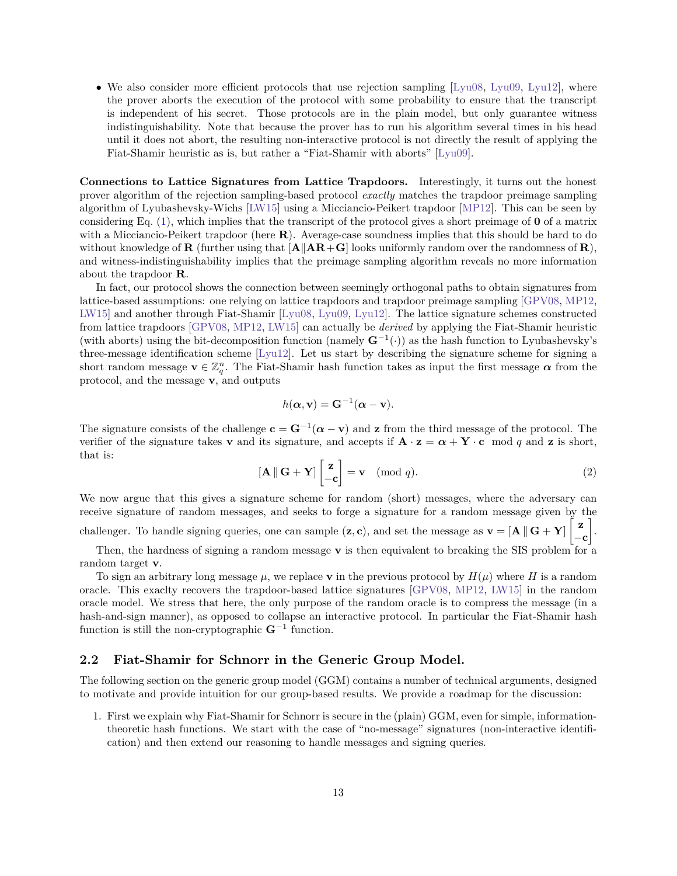∙ We also consider more efficient protocols that use rejection sampling [\[Lyu08,](#page-57-5) [Lyu09,](#page-57-6) [Lyu12\]](#page-57-3), where the prover aborts the execution of the protocol with some probability to ensure that the transcript is independent of his secret. Those protocols are in the plain model, but only guarantee witness indistinguishability. Note that because the prover has to run his algorithm several times in his head until it does not abort, the resulting non-interactive protocol is not directly the result of applying the Fiat-Shamir heuristic as is, but rather a "Fiat-Shamir with aborts" [\[Lyu09\]](#page-57-6).

**Connections to Lattice Signatures from Lattice Trapdoors.** Interestingly, it turns out the honest prover algorithm of the rejection sampling-based protocol *exactly* matches the trapdoor preimage sampling algorithm of Lyubashevsky-Wichs [\[LW15\]](#page-57-8) using a Micciancio-Peikert trapdoor [\[MP12\]](#page-57-7). This can be seen by considering Eq. [\(1\)](#page-13-3), which implies that the transcript of the protocol gives a short preimage of **0** of a matrix with a Micciancio-Peikert trapdoor (here **R**). Average-case soundness implies that this should be hard to do without knowledge of **R** (further using that  $[A||AR + G]$  looks uniformly random over the randomness of **R**), and witness-indistinguishability implies that the preimage sampling algorithm reveals no more information about the trapdoor **R**.

In fact, our protocol shows the connection between seemingly orthogonal paths to obtain signatures from lattice-based assumptions: one relying on lattice trapdoors and trapdoor preimage sampling [\[GPV08,](#page-56-7) [MP12,](#page-57-7) [LW15\]](#page-57-8) and another through Fiat-Shamir [\[Lyu08,](#page-57-5) [Lyu09,](#page-57-6) [Lyu12\]](#page-57-3). The lattice signature schemes constructed from lattice trapdoors [\[GPV08,](#page-56-7) [MP12,](#page-57-7) [LW15\]](#page-57-8) can actually be *derived* by applying the Fiat-Shamir heuristic (with aborts) using the bit-decomposition function (namely **G**<sup>−</sup><sup>1</sup> (·)) as the hash function to Lyubashevsky's three-message identification scheme [\[Lyu12\]](#page-57-3). Let us start by describing the signature scheme for signing a short random message  $\mathbf{v} \in \mathbb{Z}_q^n$ . The Fiat-Shamir hash function takes as input the first message  $\alpha$  from the protocol, and the message **v**, and outputs

$$
h(\alpha, \mathbf{v}) = \mathbf{G}^{-1}(\alpha - \mathbf{v}).
$$

The signature consists of the challenge  $\mathbf{c} = \mathbf{G}^{-1}(\boldsymbol{\alpha} - \mathbf{v})$  and **z** from the third message of the protocol. The verifier of the signature takes **v** and its signature, and accepts if  $\mathbf{A} \cdot \mathbf{z} = \boldsymbol{\alpha} + \mathbf{Y} \cdot \mathbf{c}$  mod q and **z** is short, that is:

$$
\left[\mathbf{A} \, \|\, \mathbf{G} + \mathbf{Y}\right] \begin{bmatrix} \mathbf{z} \\ -\mathbf{c} \end{bmatrix} = \mathbf{v} \pmod{q}.
$$
 (2)

We now argue that this gives a signature scheme for random (short) messages, where the adversary can receive signature of random messages, and seeks to forge a signature for a random message given by the

challenger. To handle signing queries, one can sample  $(z, c)$ , and set the message as  $v = [A \mid G + Y]$ −**c**  $\cdot$ 

Then, the hardness of signing a random message **v** is then equivalent to breaking the SIS problem for a random target **v**.

To sign an arbitrary long message  $\mu$ , we replace **v** in the previous protocol by  $H(\mu)$  where H is a random oracle. This exaclty recovers the trapdoor-based lattice signatures [\[GPV08,](#page-56-7) [MP12,](#page-57-7) [LW15\]](#page-57-8) in the random oracle model. We stress that here, the only purpose of the random oracle is to compress the message (in a hash-and-sign manner), as opposed to collapse an interactive protocol. In particular the Fiat-Shamir hash function is still the non-cryptographic **G**<sup>−</sup><sup>1</sup> function.

### <span id="page-14-0"></span>**2.2 Fiat-Shamir for Schnorr in the Generic Group Model.**

The following section on the generic group model (GGM) contains a number of technical arguments, designed to motivate and provide intuition for our group-based results. We provide a roadmap for the discussion:

1. First we explain why Fiat-Shamir for Schnorr is secure in the (plain) GGM, even for simple, informationtheoretic hash functions. We start with the case of "no-message" signatures (non-interactive identification) and then extend our reasoning to handle messages and signing queries.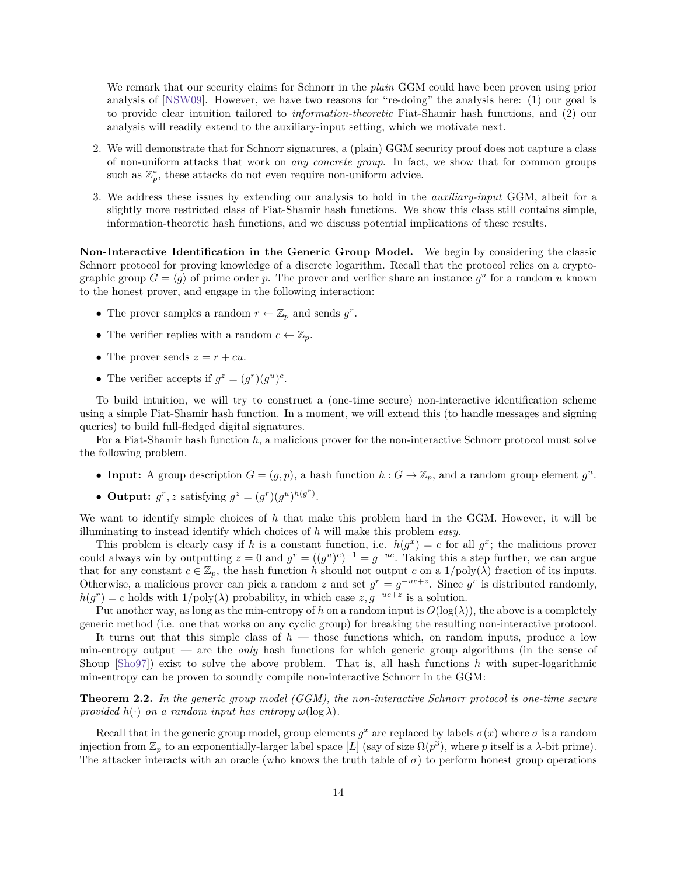We remark that our security claims for Schnorr in the *plain* GGM could have been proven using prior analysis of [\[NSW09\]](#page-58-10). However, we have two reasons for "re-doing" the analysis here: (1) our goal is to provide clear intuition tailored to *information-theoretic* Fiat-Shamir hash functions, and (2) our analysis will readily extend to the auxiliary-input setting, which we motivate next.

- 2. We will demonstrate that for Schnorr signatures, a (plain) GGM security proof does not capture a class of non-uniform attacks that work on *any concrete group*. In fact, we show that for common groups such as  $\mathbb{Z}_p^*$ , these attacks do not even require non-uniform advice.
- 3. We address these issues by extending our analysis to hold in the *auxiliary-input* GGM, albeit for a slightly more restricted class of Fiat-Shamir hash functions. We show this class still contains simple, information-theoretic hash functions, and we discuss potential implications of these results.

**Non-Interactive Identification in the Generic Group Model.** We begin by considering the classic Schnorr protocol for proving knowledge of a discrete logarithm. Recall that the protocol relies on a cryptographic group  $G = \langle g \rangle$  of prime order p. The prover and verifier share an instance  $g^u$  for a random u known to the honest prover, and engage in the following interaction:

- The prover samples a random  $r \leftarrow \mathbb{Z}_p$  and sends  $g^r$ .
- The verifier replies with a random  $c \leftarrow \mathbb{Z}_p$ .
- The prover sends  $z = r + cu$ .
- The verifier accepts if  $g^z = (g^r)(g^u)^c$ .

To build intuition, we will try to construct a (one-time secure) non-interactive identification scheme using a simple Fiat-Shamir hash function. In a moment, we will extend this (to handle messages and signing queries) to build full-fledged digital signatures.

For a Fiat-Shamir hash function *ℎ*, a malicious prover for the non-interactive Schnorr protocol must solve the following problem.

- **Input:** A group description  $G = (g, p)$ , a hash function  $h : G \to \mathbb{Z}_p$ , and a random group element  $g^u$ .
- Output:  $g^r$ , *z* satisfying  $g^z = (g^r)(g^u)^{h(g^r)}$ .

We want to identify simple choices of *ℎ* that make this problem hard in the GGM. However, it will be illuminating to instead identify which choices of *ℎ* will make this problem *easy*.

This problem is clearly easy if *h* is a constant function, i.e.  $h(g^x) = c$  for all  $g^x$ ; the malicious prover could always win by outputting  $z = 0$  and  $g^r = ((g^u)^c)^{-1} = g^{-uc}$ . Taking this a step further, we can argue that for any constant  $c \in \mathbb{Z}_p$ , the hash function *h* should not output c on a  $1/\text{poly}(\lambda)$  fraction of its inputs. Otherwise, a malicious prover can pick a random z and set  $g^r = g^{-uc+z}$ . Since  $g^r$  is distributed randomly,  $h(g^r) = c$  holds with  $1/\text{poly}(\lambda)$  probability, in which case  $z, g^{-uc+z}$  is a solution.

Put another way, as long as the min-entropy of *h* on a random input is  $O(log(\lambda))$ , the above is a completely generic method (i.e. one that works on any cyclic group) for breaking the resulting non-interactive protocol.

It turns out that this simple class of *h* — those functions which, on random inputs, produce a low min-entropy output — are the *only* hash functions for which generic group algorithms (in the sense of Shoup [\[Sho97\]](#page-58-6)) exist to solve the above problem. That is, all hash functions *h* with super-logarithmic min-entropy can be proven to soundly compile non-interactive Schnorr in the GGM:

<span id="page-15-0"></span>**Theorem 2.2.** *In the generic group model (GGM), the non-interactive Schnorr protocol is one-time secure provided*  $h(\cdot)$  *on a random input has entropy*  $\omega(\log \lambda)$ *.* 

Recall that in the generic group model, group elements  $g^x$  are replaced by labels  $\sigma(x)$  where  $\sigma$  is a random injection from  $\mathbb{Z}_p$  to an exponentially-larger label space  $[L]$  (say of size  $\Omega(p^3)$ , where p itself is a  $\lambda$ -bit prime). The attacker interacts with an oracle (who knows the truth table of  $\sigma$ ) to perform honest group operations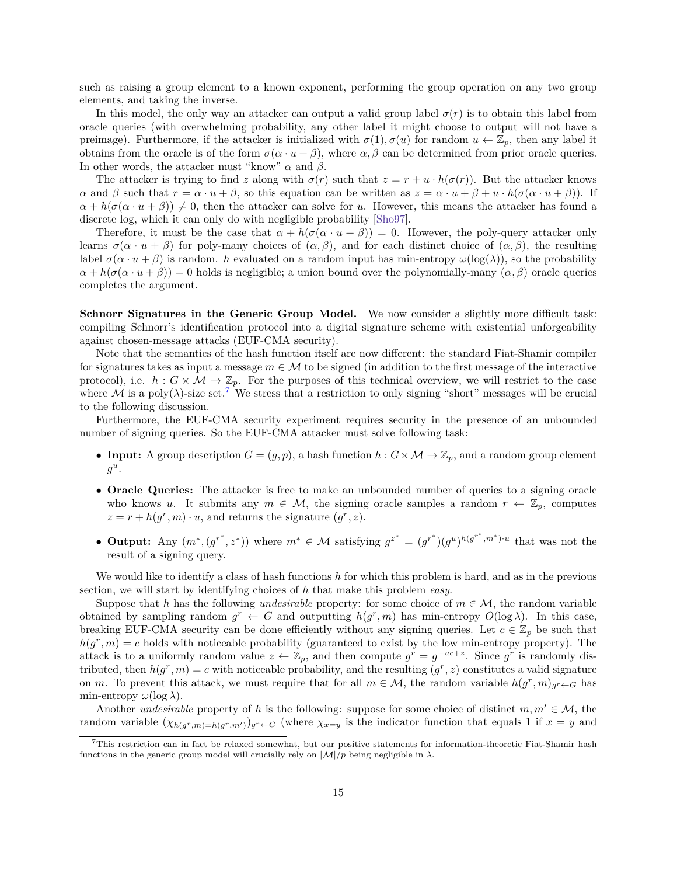such as raising a group element to a known exponent, performing the group operation on any two group elements, and taking the inverse.

In this model, the only way an attacker can output a valid group label  $\sigma(r)$  is to obtain this label from oracle queries (with overwhelming probability, any other label it might choose to output will not have a preimage). Furthermore, if the attacker is initialized with  $\sigma(1), \sigma(u)$  for random  $u \leftarrow \mathbb{Z}_p$ , then any label it obtains from the oracle is of the form  $\sigma(\alpha \cdot u + \beta)$ , where  $\alpha, \beta$  can be determined from prior oracle queries. In other words, the attacker must "know"  $\alpha$  and  $\beta$ .

The attacker is trying to find z along with  $\sigma(r)$  such that  $z = r + u \cdot h(\sigma(r))$ . But the attacker knows  $\alpha$  and  $\beta$  such that  $r = \alpha \cdot u + \beta$ , so this equation can be written as  $z = \alpha \cdot u + \beta + u \cdot h(\sigma(\alpha \cdot u + \beta))$ . If  $\alpha + h(\sigma(\alpha \cdot u + \beta)) \neq 0$ , then the attacker can solve for u. However, this means the attacker has found a discrete log, which it can only do with negligible probability [\[Sho97\]](#page-58-6).

Therefore, it must be the case that  $\alpha + h(\sigma(\alpha \cdot u + \beta)) = 0$ . However, the poly-query attacker only learns  $\sigma(\alpha \cdot u + \beta)$  for poly-many choices of  $(\alpha, \beta)$ , and for each distinct choice of  $(\alpha, \beta)$ , the resulting label  $\sigma(\alpha \cdot u + \beta)$  is random. *h* evaluated on a random input has min-entropy  $\omega(\log(\lambda))$ , so the probability  $\alpha + h(\sigma(\alpha \cdot u + \beta)) = 0$  holds is negligible; a union bound over the polynomially-many  $(\alpha, \beta)$  oracle queries completes the argument.

**Schnorr Signatures in the Generic Group Model.** We now consider a slightly more difficult task: compiling Schnorr's identification protocol into a digital signature scheme with existential unforgeability against chosen-message attacks (EUF-CMA security).

Note that the semantics of the hash function itself are now different: the standard Fiat-Shamir compiler for signatures takes as input a message  $m \in M$  to be signed (in addition to the first message of the interactive protocol), i.e.  $h: G \times M \to \mathbb{Z}_p$ . For the purposes of this technical overview, we will restrict to the case where M is a poly( $\lambda$ )-size set.<sup>[7](#page-16-0)</sup> We stress that a restriction to only signing "short" messages will be crucial to the following discussion.

Furthermore, the EUF-CMA security experiment requires security in the presence of an unbounded number of signing queries. So the EUF-CMA attacker must solve following task:

- **Input:** A group description  $G = (g, p)$ , a hash function  $h : G \times M \to \mathbb{Z}_p$ , and a random group element  $g^u$ .
- ∙ **Oracle Queries:** The attacker is free to make an unbounded number of queries to a signing oracle who knows u. It submits any  $m \in \mathcal{M}$ , the signing oracle samples a random  $r \leftarrow \mathbb{Z}_p$ , computes  $z = r + h(g^r, m) \cdot u$ , and returns the signature  $(g^r, z)$ .
- **Output:** Any  $(m^*, (g^{r^*}, z^*))$  where  $m^* \in \mathcal{M}$  satisfying  $g^{z^*} = (g^{r^*})(g^u)^{h(g^{r^*}, m^*)\cdot u}$  that was not the result of a signing query.

We would like to identify a class of hash functions *ℎ* for which this problem is hard, and as in the previous section, we will start by identifying choices of *ℎ* that make this problem *easy*.

Suppose that *h* has the following *undesirable* property: for some choice of  $m \in \mathcal{M}$ , the random variable obtained by sampling random  $g^r \leftarrow G$  and outputting  $h(g^r, m)$  has min-entropy  $O(\log \lambda)$ . In this case, breaking EUF-CMA security can be done efficiently without any signing queries. Let  $c \in \mathbb{Z}_p$  be such that  $h(g^r, m) = c$  holds with noticeable probability (guaranteed to exist by the low min-entropy property). The attack is to a uniformly random value  $z \leftarrow \mathbb{Z}_p$ , and then compute  $g^r = g^{-uc+z}$ . Since  $g^r$  is randomly distributed, then  $h(g^r, m) = c$  with noticeable probability, and the resulting  $(g^r, z)$  constitutes a valid signature on m. To prevent this attack, we must require that for all  $m \in \mathcal{M}$ , the random variable  $h(g^r, m)_{g^r \leftarrow G}$  has min-entropy  $\omega(\log \lambda)$ .

Another *undesirable* property of *h* is the following: suppose for some choice of distinct  $m, m' \in \mathcal{M}$ , the random variable  $(\chi_{h(g^r,m)=h(g^r,m')})_{g^r\leftarrow G}$  (where  $\chi_{x=y}$  is the indicator function that equals 1 if  $x=y$  and

<span id="page-16-0"></span><sup>7</sup>This restriction can in fact be relaxed somewhat, but our positive statements for information-theoretic Fiat-Shamir hash functions in the generic group model will crucially rely on  $|\mathcal{M}|/p$  being negligible in  $\lambda$ .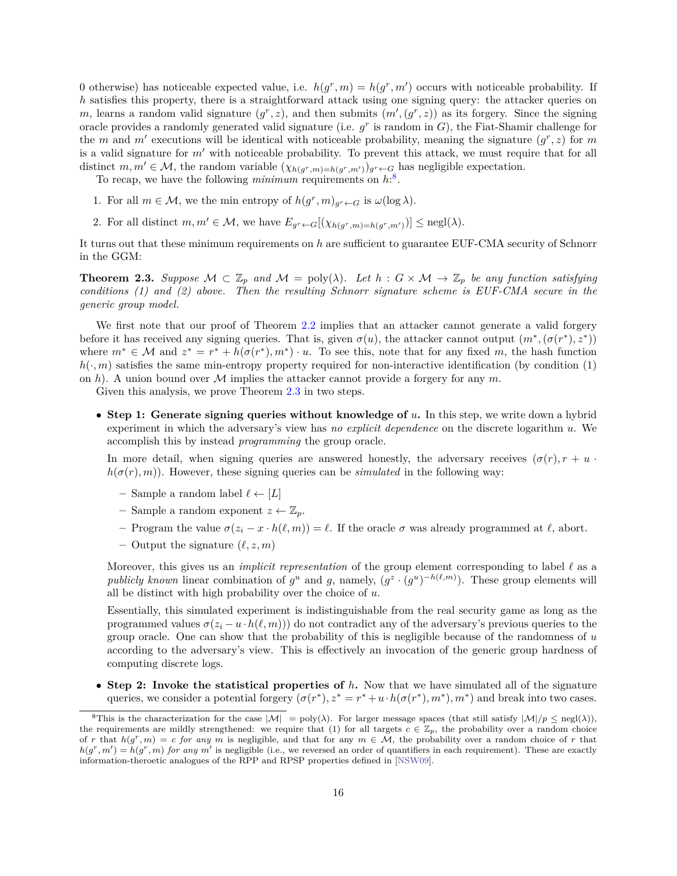0 otherwise) has noticeable expected value, i.e.  $h(g^r, m) = h(g^r, m')$  occurs with noticeable probability. If *h* satisfies this property, there is a straightforward attack using one signing query: the attacker queries on m, learns a random valid signature  $(g^r, z)$ , and then submits  $(m', (g^r, z))$  as its forgery. Since the signing oracle provides a randomly generated valid signature (i.e.  $g^r$  is random in  $G$ ), the Fiat-Shamir challenge for the *m* and *m'* executions will be identical with noticeable probability, meaning the signature  $(g^r, z)$  for *m* is a valid signature for  $m'$  with noticeable probability. To prevent this attack, we must require that for all distinct  $m, m' \in \mathcal{M}$ , the random variable  $(\chi_{h(g^r,m)=h(g^r,m')})_{g^r \leftarrow G}$  has negligible expectation.

To recap, we have the following *minimum* requirements on  $h^3$ .

- 1. For all  $m \in \mathcal{M}$ , we the min entropy of  $h(g^r, m)_{g^r \leftarrow G}$  is  $\omega(\log \lambda)$ .
- 2. For all distinct  $m, m' \in \mathcal{M}$ , we have  $E_{g^r \leftarrow G}[(\chi_{h(g^r, m) = h(g^r, m')})] \leq {\rm negl}(\lambda)$ .

It turns out that these minimum requirements on *ℎ* are sufficient to guarantee EUF-CMA security of Schnorr in the GGM:

<span id="page-17-1"></span>**Theorem 2.3.** Suppose  $M \subset \mathbb{Z}_p$  and  $M = \text{poly}(\lambda)$ . Let  $h : G \times M \to \mathbb{Z}_p$  be any function satisfying *conditions (1) and (2) above. Then the resulting Schnorr signature scheme is EUF-CMA secure in the generic group model.*

We first note that our proof of Theorem [2.2](#page-15-0) implies that an attacker cannot generate a valid forgery before it has received any signing queries. That is, given  $\sigma(u)$ , the attacker cannot output  $(m^*, (\sigma(r^*), z^*))$ where  $m^* \in \mathcal{M}$  and  $z^* = r^* + h(\sigma(r^*), m^*) \cdot u$ . To see this, note that for any fixed m, the hash function  $h(\cdot,m)$  satisfies the same min-entropy property required for non-interactive identification (by condition (1) on *h*). A union bound over M implies the attacker cannot provide a forgery for any  $m$ .

Given this analysis, we prove Theorem [2.3](#page-17-1) in two steps.

∙ **Step 1: Generate signing queries without knowledge of .** In this step, we write down a hybrid experiment in which the adversary's view has *no explicit dependence* on the discrete logarithm u. We accomplish this by instead *programming* the group oracle.

In more detail, when signing queries are answered honestly, the adversary receives  $(\sigma(r), r + u)$  $h(\sigma(r), m)$ . However, these signing queries can be *simulated* in the following way:

- Sample a random label  $\ell \leftarrow [L]$
- Sample a random exponent  $z \leftarrow \mathbb{Z}_p$ .
- $–$  Program the value  $σ(z_i x \cdot h(\ell, m)) = \ell$ . If the oracle  $σ$  was already programmed at  $\ell$ , abort.
- $-$  Output the signature  $(\ell, z, m)$

Moreover, this gives us an *implicit representation* of the group element corresponding to label *ℓ* as a *publicly known* linear combination of  $g^u$  and g, namely,  $(g^z \cdot (g^u)^{-h(\ell,m)})$ . These group elements will all be distinct with high probability over the choice of  $u$ .

Essentially, this simulated experiment is indistinguishable from the real security game as long as the programmed values  $\sigma(z_i - u \cdot h(\ell, m))$  do not contradict any of the adversary's previous queries to the group oracle. One can show that the probability of this is negligible because of the randomness of  $u$ according to the adversary's view. This is effectively an invocation of the generic group hardness of computing discrete logs.

∙ **Step 2: Invoke the statistical properties of** *ℎ***.** Now that we have simulated all of the signature queries, we consider a potential forgery  $(\sigma(r^*), z^* = r^* + u \cdot h(\sigma(r^*), m^*), m^*)$  and break into two cases.

<span id="page-17-0"></span><sup>&</sup>lt;sup>8</sup>This is the characterization for the case  $|M| = \text{poly}(\lambda)$ . For larger message spaces (that still satisfy  $|M|/p \leq \text{negl}(\lambda)$ ), the requirements are mildly strengthened: we require that (1) for all targets  $c \in \mathbb{Z}_p$ , the probability over a random choice of r that  $h(g^r, m) = c$  for any m is negligible, and that for any  $m \in \mathcal{M}$ , the probability over a random choice of r that  $h(g^r, m') = h(g^r, m)$  for any m' is negligible (i.e., we reversed an order of quantifiers in each requirement). These are exactly information-theroetic analogues of the RPP and RPSP properties defined in [\[NSW09\]](#page-58-10).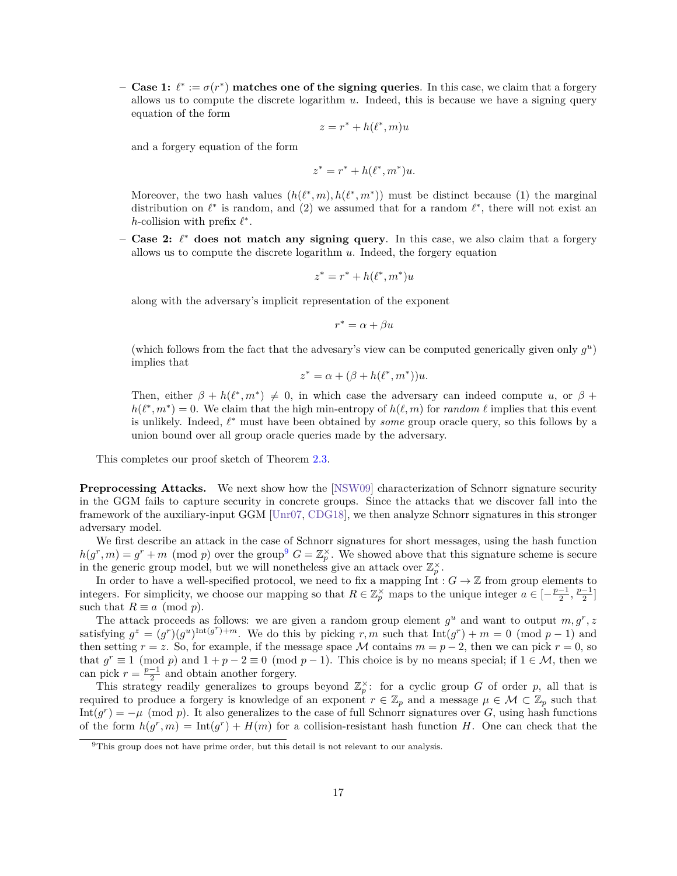**– Case 1:**  $\ell^* := \sigma(r^*)$  **matches one of the signing queries**. In this case, we claim that a forgery allows us to compute the discrete logarithm  $u$ . Indeed, this is because we have a signing query equation of the form

$$
z = r^* + h(\ell^*, m)u
$$

and a forgery equation of the form

$$
z^* = r^* + h(\ell^*, m^*)u.
$$

Moreover, the two hash values  $(h(\ell^*, m), h(\ell^*, m^*))$  must be distinct because (1) the marginal distribution on  $\ell^*$  is random, and (2) we assumed that for a random  $\ell^*$ , there will not exist an *ℎ*-collision with prefix *ℓ* \* .

**– Case 2:** *ℓ* \* **does not match any signing query**. In this case, we also claim that a forgery allows us to compute the discrete logarithm  $u$ . Indeed, the forgery equation

$$
z^* = r^* + h(\ell^*, m^*)u
$$

along with the adversary's implicit representation of the exponent

$$
r^* = \alpha + \beta u
$$

(which follows from the fact that the advesary's view can be computed generically given only  $g^u$ ) implies that

$$
z^* = \alpha + (\beta + h(\ell^*, m^*))u.
$$

Then, either  $\beta + h(\ell^*, m^*) \neq 0$ , in which case the adversary can indeed compute u, or  $\beta$  +  $h(\ell^*, m^*) = 0$ . We claim that the high min-entropy of  $h(\ell, m)$  for *random*  $\ell$  implies that this event is unlikely. Indeed, *ℓ* \* must have been obtained by *some* group oracle query, so this follows by a union bound over all group oracle queries made by the adversary.

This completes our proof sketch of Theorem [2.3.](#page-17-1)

**Preprocessing Attacks.** We next show how the [\[NSW09\]](#page-58-10) characterization of Schnorr signature security in the GGM fails to capture security in concrete groups. Since the attacks that we discover fall into the framework of the auxiliary-input GGM [\[Unr07,](#page-58-7) [CDG18\]](#page-55-6), we then analyze Schnorr signatures in this stronger adversary model.

We first describe an attack in the case of Schnorr signatures for short messages, using the hash function  $h(g^r, m) = g^r + m \pmod{p}$  over the group<sup>[9](#page-18-0)</sup>  $G = \mathbb{Z}_p^{\times}$ . We showed above that this signature scheme is secure in the generic group model, but we will nonetheless give an attack over  $\mathbb{Z}_p^{\times}$ .

In order to have a well-specified protocol, we need to fix a mapping  $\overline{\text{Int}} : G \to \mathbb{Z}$  from group elements to integers. For simplicity, we choose our mapping so that  $R \in \mathbb{Z}_p^{\times}$  maps to the unique integer  $a \in \left[-\frac{p-1}{2}, \frac{p-1}{2}\right]$ such that  $R \equiv a \pmod{p}$ .

The attack proceeds as follows: we are given a random group element  $g^u$  and want to output  $m, g^r, z$ satisfying  $g^z = (g^r)(g^u)^{\text{Int}(g^r)+m}$ . We do this by picking r, m such that  $\text{Int}(g^r) + m = 0 \pmod{p-1}$  and then setting  $r = z$ . So, for example, if the message space M contains  $m = p - 2$ , then we can pick  $r = 0$ , so that  $g^r \equiv 1 \pmod{p}$  and  $1 + p - 2 \equiv 0 \pmod{p-1}$ . This choice is by no means special; if  $1 \in \mathcal{M}$ , then we can pick  $r = \frac{p-1}{2}$  and obtain another forgery.

This strategy readily generalizes to groups beyond  $\mathbb{Z}_p^{\times}$ : for a cyclic group G of order p, all that is required to produce a forgery is knowledge of an exponent  $r \in \mathbb{Z}_p$  and a message  $\mu \in \mathcal{M} \subset \mathbb{Z}_p$  such that  $\text{Int}(g^r) = -\mu \pmod{p}$ . It also generalizes to the case of full Schnorr signatures over G, using hash functions of the form  $h(g^r, m) = Int(g^r) + H(m)$  for a collision-resistant hash function H. One can check that the

<span id="page-18-0"></span> $9$ This group does not have prime order, but this detail is not relevant to our analysis.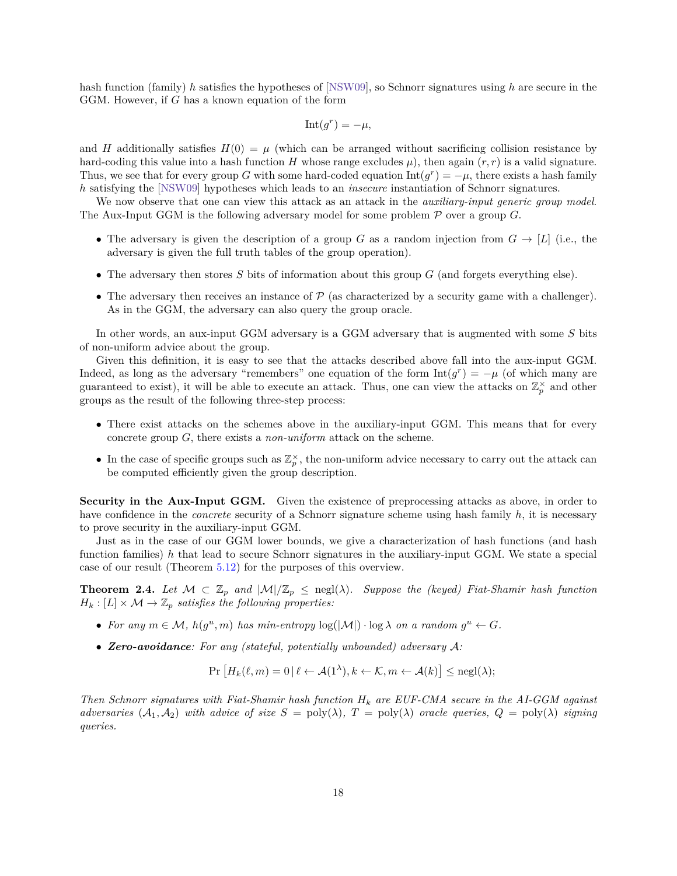hash function (family) *ℎ* satisfies the hypotheses of [\[NSW09\]](#page-58-10), so Schnorr signatures using *ℎ* are secure in the GGM. However, if  $G$  has a known equation of the form

$$
Int(g^r) = -\mu,
$$

and H additionally satisfies  $H(0) = \mu$  (which can be arranged without sacrificing collision resistance by hard-coding this value into a hash function  $H$  whose range excludes  $\mu$ ), then again  $(r, r)$  is a valid signature. Thus, we see that for every group G with some hard-coded equation  $\text{Int}(g^r) = -\mu$ , there exists a hash family *h* satisfying the [\[NSW09\]](#page-58-10) hypotheses which leads to an *insecure* instantiation of Schnorr signatures.

We now observe that one can view this attack as an attack in the *auxiliary-input generic group model*. The Aux-Input GGM is the following adversary model for some problem  $P$  over a group G.

- The adversary is given the description of a group G as a random injection from  $G \to [L]$  (i.e., the adversary is given the full truth tables of the group operation).
- The adversary then stores  $S$  bits of information about this group  $G$  (and forgets everything else).
- The adversary then receives an instance of  $P$  (as characterized by a security game with a challenger). As in the GGM, the adversary can also query the group oracle.

In other words, an aux-input GGM adversary is a GGM adversary that is augmented with some  $S$  bits of non-uniform advice about the group.

Given this definition, it is easy to see that the attacks described above fall into the aux-input GGM. Indeed, as long as the adversary "remembers" one equation of the form  $Int(g^r) = -\mu$  (of which many are guaranteed to exist), it will be able to execute an attack. Thus, one can view the attacks on  $\mathbb{Z}_p^{\times}$  and other groups as the result of the following three-step process:

- ∙ There exist attacks on the schemes above in the auxiliary-input GGM. This means that for every concrete group  $G$ , there exists a *non-uniform* attack on the scheme.
- In the case of specific groups such as  $\mathbb{Z}_p^{\times}$ , the non-uniform advice necessary to carry out the attack can be computed efficiently given the group description.

**Security in the Aux-Input GGM.** Given the existence of preprocessing attacks as above, in order to have confidence in the *concrete* security of a Schnorr signature scheme using hash family *ℎ*, it is necessary to prove security in the auxiliary-input GGM.

Just as in the case of our GGM lower bounds, we give a characterization of hash functions (and hash function families) *h* that lead to secure Schnorr signatures in the auxiliary-input GGM. We state a special case of our result (Theorem [5.12\)](#page-37-1) for the purposes of this overview.

<span id="page-19-0"></span>**Theorem 2.4.** Let  $M \subset \mathbb{Z}_p$  and  $|M|/\mathbb{Z}_p \leq \text{negl}(\lambda)$ . Suppose the (keyed) Fiat-Shamir hash function  $H_k: [L] \times \mathcal{M} \rightarrow \mathbb{Z}_p$  satisfies the following properties:

- For any  $m \in \mathcal{M}$ ,  $h(g^u, m)$  has min-entropy  $\log(|\mathcal{M}|) \cdot \log \lambda$  on a random  $g^u \leftarrow G$ .
- **Zero-avoidance**: For any (stateful, potentially unbounded) adversary A:

 $\Pr[H_k(\ell,m) = 0 \, | \, \ell \leftarrow \mathcal{A}(1^{\lambda}), k \leftarrow \mathcal{K}, m \leftarrow \mathcal{A}(k)] \leq \text{negl}(\lambda);$ 

*Then Schnorr signatures with Fiat-Shamir hash function*  $H_k$  are EUF-CMA secure in the AI-GGM against *adversaries*  $(A_1, A_2)$  *with advice of size*  $S = \text{poly}(\lambda)$ ,  $T = \text{poly}(\lambda)$  *oracle queries*,  $Q = \text{poly}(\lambda)$  *signing queries.*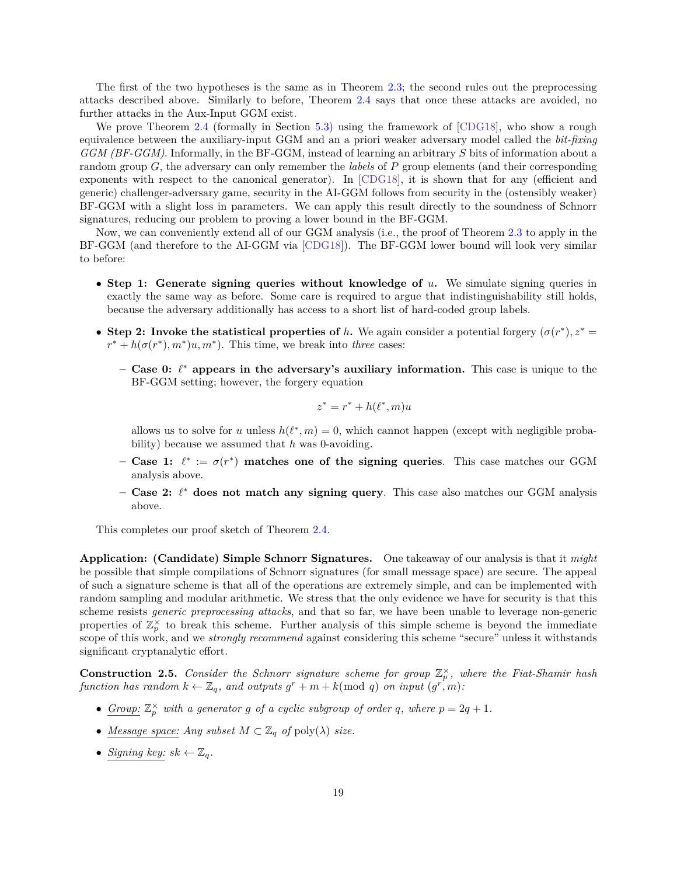The first of the two hypotheses is the same as in Theorem [2.3;](#page-17-1) the second rules out the preprocessing attacks described above. Similarly to before, Theorem [2.4](#page-19-0) says that once these attacks are avoided, no further attacks in the Aux-Input GGM exist.

We prove Theorem [2.4](#page-19-0) (formally in Section [5.3\)](#page-37-0) using the framework of [\[CDG18\]](#page-55-6), who show a rough equivalence between the auxiliary-input GGM and an a priori weaker adversary model called the *bit-fixing GGM (BF-GGM)*. Informally, in the BF-GGM, instead of learning an arbitrary S bits of information about a random group  $G$ , the adversary can only remember the *labels* of  $P$  group elements (and their corresponding exponents with respect to the canonical generator). In [\[CDG18\]](#page-55-6), it is shown that for any (efficient and generic) challenger-adversary game, security in the AI-GGM follows from security in the (ostensibly weaker) BF-GGM with a slight loss in parameters. We can apply this result directly to the soundness of Schnorr signatures, reducing our problem to proving a lower bound in the BF-GGM.

Now, we can conveniently extend all of our GGM analysis (i.e., the proof of Theorem [2.3](#page-17-1) to apply in the BF-GGM (and therefore to the AI-GGM via [\[CDG18\]](#page-55-6)). The BF-GGM lower bound will look very similar to before:

- ∙ **Step 1: Generate signing queries without knowledge of .** We simulate signing queries in exactly the same way as before. Some care is required to argue that indistinguishability still holds, because the adversary additionally has access to a short list of hard-coded group labels.
- **Step 2: Invoke the statistical properties of** *h***. We again consider a potential forgery**  $(\sigma(r^*), z^* =$  $r^* + h(\sigma(r^*), m^*)u, m^*$ . This time, we break into *three* cases:
	- **– Case 0:** *ℓ* \* **appears in the adversary's auxiliary information.** This case is unique to the BF-GGM setting; however, the forgery equation

$$
z^* = r^* + h(\ell^*, m)u
$$

allows us to solve for *u* unless  $h(\ell^*, m) = 0$ , which cannot happen (except with negligible probability) because we assumed that *h* was 0-avoiding.

- **Case 1:**  $\ell^* := \sigma(r^*)$  matches one of the signing queries. This case matches our GGM analysis above.
- **– Case 2:** *ℓ* \* **does not match any signing query**. This case also matches our GGM analysis above.

This completes our proof sketch of Theorem [2.4.](#page-19-0)

**Application: (Candidate) Simple Schnorr Signatures.** One takeaway of our analysis is that it *might* be possible that simple compilations of Schnorr signatures (for small message space) are secure. The appeal of such a signature scheme is that all of the operations are extremely simple, and can be implemented with random sampling and modular arithmetic. We stress that the only evidence we have for security is that this scheme resists *generic preprocessing attacks*, and that so far, we have been unable to leverage non-generic properties of  $\mathbb{Z}_p^{\times}$  to break this scheme. Further analysis of this simple scheme is beyond the immediate scope of this work, and we *strongly recommend* against considering this scheme "secure" unless it withstands significant cryptanalytic effort.

<span id="page-20-0"></span>**Construction 2.5.** *Consider the Schnorr signature scheme for group*  $\mathbb{Z}_p^{\times}$ , where the Fiat-Shamir hash  $function$  has random  $k \leftarrow \mathbb{Z}_q$ , and outputs  $g^r + m + k \pmod{q}$  on input  $(g^{r}, m)$ :

- *Group:*  $\mathbb{Z}_p^{\times}$  *with a generator g of a cyclic subgroup of order q, where*  $p = 2q + 1$ *.*
- *Message space: Any subset*  $M \subset \mathbb{Z}_q$  *of*  $\text{poly}(\lambda)$  *size.*
- *Signing key:*  $sk \leftarrow \mathbb{Z}_q$ .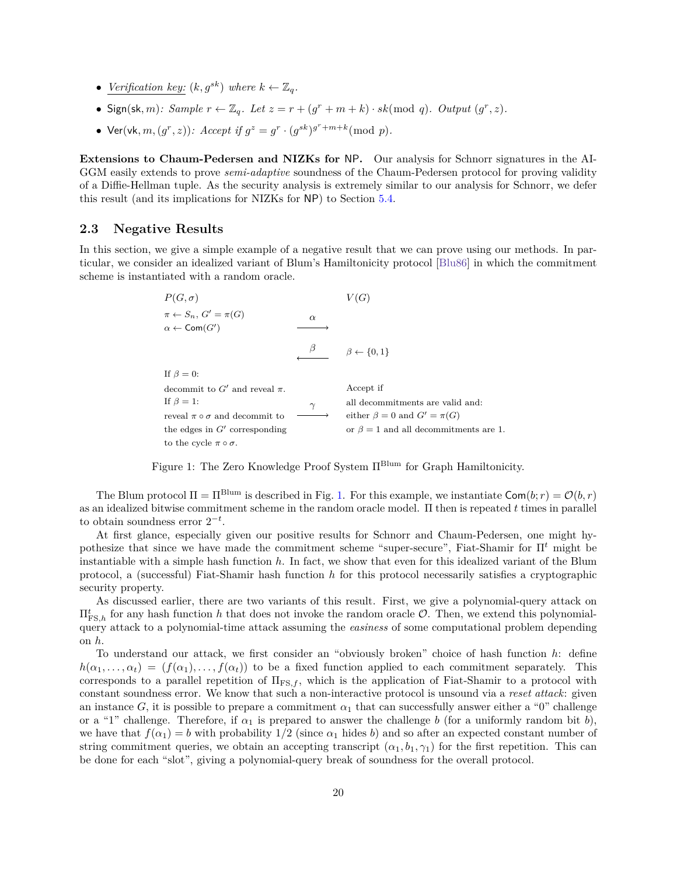- *Verification key:*  $(k, g^{sk})$  *where*  $k \leftarrow \mathbb{Z}_q$ .
- Sign(sk, m): Sample  $r \leftarrow \mathbb{Z}_q$ . Let  $z = r + (g^r + m + k) \cdot sk \pmod{q}$ . Output  $(g^r, z)$ .
- Ver(vk, m,  $(g^r, z)$ ): Accept if  $g^z = g^r \cdot (g^{sk})^{g^r + m + k}$ (mod p).

**Extensions to Chaum-Pedersen and NIZKs for** NP**.** Our analysis for Schnorr signatures in the AI-GGM easily extends to prove *semi-adaptive* soundness of the Chaum-Pedersen protocol for proving validity of a Diffie-Hellman tuple. As the security analysis is extremely similar to our analysis for Schnorr, we defer this result (and its implications for NIZKs for NP) to Section [5.4.](#page-40-0)

## <span id="page-21-0"></span>**2.3 Negative Results**

In this section, we give a simple example of a negative result that we can prove using our methods. In particular, we consider an idealized variant of Blum's Hamiltonicity protocol [\[Blu86\]](#page-54-10) in which the commitment scheme is instantiated with a random oracle.

<span id="page-21-1"></span>

| $P(G,\sigma)$                                                                |          |                                             |  |  |  |
|------------------------------------------------------------------------------|----------|---------------------------------------------|--|--|--|
| $\pi \leftarrow S_n$ , $G' = \pi(G)$<br>$\alpha \leftarrow \mathsf{Com}(G')$ | $\alpha$ |                                             |  |  |  |
|                                                                              |          | $\beta \leftarrow \{0,1\}$                  |  |  |  |
| If $\beta = 0$ :                                                             |          |                                             |  |  |  |
| decommit to G' and reveal $\pi$ .                                            |          | Accept if                                   |  |  |  |
| If $\beta = 1$ :                                                             | $\gamma$ | all decommitments are valid and:            |  |  |  |
| reveal $\pi \circ \sigma$ and decommit to                                    |          | either $\beta = 0$ and $G' = \pi(G)$        |  |  |  |
| the edges in $G'$ corresponding                                              |          | or $\beta = 1$ and all decommitments are 1. |  |  |  |
| to the cycle $\pi \circ \sigma$ .                                            |          |                                             |  |  |  |

Figure 1: The Zero Knowledge Proof System Π<sup>Blum</sup> for Graph Hamiltonicity.

The Blum protocol  $\Pi = \Pi^{\text{Blum}}$  is described in Fig. [1.](#page-21-1) For this example, we instantiate  $\text{Com}(b; r) = \mathcal{O}(b, r)$ as an idealized bitwise commitment scheme in the random oracle model. Π then is repeated times in parallel to obtain soundness error  $2^{-t}$ .

At first glance, especially given our positive results for Schnorr and Chaum-Pedersen, one might hypothesize that since we have made the commitment scheme "super-secure", Fiat-Shamir for  $\Pi^t$  might be instantiable with a simple hash function *ℎ*. In fact, we show that even for this idealized variant of the Blum protocol, a (successful) Fiat-Shamir hash function *h* for this protocol necessarily satisfies a cryptographic security property.

As discussed earlier, there are two variants of this result. First, we give a polynomial-query attack on  $\Pi_{\text{FS},h}^t$  for any hash function *h* that does not invoke the random oracle  $\mathcal{O}$ . Then, we extend this polynomialquery attack to a polynomial-time attack assuming the *easiness* of some computational problem depending on *ℎ*.

To understand our attack, we first consider an "obviously broken" choice of hash function *ℎ*: define  $h(\alpha_1, \ldots, \alpha_t) = (f(\alpha_1), \ldots, f(\alpha_t))$  to be a fixed function applied to each commitment separately. This corresponds to a parallel repetition of  $\Pi_{\text{FS},f}$ , which is the application of Fiat-Shamir to a protocol with constant soundness error. We know that such a non-interactive protocol is unsound via a *reset attack*: given an instance G, it is possible to prepare a commitment  $\alpha_1$  that can successfully answer either a "0" challenge or a "1" challenge. Therefore, if  $\alpha_1$  is prepared to answer the challenge b (for a uniformly random bit b), we have that  $f(\alpha_1) = b$  with probability  $1/2$  (since  $\alpha_1$  hides b) and so after an expected constant number of string commitment queries, we obtain an accepting transcript  $(\alpha_1, b_1, \gamma_1)$  for the first repetition. This can be done for each "slot", giving a polynomial-query break of soundness for the overall protocol.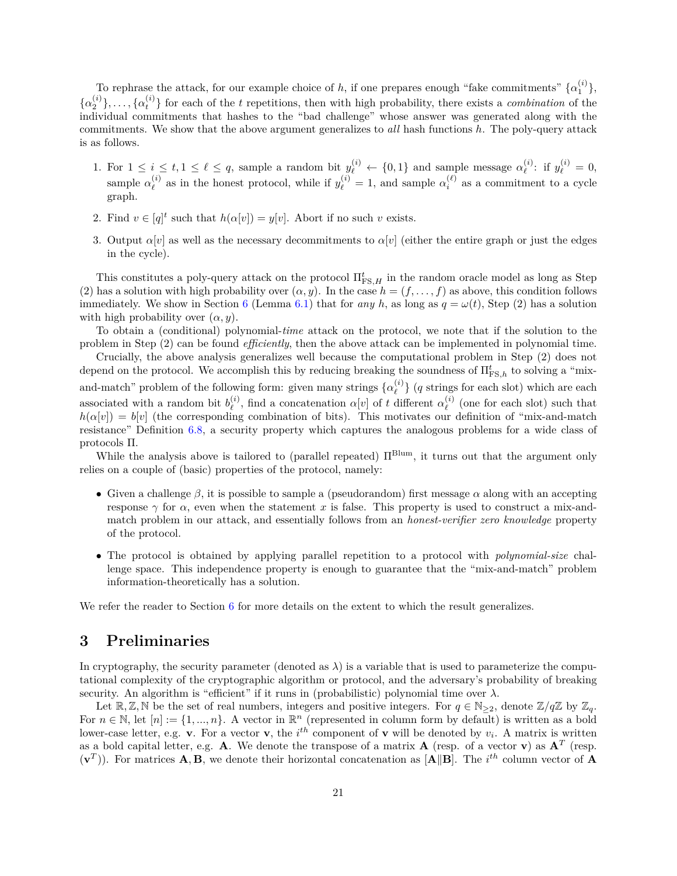To rephrase the attack, for our example choice of *h*, if one prepares enough "fake commitments"  $\{\alpha_1^{(i)}\}$ ,  $\{\alpha_2^{(i)}\},\ldots,\{\alpha_t^{(i)}\}$  for each of the t repetitions, then with high probability, there exists a *combination* of the individual commitments that hashes to the "bad challenge" whose answer was generated along with the commitments. We show that the above argument generalizes to *all* hash functions *ℎ*. The poly-query attack is as follows.

- 1. For  $1 \leq i \leq t, 1 \leq \ell \leq q$ , sample a random bit  $y_{\ell}^{(i)} \leftarrow \{0,1\}$  and sample message  $\alpha_{\ell}^{(i)}$  $y_{\ell}^{(i)}$ : if  $y_{\ell}^{(i)} = 0$ , sample  $\alpha_{\ell}^{(i)}$  $\ell_{\ell}^{(i)}$  as in the honest protocol, while if  $y_{\ell}^{(i)} = 1$ , and sample  $\alpha_i^{(\ell)}$  as a commitment to a cycle graph.
- 2. Find  $v \in [q]^t$  such that  $h(\alpha[v]) = y[v]$ . Abort if no such v exists.
- 3. Output  $\alpha[v]$  as well as the necessary decommitments to  $\alpha[v]$  (either the entire graph or just the edges in the cycle).

This constitutes a poly-query attack on the protocol  $\Pi_{\text{FS},H}^t$  in the random oracle model as long as Step (2) has a solution with high probability over  $(\alpha, y)$ . In the case  $h = (f, \ldots, f)$  as above, this condition follows immediately. We show in Section [6](#page-44-1) (Lemma [6.1\)](#page-45-1) that for *any h*, as long as  $q = \omega(t)$ , Step (2) has a solution with high probability over  $(\alpha, y)$ .

To obtain a (conditional) polynomial-*time* attack on the protocol, we note that if the solution to the problem in Step (2) can be found *efficiently*, then the above attack can be implemented in polynomial time.

Crucially, the above analysis generalizes well because the computational problem in Step (2) does not depend on the protocol. We accomplish this by reducing breaking the soundness of  $\Pi_{\text{FS},h}^t$  to solving a "mixand-match" problem of the following form: given many strings  $\{\alpha_{\ell}^{(i)}\}$  $\binom{n}{\ell}$  (*q* strings for each slot) which are each associated with a random bit  $b_{\ell}^{(i)}$  $\alpha_{\ell}^{(i)}$ , find a concatenation  $\alpha[v]$  of t different  $\alpha_{\ell}^{(i)}$  $\ell$ <sup>(*i*</sup>) (one for each slot) such that  $h(\alpha[v]) = b[v]$  (the corresponding combination of bits). This motivates our definition of "mix-and-match" resistance" Definition [6.8,](#page-50-1) a security property which captures the analogous problems for a wide class of protocols Π.

While the analysis above is tailored to (parallel repeated)  $\Pi^{\text{Blum}}$ , it turns out that the argument only relies on a couple of (basic) properties of the protocol, namely:

- Given a challenge  $\beta$ , it is possible to sample a (pseudorandom) first message  $\alpha$  along with an accepting response  $\gamma$  for  $\alpha$ , even when the statement x is false. This property is used to construct a mix-andmatch problem in our attack, and essentially follows from an *honest-verifier zero knowledge* property of the protocol.
- ∙ The protocol is obtained by applying parallel repetition to a protocol with *polynomial-size* challenge space. This independence property is enough to guarantee that the "mix-and-match" problem information-theoretically has a solution.

We refer the reader to Section [6](#page-44-1) for more details on the extent to which the result generalizes.

## <span id="page-22-0"></span>**3 Preliminaries**

In cryptography, the security parameter (denoted as  $\lambda$ ) is a variable that is used to parameterize the computational complexity of the cryptographic algorithm or protocol, and the adversary's probability of breaking security. An algorithm is "efficient" if it runs in (probabilistic) polynomial time over  $\lambda$ .

Let  $\mathbb{R}, \mathbb{Z}, \mathbb{N}$  be the set of real numbers, integers and positive integers. For  $q \in \mathbb{N}_{\geq 2}$ , denote  $\mathbb{Z}/q\mathbb{Z}$  by  $\mathbb{Z}_q$ . For  $n \in \mathbb{N}$ , let  $[n] := \{1, ..., n\}$ . A vector in  $\mathbb{R}^n$  (represented in column form by default) is written as a bold lower-case letter, e.g. **v**. For a vector **v**, the  $i^{th}$  component of **v** will be denoted by  $v_i$ . A matrix is written as a bold capital letter, e.g. **A**. We denote the transpose of a matrix **A** (resp. of a vector **v**) as  $A<sup>T</sup>$  (resp.  $(\mathbf{v}^T)$ ). For matrices **A**, **B**, we denote their horizontal concatenation as [**A**||**B**]. The  $i^{th}$  column vector of **A**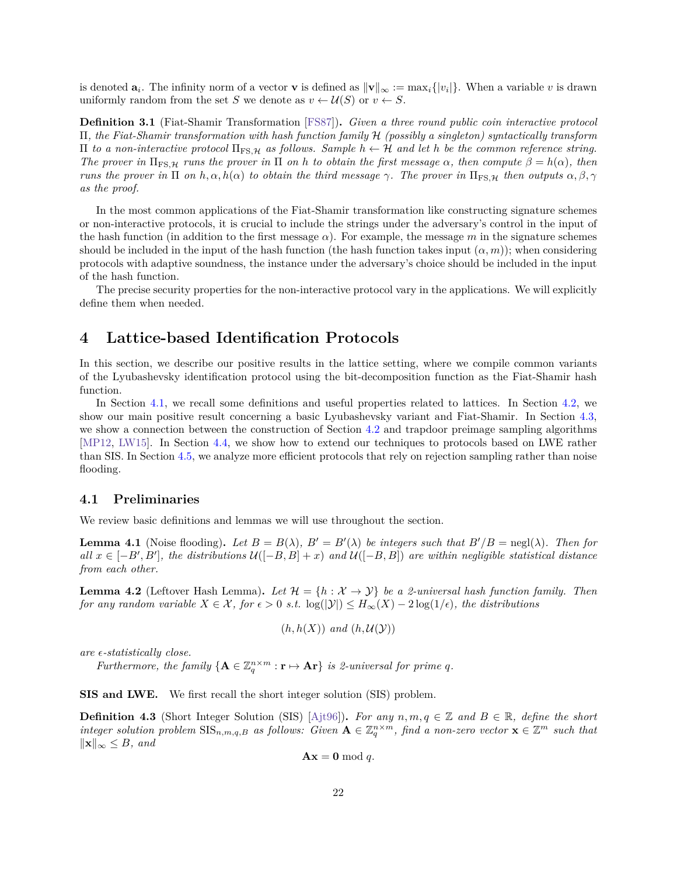is denoted  $a_i$ . The infinity norm of a vector **v** is defined as  $\|\mathbf{v}\|_{\infty} := \max_i \{|v_i|\}$ . When a variable v is drawn uniformly random from the set S we denote as  $v \leftarrow \mathcal{U}(S)$  or  $v \leftarrow S$ .

**Definition 3.1** (Fiat-Shamir Transformation [\[FS87\]](#page-56-0))**.** *Given a three round public coin interactive protocol* Π*, the Fiat-Shamir transformation with hash function family* ℋ *(possibly a singleton) syntactically transform*  $\Pi$  *to a non-interactive protocol*  $\Pi$ <sub>FS, *H*</sub> *as follows. Sample h* ← *H and let h be the common reference string. The prover in*  $\Pi_{FS,H}$  *runs the prover in*  $\Pi$  *on h to obtain the first message*  $\alpha$ *, then compute*  $\beta = h(\alpha)$ *, then runs the prover in*  $\Pi$  *on*  $h, \alpha, h(\alpha)$  *to obtain the third message*  $\gamma$ . The prover in  $\Pi_{FS,H}$  *then outputs*  $\alpha, \beta, \gamma$ *as the proof.*

In the most common applications of the Fiat-Shamir transformation like constructing signature schemes or non-interactive protocols, it is crucial to include the strings under the adversary's control in the input of the hash function (in addition to the first message  $\alpha$ ). For example, the message m in the signature schemes should be included in the input of the hash function (the hash function takes input  $(\alpha, m)$ ); when considering protocols with adaptive soundness, the instance under the adversary's choice should be included in the input of the hash function.

The precise security properties for the non-interactive protocol vary in the applications. We will explicitly define them when needed.

## <span id="page-23-0"></span>**4 Lattice-based Identification Protocols**

In this section, we describe our positive results in the lattice setting, where we compile common variants of the Lyubashevsky identification protocol using the bit-decomposition function as the Fiat-Shamir hash function.

In Section [4.1,](#page-23-1) we recall some definitions and useful properties related to lattices. In Section [4.2,](#page-24-0) we show our main positive result concerning a basic Lyubashevsky variant and Fiat-Shamir. In Section [4.3,](#page-27-0) we show a connection between the construction of Section [4.2](#page-24-0) and trapdoor preimage sampling algorithms [\[MP12,](#page-57-7) [LW15\]](#page-57-8). In Section [4.4,](#page-28-0) we show how to extend our techniques to protocols based on LWE rather than SIS. In Section [4.5,](#page-32-0) we analyze more efficient protocols that rely on rejection sampling rather than noise flooding.

## <span id="page-23-1"></span>**4.1 Preliminaries**

<span id="page-23-2"></span>We review basic definitions and lemmas we will use throughout the section.

**Lemma 4.1** (Noise flooding). Let  $B = B(\lambda)$ ,  $B' = B'(\lambda)$  be integers such that  $B'/B = \text{negl}(\lambda)$ . Then for  $all \ x \in [-B', B'], \ the \ distributions \ \mathcal{U}([-B, B] + x) \ and \ \mathcal{U}([-B, B]) \ are \ within \ negligible \ statistical \ distance$ *from each other.*

**Lemma 4.2** (Leftover Hash Lemma). Let  $\mathcal{H} = \{h : \mathcal{X} \to \mathcal{Y}\}\$ be a 2-universal hash function family. Then *for any random variable*  $X \in \mathcal{X}$ , *for*  $\epsilon > 0$  *s.t.* log( $|\mathcal{Y}|$ )  $\leq H_{\infty}(X) - 2 \log(1/\epsilon)$ , the distributions

$$
(h, h(X))
$$
 and  $(h, U(Y))$ 

*are -statistically close.*

*Furthermore, the family*  ${A \in \mathbb{Z}_q^{n \times m} : \mathbf{r} \mapsto \mathbf{Ar}}$  *is 2-universal for prime q.* 

**SIS and LWE.** We first recall the short integer solution (SIS) problem.

**Definition 4.3** (Short Integer Solution (SIS) [\[Ajt96\]](#page-53-1)). For any  $n, m, q \in \mathbb{Z}$  and  $B \in \mathbb{R}$ , define the short  $\int$ *integer solution problem*  $\text{SIS}_{n,m,q,B}$  as follows: Given  $\mathbf{A} \in \mathbb{Z}_q^{n \times m}$ , find a non-zero vector  $\mathbf{x} \in \mathbb{Z}^m$  such that  $\|\mathbf{x}\|_{∞}$  ≤ *B*, and

$$
\mathbf{A}\mathbf{x} = \mathbf{0} \bmod q.
$$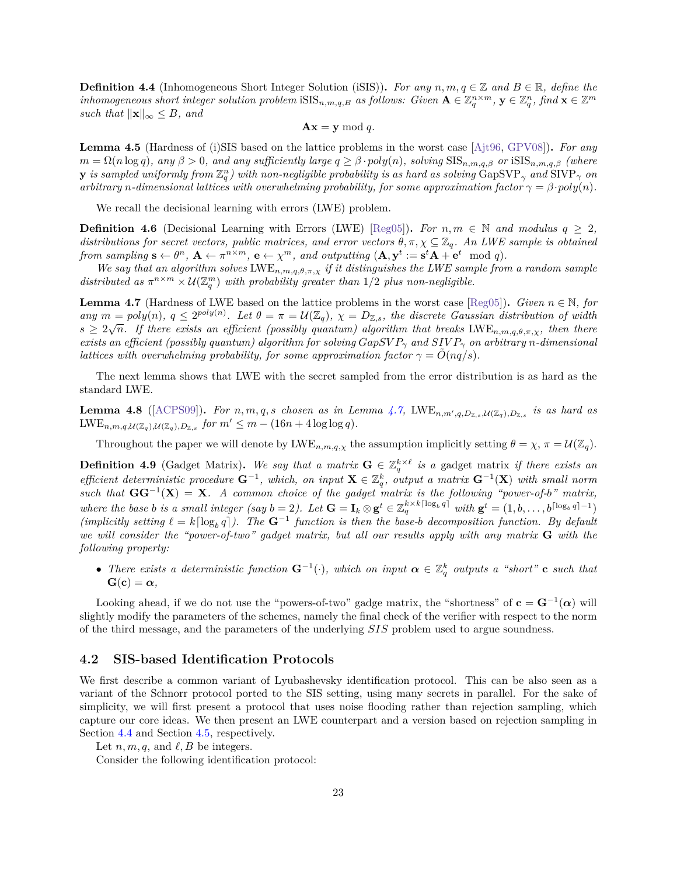**Definition 4.4** (Inhomogeneous Short Integer Solution (iSIS)). For any  $n, m, q \in \mathbb{Z}$  and  $B \in \mathbb{R}$ , define the  $i$  *inhomogeneous short integer solution problem*  $\text{iSIS}_{n,m,q,B}$  as follows: Given  $\mathbf{A} \in \mathbb{Z}_q^{n \times m}$ ,  $\mathbf{y} \in \mathbb{Z}_q^n$ ,  $\text{find } \mathbf{x} \in \mathbb{Z}^m$ *such that*  $\|\mathbf{x}\|_{\infty} \leq B$ , and

$$
\mathbf{A}\mathbf{x} = \mathbf{y} \bmod q.
$$

**Lemma 4.5** (Hardness of (i)SIS based on the lattice problems in the worst case [\[Ajt96,](#page-53-1) [GPV08\]](#page-56-7))**.** *For any*  $m = \Omega(n \log q)$ , any  $\beta > 0$ , and any sufficiently large  $q \geq \beta \cdot poly(n)$ , solving  $\text{SIS}_{n,m,q,\beta}$  or  $\text{tSIS}_{n,m,q,\beta}$  (where  ${\bf y}$  *is sampled uniformly from*  $\mathbb{Z}_q^n$  ) with non-negligible probability is as hard as solving  $\widehat{\rm{GapSVP}}_\gamma$  and  $\widehat{\rm{SIVP}}_\gamma$  on *arbitrary n*-dimensional lattices with overwhelming probability, for some approximation factor  $\gamma = \beta \cdot poly(n)$ .

We recall the decisional learning with errors (LWE) problem.

**Definition 4.6** (Decisional Learning with Errors (LWE) [\[Reg05\]](#page-58-12)). For  $n, m \in \mathbb{N}$  and modulus  $q \geq 2$ , *distributions for secret vectors, public matrices, and error vectors*  $\theta, \pi, \chi \subseteq \mathbb{Z}_q$ . An LWE sample is obtained *from sampling*  $\mathbf{s} \leftarrow \theta^n$ ,  $\mathbf{A} \leftarrow \pi^{n \times m}$ ,  $\mathbf{e} \leftarrow \chi^m$ , and outputting  $(\mathbf{A}, \mathbf{y}^t := \mathbf{s}^t \mathbf{A} + \mathbf{e}^t \mod q)$ .

We say that an algorithm solves  $LWE_{n,m,q,\theta,\pi,\chi}$  if it distinguishes the LWE sample from a random sample distributed as  $\pi^{n \times m} \times \mathcal{U}(\mathbb{Z}_q^m)$  with probability greater than  $1/2$  plus non-negligible.

<span id="page-24-1"></span>**Lemma 4.7** (Hardness of LWE based on the lattice problems in the worst case [\[Reg05\]](#page-58-12)). *Given*  $n \in \mathbb{N}$ *, for*  $\lim_{n \to \infty} m = poly(n), \ q \leq 2^{poly(n)}.$  Let  $\theta = \pi = \mathcal{U}(\mathbb{Z}_q), \ \chi = D_{\mathbb{Z},s}$ , the discrete Gaussian distribution of width  $s \geq 2\sqrt{n}$ . If there exists an efficient (possibly quantum) algorithm that breaks LWE<sub>n,m,q, $\theta$ , $\pi$ , $\chi$ , then there</sub> *exists an efficient (possibly quantum) algorithm for solving*  $GapSVP_{\gamma}$  and  $SIVP_{\gamma}$  on arbitrary *n*-dimensional *lattices with overwhelming probability, for some approximation factor*  $\gamma = O(nq/s)$ .

The next lemma shows that LWE with the secret sampled from the error distribution is as hard as the standard LWE.

**Lemma 4.8** ([\[ACPS09\]](#page-53-2)). For  $n, m, q, s$  chosen as in Lemma [4.7,](#page-24-1) LWE<sub>n,m',q,Dz,s,U(Z<sub>q)</sub>,Dz,s</sub> is as hard as  $LWE_{n,m,q,\mathcal{U}(\mathbb{Z}_q),\mathcal{U}(\mathbb{Z}_q),D_{\mathbb{Z},s}}$  for  $m' \leq m - (16n + 4\log \log q)$ .

Throughout the paper we will denote by  $LWE_{n,m,q,\chi}$  the assumption implicitly setting  $\theta = \chi$ ,  $\pi = \mathcal{U}(\mathbb{Z}_q)$ .

<span id="page-24-2"></span>**Definition 4.9** (Gadget Matrix). We say that a matrix  $\mathbf{G} \in \mathbb{Z}_q^{k \times \ell}$  is a gadget matrix if there exists an  $f(x) = \frac{f(x)}{g(x)}$  *efficient deterministic procedure*  $\mathbf{G}^{-1}$ , which, on input  $\mathbf{X} \in \mathbb{Z}_q^k$ , output a matrix  $\mathbf{G}^{-1}(\mathbf{X})$  with small norm *such that*  $GG^{-1}(X) = X$ *. A common choice of the gadget matrix is the following "power-of-b" matrix, where the base b is a small integer (say*  $b = 2$ *). Let*  $\mathbf{G} = \mathbf{I}_k \otimes \mathbf{g}^t \in \mathbb{Z}_q^{k \times k \lceil \log_b q \rceil}$  *with*  $\mathbf{g}^t = (1, b, \ldots, b^{\lceil \log_b q \rceil - 1})$  $(implicitly setting \ell = k[log_b q])$ . The  $G^{-1}$  function is then the base-b decomposition function. By default *we will consider the "power-of-two" gadget matrix, but all our results apply with any matrix* **G** *with the following property:*

• *There exists a deterministic function*  $\mathbf{G}^{-1}(\cdot)$ , which on input  $\boldsymbol{\alpha} \in \mathbb{Z}_q^k$  outputs a "short" **c** such that  $G(c) = \alpha$ ,

Looking ahead, if we do not use the "powers-of-two" gadge matrix, the "shortness" of  $c = G^{-1}(\alpha)$  will slightly modify the parameters of the schemes, namely the final check of the verifier with respect to the norm of the third message, and the parameters of the underlying SIS problem used to argue soundness.

### <span id="page-24-0"></span>**4.2 SIS-based Identification Protocols**

We first describe a common variant of Lyubashevsky identification protocol. This can be also seen as a variant of the Schnorr protocol ported to the SIS setting, using many secrets in parallel. For the sake of simplicity, we will first present a protocol that uses noise flooding rather than rejection sampling, which capture our core ideas. We then present an LWE counterpart and a version based on rejection sampling in Section [4.4](#page-28-0) and Section [4.5,](#page-32-0) respectively.

Let  $n, m, q$ , and  $\ell, B$  be integers.

Consider the following identification protocol: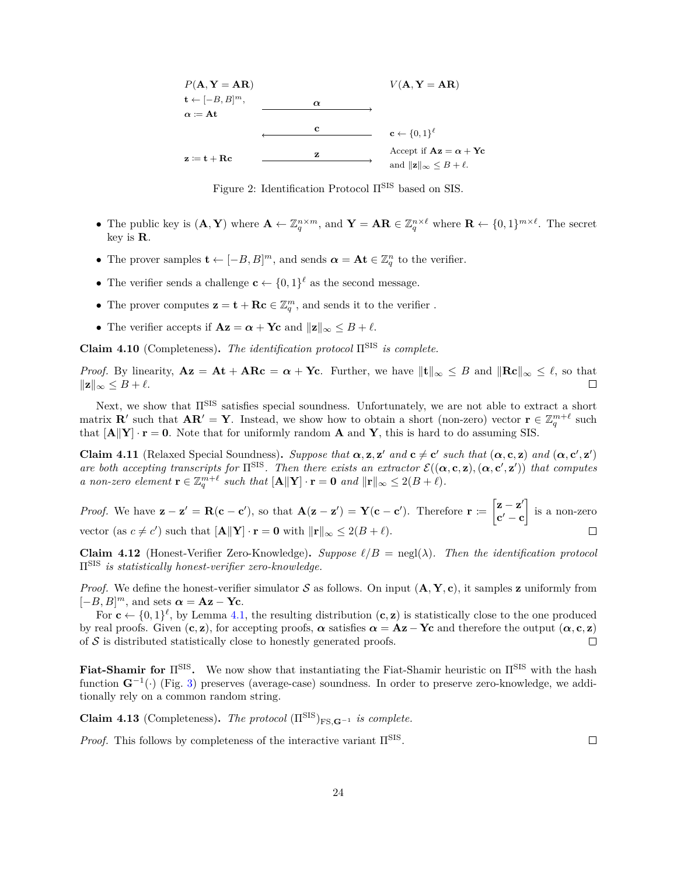

<span id="page-25-3"></span>Figure 2: Identification Protocol ΠSIS based on SIS.

- The public key is  $(\mathbf{A}, \mathbf{Y})$  where  $\mathbf{A} \leftarrow \mathbb{Z}_q^{n \times m}$ , and  $\mathbf{Y} = \mathbf{A}\mathbf{R} \in \mathbb{Z}_q^{n \times \ell}$  where  $\mathbf{R} \leftarrow \{0,1\}^{m \times \ell}$ . The secret key is **R**.
- The prover samples  $\mathbf{t} \leftarrow [-B, B]^m$ , and sends  $\boldsymbol{\alpha} = \mathbf{A} \mathbf{t} \in \mathbb{Z}_q^n$  to the verifier.
- The verifier sends a challenge  $\mathbf{c} \leftarrow \{0,1\}^{\ell}$  as the second message.
- The prover computes  $\mathbf{z} = \mathbf{t} + \mathbf{R}\mathbf{c} \in \mathbb{Z}_q^m$ , and sends it to the verifier .
- The verifier accepts if  $Az = \alpha + Yc$  and  $||z||_{\infty} \leq B + \ell$ .

**Claim 4.10** (Completeness). The identification protocol  $\Pi^{\text{SIS}}$  is complete.

*Proof.* By linearity,  $Az = At + ARc = \alpha + Yc$ . Further, we have  $||t||_{\infty} \leq B$  and  $||Rc||_{\infty} \leq \ell$ , so that  $\|\mathbf{z}\|_{\infty} \leq B + \ell.$  $\Box$ 

Next, we show that  $\Pi^{\rm SIS}$  satisfies special soundness. Unfortunately, we are not able to extract a short matrix **R**<sup>′</sup> such that  $AR' = Y$ . Instead, we show how to obtain a short (non-zero) vector  $\mathbf{r} \in \mathbb{Z}_q^{m+\ell}$  such that  $[A||Y] \cdot r = 0$ . Note that for uniformly random **A** and **Y**, this is hard to do assuming SIS.

<span id="page-25-2"></span>**Claim 4.11** (Relaxed Special Soundness). Suppose that  $\alpha$ ,  $z$ ,  $z'$  and  $c \neq c'$  such that  $(\alpha, c, z)$  and  $(\alpha, c', z')$ *are both accepting transcripts for*  $\Pi^{\text{SIS}}$ . Then there exists an extractor  $\mathcal{E}((\alpha, \mathbf{c}, \mathbf{z}), (\alpha, \mathbf{c}', \mathbf{z}'))$  that computes *a* non-zero element  $\mathbf{r} \in \mathbb{Z}_q^{m+\ell}$  such that  $[\mathbf{A} \Vert \mathbf{Y}] \cdot \mathbf{r} = \mathbf{0}$  and  $\|\mathbf{r}\|_{\infty} \leq 2(B+\ell)$ .

*Proof.* We have  $\mathbf{z} - \mathbf{z}' = \mathbf{R}(\mathbf{c} - \mathbf{c}')$ , so that  $\mathbf{A}(\mathbf{z} - \mathbf{z}') = \mathbf{Y}(\mathbf{c} - \mathbf{c}')$ . Therefore  $\mathbf{r} := \begin{bmatrix} \mathbf{z} - \mathbf{z}' \\ \mathbf{z}' & \mathbf{z}' \end{bmatrix}$  $\Big]$  is a non-zero  $\mathbf{c}'-\mathbf{c}$ vector (as  $c \neq c'$ ) such that  $[\mathbf{A} || \mathbf{Y}] \cdot \mathbf{r} = \mathbf{0}$  with  $||\mathbf{r}||_{\infty} \leq 2(B + \ell)$ .  $\Box$ 

<span id="page-25-1"></span>**Claim 4.12** (Honest-Verifier Zero-Knowledge). Suppose  $\ell/B = \text{negl}(\lambda)$ . Then the identification protocol ΠSIS *is statistically honest-verifier zero-knowledge.*

*Proof.* We define the honest-verifier simulator  $S$  as follows. On input  $(A, Y, c)$ , it samples **z** uniformly from  $[-B, B]^m$ , and sets  $\boldsymbol{\alpha} = \mathbf{A}\mathbf{z} - \mathbf{Y}\mathbf{c}$ .

For  $\mathbf{c} \leftarrow \{0,1\}^{\ell}$ , by Lemma [4.1,](#page-23-2) the resulting distribution  $(\mathbf{c}, \mathbf{z})$  is statistically close to the one produced by real proofs. Given  $(c, z)$ , for accepting proofs,  $\alpha$  satisfies  $\alpha = Az - Yc$  and therefore the output  $(\alpha, c, z)$ of  $S$  is distributed statistically close to honestly generated proofs.  $\Box$ 

**Fiat-Shamir for**  $\Pi^{\text{SIS}}$ . We now show that instantiating the Fiat-Shamir heuristic on  $\Pi^{\text{SIS}}$  with the hash function  $\mathbf{G}^{-1}(\cdot)$  (Fig. [3\)](#page-26-0) preserves (average-case) soundness. In order to preserve zero-knowledge, we additionally rely on a common random string.

**Claim 4.13** (Completeness). *The protocol* ( $\Pi^{\text{SIS}}$ )<sub>FS  $G^{-1}$ </sub> *is complete.* 

<span id="page-25-0"></span>*Proof.* This follows by completeness of the interactive variant  $\Pi^{\text{SIS}}$ .

 $\Box$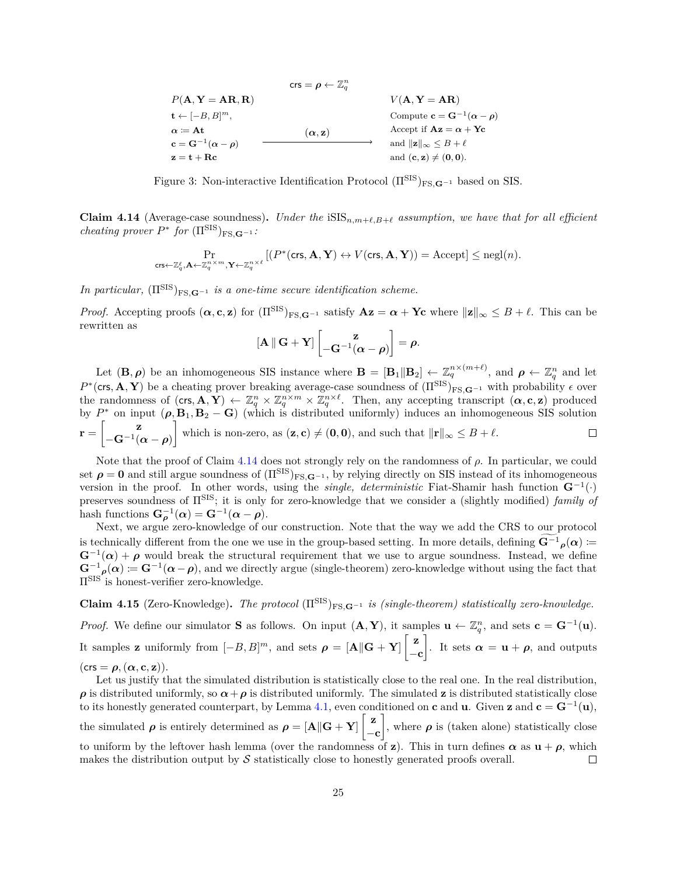<span id="page-26-0"></span>
$$
P(\mathbf{A}, \mathbf{Y} = \mathbf{A}\mathbf{R}, \mathbf{R})
$$
\n
$$
\mathbf{t} \leftarrow [-B, B]^m,
$$
\n
$$
\mathbf{a} := \mathbf{A}\mathbf{t}
$$
\n
$$
\mathbf{c} = \mathbf{G}^{-1}(\alpha - \rho)
$$
\n
$$
\mathbf{z} = \mathbf{t} + \mathbf{R}\mathbf{c}
$$
\n
$$
\mathbf{c} = \mathbf{A}\mathbf{t}
$$
\n
$$
\mathbf{c} = \mathbf{A}\mathbf{t}
$$
\n
$$
\mathbf{c} = \mathbf{A}\mathbf{t}
$$
\n
$$
\mathbf{c} = \mathbf{A}\mathbf{t}
$$
\n
$$
\mathbf{a} \times \mathbf{b}
$$
\n
$$
\mathbf{b} \times \mathbf{c} = \mathbf{b}
$$
\n
$$
\mathbf{a} \times \mathbf{b}
$$
\n
$$
\mathbf{b} \times \mathbf{c} \times \mathbf{c}
$$
\n
$$
\mathbf{a} \times \mathbf{b}
$$
\n
$$
\mathbf{b} \times \mathbf{c}
$$
\n
$$
\mathbf{b} \times \mathbf{c}
$$
\n
$$
\mathbf{c} \times \mathbf{b}
$$
\n
$$
\mathbf{a} \times \mathbf{b}
$$
\n
$$
\mathbf{b} \times \mathbf{c}
$$
\n
$$
\mathbf{a} \times \mathbf{b}
$$
\n
$$
\mathbf{b} \times \mathbf{c}
$$
\n
$$
\mathbf{a} \times \mathbf{b}
$$
\n
$$
\mathbf{b} \times \mathbf{c}
$$
\n
$$
\mathbf{a} \times \mathbf{b}
$$
\n
$$
\mathbf{a} \times \mathbf{b}
$$
\n
$$
\mathbf{b} \times \mathbf{c}
$$
\n
$$
\mathbf{a} \times \mathbf{b}
$$
\n
$$
\mathbf{b} \times \mathbf{c}
$$
\n
$$
\mathbf{a} \times \mathbf{b}
$$
\n
$$
\mathbf{b} \times \mathbf{c}
$$
\n
$$
\mathbf{b} \times \mathbf{c}
$$
\n
$$
\mathbf
$$

Figure 3: Non-interactive Identification Protocol  $(\Pi^{\text{SIS}})_{\text{FS},\mathbf{G}^{-1}}$  based on SIS.

**Claim 4.14** (Average-case soundness). *Under the*  $iSIS_{n,m+\ell,B+\ell}$  *assumption, we have that for all efficient cheating prover*  $P^*$  *for*  $(\Pi^{\text{SIS}})_{\text{FS},\mathbf{G}^{-1}}$ *:* 

$$
\Pr_{\mathrm{crs} \leftarrow \mathbb{Z}_q^\ell, \mathbf{A} \leftarrow \mathbb{Z}_q^{n \times m}, \mathbf{Y} \leftarrow \mathbb{Z}_q^{n \times \ell}} \left[ (P^*(\mathrm{crs}, \mathbf{A}, \mathbf{Y}) \leftrightarrow V(\mathrm{crs}, \mathbf{A}, \mathbf{Y}) \right) = \mathrm{Accept} \right] \leq \mathrm{negl}(n).
$$

*In particular,*  $(\Pi^{\text{SIS}})_{\text{FS},\mathbf{G}^{-1}}$  *is a one-time secure identification scheme.* 

*Proof.* Accepting proofs  $(\boldsymbol{\alpha}, \mathbf{c}, \mathbf{z})$  for  $(\Pi^{\text{SIS}})_{\text{FS}, \mathbf{G}^{-1}}$  satisfy  $\mathbf{A}\mathbf{z} = \boldsymbol{\alpha} + \mathbf{Yc}$  where  $\|\mathbf{z}\|_{\infty} \leq B + \ell$ . This can be rewritten as

$$
[\mathbf{A} \parallel \mathbf{G} + \mathbf{Y}] \begin{bmatrix} \mathbf{z} \\ -\mathbf{G}^{-1}(\alpha - \rho) \end{bmatrix} = \rho.
$$

Let  $(\mathbf{B}, \boldsymbol{\rho})$  be an inhomogeneous SIS instance where  $\mathbf{B} = [\mathbf{B}_1 || \mathbf{B}_2] \leftarrow \mathbb{Z}_q^{n \times (m+\ell)}$ , and  $\boldsymbol{\rho} \leftarrow \mathbb{Z}_q^n$  and let  $P^*(\text{crs}, \mathbf{A}, \mathbf{Y})$  be a cheating prover breaking average-case soundness of  $(\Pi^{\text{SIS}})_{\text{FS},\mathbf{G}^{-1}}$  with probability  $\epsilon$  over the randomness of  $(\mathsf{crs}, \mathbf{A}, \mathbf{Y}) \leftarrow \mathbb{Z}_q^n \times \mathbb{Z}_q^{n \times m} \times \mathbb{Z}_q^{n \times \ell}$ . Then, any accepting transcript  $(\alpha, \mathbf{c}, \mathbf{z})$  produced by  $P^*$  on input  $(\rho, \mathbf{B}_1, \mathbf{B}_2 - \mathbf{G})$  (which is distributed uniformly) induces an inhomogeneous SIS solution  $\mathbf{r} = \begin{bmatrix} \mathbf{z} \\ \mathbf{z} \end{bmatrix}$ which is non-zero, as  $(\mathbf{z}, \mathbf{c}) \neq (\mathbf{0}, \mathbf{0})$ , and such that  $\|\mathbf{r}\|_{\infty} \leq B + \ell$ .  $\Box$  $-\mathbf{G}^{-1}(\boldsymbol{\alpha}-\boldsymbol{\rho})$ 

Note that the proof of Claim [4.14](#page-25-0) does not strongly rely on the randomness of  $\rho$ . In particular, we could set  $\rho = 0$  and still argue soundness of  $(\Pi^{SIS})_{FS,G^{-1}}$ , by relying directly on SIS instead of its inhomogeneous version in the proof. In other words, using the *single, deterministic* Fiat-Shamir hash function **G**<sup>−</sup><sup>1</sup> (·) preserves soundness of ΠSIS; it is only for zero-knowledge that we consider a (slightly modified) *family of* hash functions  $\mathbf{G}_{\rho}^{-1}(\alpha) = \mathbf{G}^{-1}(\alpha - \rho)$ .

Next, we argue zero-knowledge of our construction. Note that the way we add the CRS to our protocol is technically different from the one we use in the group-based setting. In more details, defining  $\mathbf{G}^{-1} \rho(\alpha) =$  $\mathbf{G}^{-1}(\alpha) + \rho$  would break the structural requirement that we use to argue soundness. Instead, we define  $\mathbf{G}^{-1}(\alpha) := \mathbf{G}^{-1}(\alpha - \rho)$ , and we directly argue (single-theorem) zero-knowledge without using the fact that ΠSIS is honest-verifier zero-knowledge.

<span id="page-26-1"></span>**Claim 4.15** (Zero-Knowledge). The protocol  $(\Pi^{\text{SIS}})_{\text{FS},\mathbf{G}^{-1}}$  *is (single-theorem) statistically zero-knowledge.* 

*Proof.* We define our simulator **S** as follows. On input  $(A, Y)$ , it samples  $\mathbf{u} \leftarrow \mathbb{Z}_q^n$ , and sets  $\mathbf{c} = \mathbf{G}^{-1}(\mathbf{u})$ . It samples **z** uniformly from  $[-B, B]^m$ , and sets  $\rho = [\mathbf{A} || \mathbf{G} + \mathbf{Y}]$ −**c** l. It sets  $\alpha = \mathbf{u} + \boldsymbol{\rho}$ , and outputs  $(crs = \rho, (\alpha, c, z)).$ 

Let us justify that the simulated distribution is statistically close to the real one. In the real distribution,  $\rho$  is distributed uniformly, so  $\alpha + \rho$  is distributed uniformly. The simulated **z** is distributed statistically close to its honestly generated counterpart, by Lemma [4.1,](#page-23-2) even conditioned on **c** and **u**. Given **z** and  $\mathbf{c} = \mathbf{G}^{-1}(\mathbf{u})$ , the simulated  $\rho$  is entirely determined as  $\rho = [\mathbf{A} || \mathbf{G} + \mathbf{Y}] \begin{bmatrix} z \end{bmatrix}$ , where  $\rho$  is (taken alone) statistically close −**c** to uniform by the leftover hash lemma (over the randomness of **z**). This in turn defines  $\alpha$  as  $\mathbf{u} + \rho$ , which makes the distribution output by  $S$  statistically close to honestly generated proofs overall.  $\Box$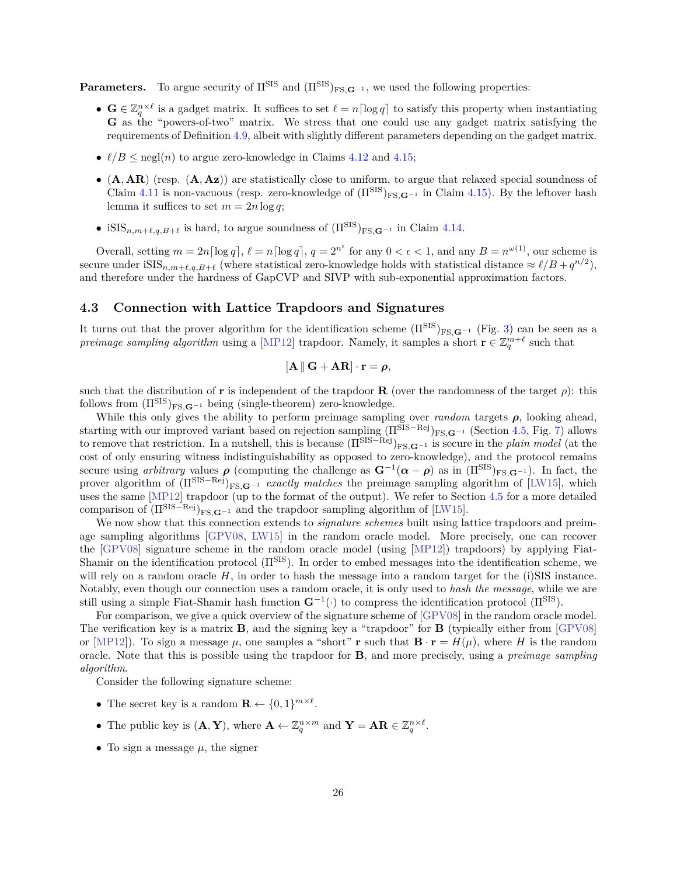**Parameters.** To argue security of  $\Pi^{\text{SIS}}$  and  $(\Pi^{\text{SIS}})_{\text{FS}}$   $\mathbf{G}^{-1}$ , we used the following properties:

- $\mathbf{G} \in \mathbb{Z}_q^{n \times \ell}$  is a gadget matrix. It suffices to set  $\ell = n \lceil \log q \rceil$  to satisfy this property when instantiating **G** as the "powers-of-two" matrix. We stress that one could use any gadget matrix satisfying the requirements of Definition [4.9,](#page-24-2) albeit with slightly different parameters depending on the gadget matrix.
- $\ell/B \leq$  negl(*n*) to argue zero-knowledge in Claims [4.12](#page-25-1) and [4.15;](#page-26-1)
- ∙ (**A***,* **AR**) (resp. (**A***,* **Az**)) are statistically close to uniform, to argue that relaxed special soundness of Claim  $4.11$  is non-vacuous (resp. zero-knowledge of  $(\Pi^{\text{SIS}})_{\text{FS},\mathbf{G}^{-1}}$  in Claim [4.15\)](#page-26-1). By the leftover hash lemma it suffices to set  $m = 2n \log q$ ;
- iSIS<sub>n,m+ $\ell$ , $q$ , $B+\ell$  is hard, to argue soundness of  $(\Pi^{\text{SIS}})_{\text{FS},\mathbf{G}^{-1}}$  in Claim [4.14.](#page-25-0)</sub>

Overall, setting  $m = 2n \lceil \log q \rceil$ ,  $\ell = n \lceil \log q \rceil$ ,  $q = 2^{n^{\epsilon}}$  for any  $0 < \epsilon < 1$ , and any  $B = n^{\omega(1)}$ , our scheme is secure under  $\text{iSIS}_{n,m+\ell,q,B+\ell}$  (where statistical zero-knowledge holds with statistical distance  $\approx \ell/B + q^{n/2}$ ), and therefore under the hardness of GapCVP and SIVP with sub-exponential approximation factors.

## <span id="page-27-0"></span>**4.3 Connection with Lattice Trapdoors and Signatures**

It turns out that the prover algorithm for the identification scheme  $(\Pi^{\text{SIS}})_{\text{FS},\mathbf{G}^{-1}}$  (Fig. [3\)](#page-26-0) can be seen as a *preimage sampling algorithm* using a [\[MP12\]](#page-57-7) trapdoor. Namely, it samples a short  $\mathbf{r} \in \mathbb{Z}_q^{m+\ell}$  such that

$$
[\mathbf{A} \, || \, \mathbf{G} + \mathbf{A} \mathbf{R}] \cdot \mathbf{r} = \boldsymbol{\rho},
$$

such that the distribution of **r** is independent of the trapdoor **R** (over the randomness of the target  $\rho$ ): this follows from  $(\Pi^{\text{SIS}})_{\text{FS},\mathbf{G}^{-1}}$  being (single-theorem) zero-knowledge.

While this only gives the ability to perform preimage sampling over *random* targets  $\rho$ , looking ahead. starting with our improved variant based on rejection sampling  $(\Pi^{SIS-Rej})_{FS, \mathbf{G}^{-1}}$  (Section [4.5,](#page-32-0) Fig. [7\)](#page-33-0) allows to remove that restriction. In a nutshell, this is because  $(\Pi^{\text{SIS}-\text{Rej}})_{\text{FS},\mathbf{G}-1}$  is secure in the *plain model* (at the cost of only ensuring witness indistinguishability as opposed to zero-knowledge), and the protocol remains secure using *arbitrary* values  $\rho$  (computing the challenge as  $\mathbf{G}^{-1}(\alpha - \rho)$  as in  $(\Pi^{\text{SIS}})_{\text{FS},\mathbf{G}^{-1}}$ ). In fact, the prover algorithm of  $(\Pi^{\text{SIS}-\text{Rej}})_{\text{FS},\mathbf{G}^{-1}}$  *exactly matches* the preimage sampling algorithm of [\[LW15\]](#page-57-8), which uses the same [\[MP12\]](#page-57-7) trapdoor (up to the format of the output). We refer to Section [4.5](#page-32-0) for a more detailed comparison of  $(\Pi^{\text{SIS}-\text{Rej}})_{\text{FS},\mathbf{G}^{-1}}$  and the trapdoor sampling algorithm of [\[LW15\]](#page-57-8).

We now show that this connection extends to *signature schemes* built using lattice trapdoors and preimage sampling algorithms [\[GPV08,](#page-56-7) [LW15\]](#page-57-8) in the random oracle model. More precisely, one can recover the [\[GPV08\]](#page-56-7) signature scheme in the random oracle model (using [\[MP12\]](#page-57-7)) trapdoors) by applying Fiat-Shamir on the identification protocol (ΠSIS). In order to embed messages into the identification scheme, we will rely on a random oracle  $H$ , in order to hash the message into a random target for the (i)SIS instance. Notably, even though our connection uses a random oracle, it is only used to *hash the message*, while we are still using a simple Fiat-Shamir hash function  $G^{-1}(\cdot)$  to compress the identification protocol ( $\Pi^{\text{SIS}}$ ).

For comparison, we give a quick overview of the signature scheme of [\[GPV08\]](#page-56-7) in the random oracle model. The verification key is a matrix **B**, and the signing key a "trapdoor" for **B** (typically either from [\[GPV08\]](#page-56-7) or [\[MP12\]](#page-57-7)). To sign a message  $\mu$ , one samples a "short" **r** such that  $\mathbf{B} \cdot \mathbf{r} = H(\mu)$ , where H is the random oracle. Note that this is possible using the trapdoor for **B**, and more precisely, using a *preimage sampling algorithm*.

Consider the following signature scheme:

- The secret key is a random  $\mathbf{R} \leftarrow \{0, 1\}^{m \times \ell}$ .
- The public key is  $(\mathbf{A}, \mathbf{Y})$ , where  $\mathbf{A} \leftarrow \mathbb{Z}_q^{n \times m}$  and  $\mathbf{Y} = \mathbf{A}\mathbf{R} \in \mathbb{Z}_q^{n \times \ell}$ .
- To sign a message  $\mu$ , the signer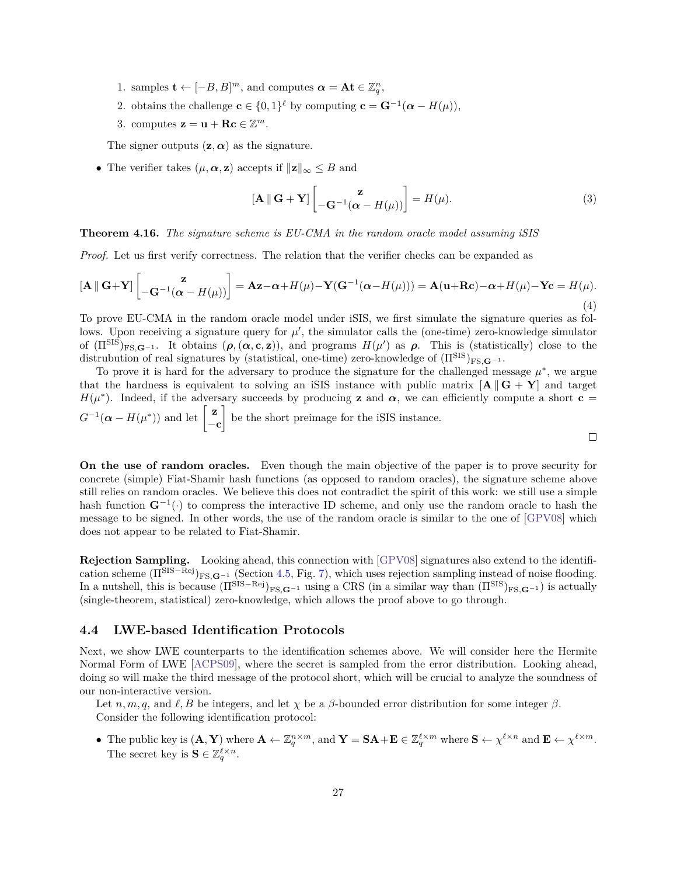- 1. samples **t** ←  $[-B, B]^m$ , and computes  $\boldsymbol{\alpha} = \mathbf{At} \in \mathbb{Z}_q^n$ ,
- 2. obtains the challenge  $\mathbf{c} \in \{0,1\}^{\ell}$  by computing  $\mathbf{c} = \mathbf{G}^{-1}(\boldsymbol{\alpha} H(\mu)),$
- 3. computes  $\mathbf{z} = \mathbf{u} + \mathbf{R}\mathbf{c} \in \mathbb{Z}^m$ .

The signer outputs  $(z, \alpha)$  as the signature.

• The verifier takes  $(\mu, \alpha, \mathbf{z})$  accepts if  $\|\mathbf{z}\|_{\infty} \leq B$  and

$$
\left[\mathbf{A} \, \|\, \mathbf{G} + \mathbf{Y}\right] \begin{bmatrix} \mathbf{z} \\ -\mathbf{G}^{-1}(\boldsymbol{\alpha} - H(\mu)) \end{bmatrix} = H(\mu). \tag{3}
$$

#### **Theorem 4.16.** *The signature scheme is EU-CMA in the random oracle model assuming iSIS*

*Proof.* Let us first verify correctness. The relation that the verifier checks can be expanded as

$$
\left[\mathbf{A} \, \|\, \mathbf{G} + \mathbf{Y}\right] \left[\begin{matrix} \mathbf{z} \\ -\mathbf{G}^{-1}(\boldsymbol{\alpha} - H(\mu)) \end{matrix}\right] = \mathbf{A}\mathbf{z} - \boldsymbol{\alpha} + H(\mu) - \mathbf{Y}(\mathbf{G}^{-1}(\boldsymbol{\alpha} - H(\mu))) = \mathbf{A}(\mathbf{u} + \mathbf{R}\mathbf{c}) - \boldsymbol{\alpha} + H(\mu) - \mathbf{Y}\mathbf{c} = H(\mu). \tag{4}
$$

To prove EU-CMA in the random oracle model under iSIS, we first simulate the signature queries as follows. Upon receiving a signature query for  $\mu'$ , the simulator calls the (one-time) zero-knowledge simulator of  $(\Pi^{\text{SIS}})_{\text{FS},\mathbf{G}^{-1}}$ . It obtains  $(\rho,(\alpha,\mathbf{c},\mathbf{z}))$ , and programs  $H(\mu')$  as  $\rho$ . This is (statistically) close to the distrubution of real signatures by (statistical, one-time) zero-knowledge of  $(\Pi^{\text{SIS}})_{\text{FS}}$  $\mathbf{G}^{-1}$ .

To prove it is hard for the adversary to produce the signature for the challenged message  $\mu^*$ , we argue that the hardness is equivalent to solving an iSIS instance with public matrix  $\begin{bmatrix} \mathbf{A} \mathbf{G} + \mathbf{Y} \end{bmatrix}$  and target  $H(\mu^*)$ . Indeed, if the adversary succeeds by producing **z** and  $\alpha$ , we can efficiently compute a short **c** =  $G^{-1}(\boldsymbol{\alpha} - H(\mu^*))$  and let  $\begin{bmatrix} \mathbf{z} \\ 0 \end{bmatrix}$ I be the short preimage for the iSIS instance. −**c**  $\Box$ 

**On the use of random oracles.** Even though the main objective of the paper is to prove security for concrete (simple) Fiat-Shamir hash functions (as opposed to random oracles), the signature scheme above still relies on random oracles. We believe this does not contradict the spirit of this work: we still use a simple hash function **G**<sup>−</sup><sup>1</sup> (·) to compress the interactive ID scheme, and only use the random oracle to hash the message to be signed. In other words, the use of the random oracle is similar to the one of [\[GPV08\]](#page-56-7) which does not appear to be related to Fiat-Shamir.

**Rejection Sampling.** Looking ahead, this connection with [\[GPV08\]](#page-56-7) signatures also extend to the identification scheme  $(\Pi^{\text{SIS}-\text{Rej}})_{\text{FS},\mathbf{G}^{-1}}$  (Section [4.5,](#page-32-0) Fig. [7\)](#page-33-0), which uses rejection sampling instead of noise flooding. In a nutshell, this is because  $(\Pi^{\text{SIS}-\text{Rej}})_{\text{FS},\mathbf{G}-1}$  using a CRS (in a similar way than  $(\Pi^{\text{SIS}})_{\text{FS},\mathbf{G}-1}$ ) is actually (single-theorem, statistical) zero-knowledge, which allows the proof above to go through.

#### <span id="page-28-0"></span>**4.4 LWE-based Identification Protocols**

Next, we show LWE counterparts to the identification schemes above. We will consider here the Hermite Normal Form of LWE [\[ACPS09\]](#page-53-2), where the secret is sampled from the error distribution. Looking ahead, doing so will make the third message of the protocol short, which will be crucial to analyze the soundness of our non-interactive version.

Let *n*, *m*, *q*, and  $\ell$ , *B* be integers, and let  $\chi$  be a  $\beta$ -bounded error distribution for some integer  $\beta$ . Consider the following identification protocol:

• The public key is  $(\mathbf{A}, \mathbf{Y})$  where  $\mathbf{A} \leftarrow \mathbb{Z}_q^{n \times m}$ , and  $\mathbf{Y} = \mathbf{SA} + \mathbf{E} \in \mathbb{Z}_q^{\ell \times m}$  where  $\mathbf{S} \leftarrow \chi^{\ell \times n}$  and  $\mathbf{E} \leftarrow \chi^{\ell \times m}$ . The secret key is  $\mathbf{S} \in \mathbb{Z}_q^{\ell \times n}$ .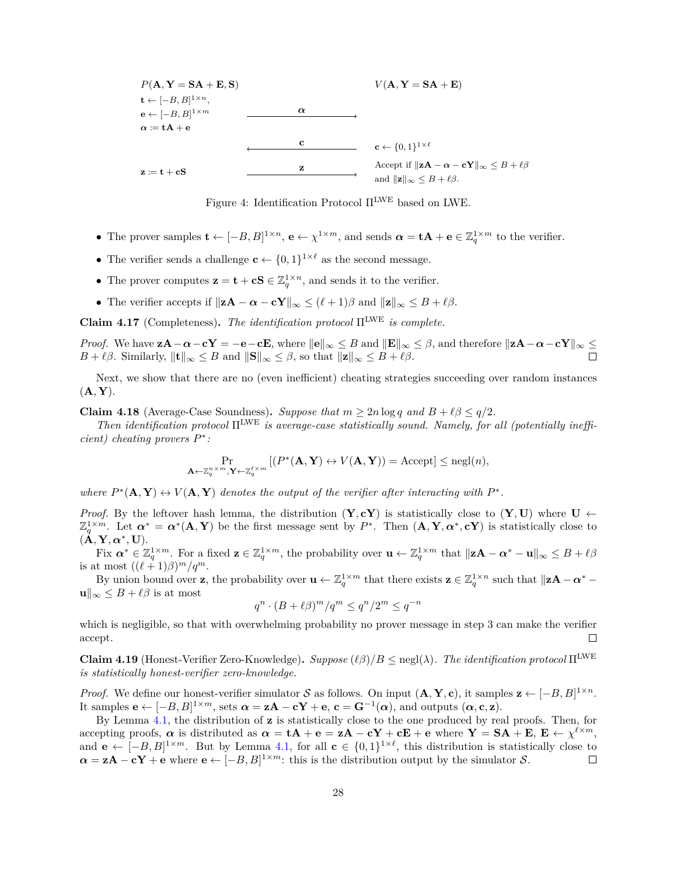

Figure 4: Identification Protocol  $\Pi^{\rm LWE}$  based on LWE.

- The prover samples  $\mathbf{t} \leftarrow [-B, B]^{1 \times n}$ ,  $\mathbf{e} \leftarrow \chi^{1 \times m}$ , and sends  $\boldsymbol{\alpha} = \mathbf{t} \mathbf{A} + \mathbf{e} \in \mathbb{Z}_q^{1 \times m}$  to the verifier.
- The verifier sends a challenge  $\mathbf{c} \leftarrow \{0,1\}^{1 \times \ell}$  as the second message.
- The prover computes  $z = t + cS \in \mathbb{Z}_q^{1 \times n}$ , and sends it to the verifier.
- The verifier accepts if  $||\mathbf{z}\mathbf{A} \alpha \mathbf{c}\mathbf{Y}||_{\infty} \leq (\ell+1)\beta$  and  $||\mathbf{z}||_{\infty} \leq B + \ell\beta$ .

**Claim 4.17** (Completeness). *The identification protocol*  $\Pi^{\text{LWE}}$  *is complete.* 

*Proof.* We have  $z\mathbf{A} - \alpha - c\mathbf{Y} = -e - c\mathbf{E}$ , where  $||\mathbf{e}||_{\infty} \leq B$  and  $||\mathbf{E}||_{\infty} \leq \beta$ , and therefore  $||\mathbf{z}\mathbf{A} - \alpha - c\mathbf{Y}||_{\infty} \leq$  $B + \ell \beta$ . Similarly,  $\|\mathbf{t}\|_{\infty} \leq B$  and  $\|\mathbf{S}\|_{\infty} \leq \beta$ , so that  $\|\mathbf{z}\|_{\infty} \leq B + \ell \beta$ .

Next, we show that there are no (even inefficient) cheating strategies succeeding over random instances  $(A, Y)$ .

<span id="page-29-1"></span>**Claim 4.18** (Average-Case Soundness). *Suppose that*  $m \geq 2n \log q$  and  $B + \ell \beta \leq q/2$ .

*Then identification protocol* ΠLWE *is average-case statistically sound. Namely, for all (potentially inefficient) cheating provers* \* *:*

$$
\Pr_{\mathbf{A} \leftarrow \mathbb{Z}_q^{n \times m}, \mathbf{Y} \leftarrow \mathbb{Z}_q^{\ell \times m}} \left[ (P^*(\mathbf{A}, \mathbf{Y}) \leftrightarrow V(\mathbf{A}, \mathbf{Y})) = \text{Accept} \right] \le \text{negl}(n),
$$

where  $P^*(\mathbf{A}, \mathbf{Y}) \leftrightarrow V(\mathbf{A}, \mathbf{Y})$  denotes the output of the verifier after interacting with  $P^*$ .

*Proof.* By the leftover hash lemma, the distribution  $(Y, cY)$  is statistically close to  $(Y, U)$  where  $U \leftarrow$  $\mathbb{Z}_q^{1 \times m}$ . Let  $\boldsymbol{\alpha}^* = \boldsymbol{\alpha}^*(\mathbf{A}, \mathbf{Y})$  be the first message sent by  $P^*$ . Then  $(\mathbf{A}, \mathbf{Y}, \boldsymbol{\alpha}^*, \mathbf{c}\mathbf{Y})$  is statistically close to  $(\mathbf{A}, \mathbf{Y}, \boldsymbol{\alpha}^*, \mathbf{U}).$ 

Fix  $\boldsymbol{\alpha}^* \in \mathbb{Z}_q^{1 \times m}$ . For a fixed  $\mathbf{z} \in \mathbb{Z}_q^{1 \times m}$ , the probability over  $\mathbf{u} \leftarrow \mathbb{Z}_q^{1 \times m}$  that  $\|\mathbf{z}\mathbf{A} - \boldsymbol{\alpha}^* - \mathbf{u}\|_{\infty} \leq B + \ell \beta$ is at most  $((\ell+1)\beta)^m/q^m$ .

By union bound over **z**, the probability over  $\mathbf{u} \leftarrow \mathbb{Z}_q^{1 \times m}$  that there exists  $\mathbf{z} \in \mathbb{Z}_q^{1 \times n}$  such that  $\|\mathbf{z}\mathbf{A} - \boldsymbol{\alpha}^* - \boldsymbol{\alpha}^*\|$  $\mathbf{u}\|_{\infty} \leq B + \ell\beta$  is at most

$$
q^n \cdot (B + \ell \beta)^m / q^m \le q^n / 2^m \le q^{-n}
$$

which is negligible, so that with overwhelming probability no prover message in step 3 can make the verifier accept.  $\Box$ 

<span id="page-29-0"></span>**Claim 4.19** (Honest-Verifier Zero-Knowledge).  $Suppose (\ell \beta)/B \leq negl(\lambda)$ . The identification protocol  $\Pi^{\text{LWE}}$ *is statistically honest-verifier zero-knowledge.*

*Proof.* We define our honest-verifier simulator S as follows. On input  $(A, Y, c)$ , it samples  $z \leftarrow [-B, B]^{1 \times n}$ . It samples  $\mathbf{e} \leftarrow [-B, B]^{1 \times m}$ , sets  $\boldsymbol{\alpha} = \mathbf{z}\mathbf{A} - \mathbf{c}\mathbf{Y} + \mathbf{e}$ ,  $\mathbf{c} = \mathbf{G}^{-1}(\boldsymbol{\alpha})$ , and outputs  $(\boldsymbol{\alpha}, \mathbf{c}, \mathbf{z})$ .

By Lemma [4.1,](#page-23-2) the distribution of **z** is statistically close to the one produced by real proofs. Then, for  $\alpha$  accepting proofs,  $\alpha$  is distributed as  $\alpha = \mathbf{tA} + \mathbf{e} = \mathbf{zA} - \mathbf{cY} + \mathbf{cE} + \mathbf{e}$  where  $\mathbf{Y} = \mathbf{SA} + \mathbf{E}$ ,  $\mathbf{E} \leftarrow \chi^{\ell \times m}$ , and **e** ←  $[-B, B]^{1 \times m}$ . But by Lemma [4.1,](#page-23-2) for all **c** ∈  $\{0,1\}^{1 \times \ell}$ , this distribution is statistically close to  $\alpha = zA - cY + e$  where  $e \leftarrow [-B, B]^{1 \times m}$ : this is the distribution output by the simulator S.  $\Box$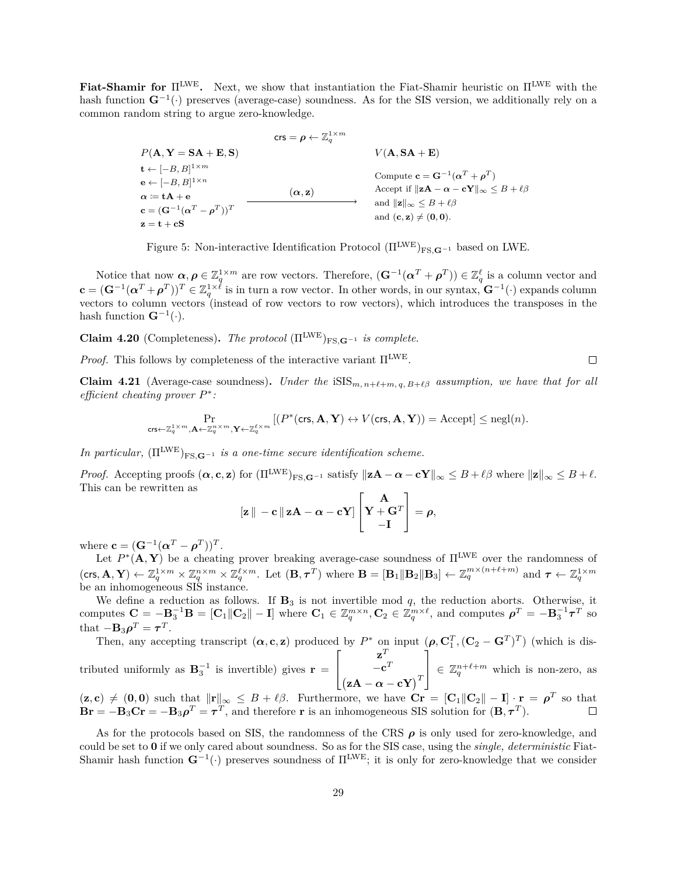**Fiat-Shamir for**  $\Pi^{\text{LWE}}$ . Next, we show that instantiation the Fiat-Shamir heuristic on  $\Pi^{\text{LWE}}$  with the hash function  $\mathbf{G}^{-1}(\cdot)$  preserves (average-case) soundness. As for the SIS version, we additionally rely on a common random string to argue zero-knowledge.

> crs  $= \boldsymbol{\rho} \leftarrow \mathbb{Z}_q^{1 \times m}$  $V(\mathbf{A}, \mathbf{S}\mathbf{A} + \mathbf{E}, \mathbf{S})$   $V(\mathbf{A}, \mathbf{S}\mathbf{A} + \mathbf{E})$  $\mathbf{t} \leftarrow [-B, B]^{1 \times m}$  $\mathbf{e} \leftarrow [-B, B]^{1 \times n}$  $\alpha := \mathbf{t}\mathbf{A} + \mathbf{e}$  $\mathbf{c} = (\mathbf{G}^{-1}(\boldsymbol{\alpha}^T - \boldsymbol{\rho}^T))^T$  $\mathbf{z} = \mathbf{t} + \mathbf{cS}$  $(\alpha, z)$ Compute  $\mathbf{c} = \mathbf{G}^{-1}(\boldsymbol{\alpha}^T + \boldsymbol{\rho}^T)$ Accept if  $||\mathbf{z}\mathbf{A} - \boldsymbol{\alpha} - \mathbf{c}\mathbf{Y}||_{\infty} \leq B + \ell \beta$ and  $\|\mathbf{z}\|_{\infty} \leq B + \ell \beta$ and  $(c, z) \neq (0, 0)$ .

Figure 5: Non-interactive Identification Protocol  $(\Pi^{\text{LWE}})_{\text{FS},\mathbf{G}^{-1}}$  based on LWE.

Notice that now  $\alpha, \rho \in \mathbb{Z}_q^{1 \times m}$  are row vectors. Therefore,  $(\mathbf{G}^{-1}(\boldsymbol{\alpha}^T + \boldsymbol{\rho}^T)) \in \mathbb{Z}_q^{\ell}$  is a column vector and  $\mathbf{c} = (\mathbf{G}^{-1}(\boldsymbol{\alpha}^T + \boldsymbol{\rho}^T))^T \in \mathbb{Z}_q^{1 \times \hat{\ell}}$  is in turn a row vector. In other words, in our syntax,  $\mathbf{G}^{-1}(\cdot)$  expands column vectors to column vectors (instead of row vectors to row vectors), which introduces the transposes in the hash function  $\mathbf{G}^{-1}(\cdot)$ .

**Claim 4.20** (Completeness). *The protocol* ( $\Pi^{\text{LWE}}$ )<sub>FS</sub>  $\mathbf{G}^{-1}$  *is complete.* 

*Proof.* This follows by completeness of the interactive variant  $\Pi^{\text{LWE}}$ .

<span id="page-30-0"></span>**Claim 4.21** (Average-case soundness). *Under the* iSIS $_{m,n+\ell+m,q,B+\ell\beta}$  assumption, we have that for all *efficient cheating prover* \* *:*

$$
\Pr_{\mathsf{crs} \leftarrow \mathbb{Z}_q^{1 \times m}, \mathbf{A} \leftarrow \mathbb{Z}_q^{n \times m}, \mathbf{Y} \leftarrow \mathbb{Z}_q^{\ell \times m}} \left[ (P^*(\mathsf{crs}, \mathbf{A}, \mathbf{Y}) \leftrightarrow V(\mathsf{crs}, \mathbf{A}, \mathbf{Y}) \right) = \mathrm{Accept} \right] \leq \mathrm{negl}(n).
$$

*In particular,*  $(\Pi^{\text{LWE}})_{\text{FS},\mathbf{G}^{-1}}$  *is a one-time secure identification scheme.* 

*Proof.* Accepting proofs  $(\boldsymbol{\alpha}, \mathbf{c}, \mathbf{z})$  for  $(\Pi^{\text{LWE}})_{\text{FS}, \mathbf{G}^{-1}}$  satisfy  $\|\mathbf{z}\mathbf{A} - \boldsymbol{\alpha} - \mathbf{c}\mathbf{Y}\|_{\infty} \leq B + \ell \beta$  where  $\|\mathbf{z}\|_{\infty} \leq B + \ell$ . This can be rewritten as

$$
\|\mathbf{z}\| - \mathbf{c}\|\mathbf{z}\mathbf{A} - \alpha - \mathbf{c}\mathbf{Y}\| \begin{bmatrix} \mathbf{A} \\ \mathbf{Y} + \mathbf{G}^T \\ -\mathbf{I} \end{bmatrix} = \rho,
$$

where  $\mathbf{c} = (\mathbf{G}^{-1}(\boldsymbol{\alpha}^T - \boldsymbol{\rho}^T))^T$ .

Let  $P^*(\mathbf{A}, \mathbf{Y})$  be a cheating prover breaking average-case soundness of  $\Pi^{\text{LWE}}$  over the randomness of  $(\mathsf{crs}, \mathbf{A}, \mathbf{Y}) \leftarrow \mathbb{Z}_q^{1 \times m} \times \mathbb{Z}_q^{n \times m} \times \mathbb{Z}_q^{\ell \times m}$ . Let  $(\mathbf{B}, \boldsymbol{\tau}^T)$  where  $\mathbf{B} = [\mathbf{B}_1 || \mathbf{B}_2 || \mathbf{B}_3] \leftarrow \mathbb{Z}_q^{m \times (n+\ell+m)}$  and  $\boldsymbol{\tau} \leftarrow \mathbb{Z}_q^{1 \times m}$  be an inhomogeneous SIS instance.

We define a reduction as follows. If  $\mathbf{B}_3$  is not invertible mod q, the reduction aborts. Otherwise, it computes  $C = -B_3^{-1}B = [C_1||C_2|| - I]$  where  $C_1 \in \mathbb{Z}_q^{m \times n}$ ,  $C_2 \in \mathbb{Z}_q^{m \times \ell}$ , and computes  $\rho^T = -B_3^{-1}\tau^T$  so that  $-\mathbf{B}_3 \boldsymbol{\rho}^T = \boldsymbol{\tau}^T$ .

Then, any accepting transcript  $(\alpha, \mathbf{c}, \mathbf{z})$  produced by  $P^*$  on input  $(\rho, \mathbf{C}_1^T, (\mathbf{C}_2 - \mathbf{G}^T)^T)$  (which is distributed uniformly as  $\mathbf{B}_3^{-1}$  is invertible) gives **r** =  $\lceil$  $\overline{a}$  $\mathbf{z}^T$  $-c<sup>T</sup>$  $(\mathbf{z}\mathbf{A} - \boldsymbol{\alpha} - \mathbf{c}\mathbf{Y})^T$ ⎤  $\in \mathbb{Z}_q^{n+\ell+m}$  which is non-zero, as

 $(\mathbf{z}, \mathbf{c}) \neq (\mathbf{0}, \mathbf{0})$  such that  $\|\mathbf{r}\|_{\infty} \leq B + \ell \beta$ . Furthermore, we have  $\mathbf{C}\mathbf{r} = [\mathbf{C}_1 \|\mathbf{C}_2\| - \mathbf{I}] \cdot \mathbf{r} = \boldsymbol{\rho}^T$  so that  $\mathbf{Br} = -\mathbf{B}_3 \mathbf{Cr} = -\mathbf{B}_3 \rho^T = \boldsymbol{\tau}^T$ , and therefore **r** is an inhomogeneous SIS solution for  $(\mathbf{B}, \boldsymbol{\tau}^T)$ .

As for the protocols based on SIS, the randomness of the CRS  $\rho$  is only used for zero-knowledge, and could be set to **0** if we only cared about soundness. So as for the SIS case, using the *single, deterministic* Fiat-Shamir hash function  $\mathbf{G}^{-1}(\cdot)$  preserves soundness of  $\Pi^{\text{LWE}}$ ; it is only for zero-knowledge that we consider

 $\Box$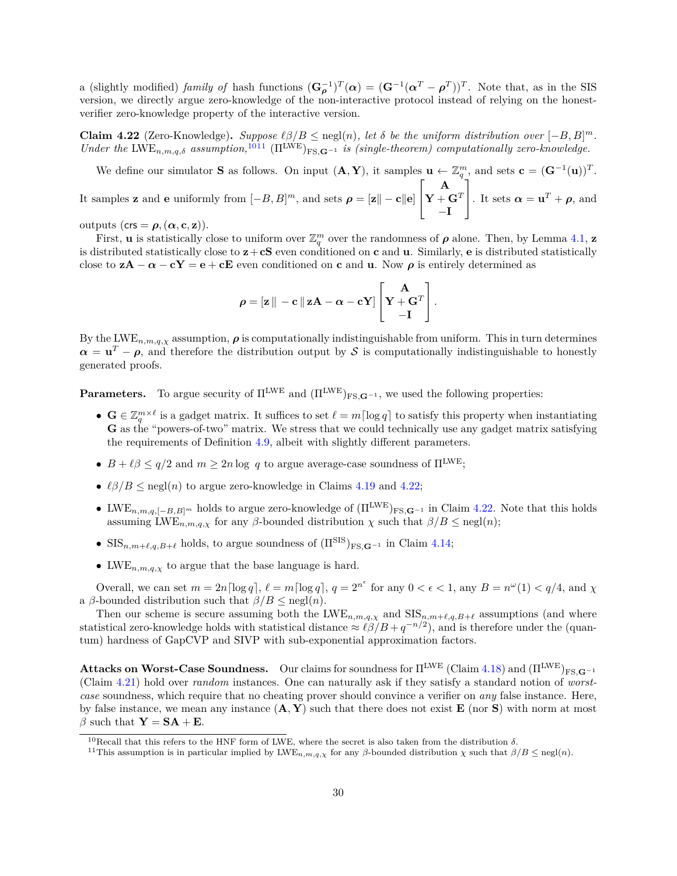a (slightly modified) *family of* hash functions  $(\mathbf{G}_{\rho}^{-1})^T(\boldsymbol{\alpha}) = (\mathbf{G}^{-1}(\boldsymbol{\alpha}^T - \boldsymbol{\rho}^T))^T$ . Note that, as in the SIS version, we directly argue zero-knowledge of the non-interactive protocol instead of relying on the honestverifier zero-knowledge property of the interactive version.

<span id="page-31-2"></span>**Claim 4.22** (Zero-Knowledge). *Suppose*  $\ell\beta/B \leq$  negl(n), let  $\delta$  be the uniform distribution over  $[-B, B]^m$ . *Under the*  $\text{LWE}_{n,m,q,\delta}$  *assumption*,<sup>[10](#page-31-0)[11](#page-31-1)</sup>  $(\Pi^{\text{LWE}})_{\text{FS},\mathbf{G}^{-1}}$  *is (single-theorem)* computationally zero-knowledge.

We define our simulator **S** as follows. On input  $(A, Y)$ , it samples  $\mathbf{u} \leftarrow \mathbb{Z}_q^m$ , and sets  $\mathbf{c} = (\mathbf{G}^{-1}(\mathbf{u}))^T$ . It samples **z** and **e** uniformly from  $[-B, B]^m$ , and sets  $\rho = [\mathbf{z} \mid -\mathbf{c} \mid \mathbf{e}]$  $\lceil$  $\overline{a}$ **A**  $\mathbf{Y} + \mathbf{G}^T$ −**I** ⎤ |. It sets  $\boldsymbol{\alpha} = \mathbf{u}^T + \boldsymbol{\rho}$ , and

outputs (crs =  $\rho$ , ( $\alpha$ , **c**, **z**)).

First, **u** is statistically close to uniform over  $\mathbb{Z}_q^m$  over the randomness of  $\rho$  alone. Then, by Lemma [4.1,](#page-23-2) **z** is distributed statistically close to  $z + cS$  even conditioned on **c** and **u**. Similarly, **e** is distributed statistically close to  $z\mathbf{A} - \alpha - c\mathbf{Y} = \mathbf{e} + c\mathbf{E}$  even conditioned on **c** and **u**. Now  $\rho$  is entirely determined as

$$
\rho = \left[\mathbf{z}\,\right]_{} - \mathbf{c} \left[\,\mathbf{z}\,\mathbf{A} - \boldsymbol{\alpha} - \mathbf{c}\,\mathbf{Y}\right] \left[\mathbf{Y} + \mathbf{G}^T\right].
$$

By the LWE<sub>n,m,q, $\chi$ </sub> assumption,  $\rho$  is computationally indistinguishable from uniform. This in turn determines  $\alpha = \mathbf{u}^T - \rho$ , and therefore the distribution output by S is computationally indistinguishable to honestly generated proofs.

**Parameters.** To argue security of  $\Pi^{\text{LWE}}$  and  $(\Pi^{\text{LWE}})_{\text{FS }G^{-1}}$ , we used the following properties:

- $\mathbf{G} \in \mathbb{Z}_q^{m \times \ell}$  is a gadget matrix. It suffices to set  $\ell = m \lceil \log q \rceil$  to satisfy this property when instantiating G as the "powers-of-two" matrix. We stress that we could technically use any gadget matrix satisfying the requirements of Definition [4.9,](#page-24-2) albeit with slightly different parameters.
- $B + \ell \beta \le q/2$  and  $m \ge 2n \log q$  to argue average-case soundness of  $\Pi^{\text{LWE}}$ ;
- $\ell\beta/B \leq$  negl(n) to argue zero-knowledge in Claims [4.19](#page-29-0) and [4.22;](#page-31-2)
- LWE<sub>n,m,q,[−*B*,*B*]<sup>*m*</sup> holds to argue zero-knowledge of  $(\Pi^{\text{LWE}})_{\text{FS},\mathbf{G}^{-1}}$  in Claim [4.22.](#page-31-2) Note that this holds</sub> assuming LWE<sub>n,*m,q,x*</sub> for any  $\beta$ -bounded distribution  $\chi$  such that  $\beta/B \leq$  negl(n);
- SIS<sub>n,m+ $\ell$ , $g$ , $B+\ell$  holds, to argue soundness of  $(\Pi^{\text{SIS}})_{\text{FS},\mathbf{G}^{-1}}$  in Claim [4.14;](#page-25-0)</sub>
- LWE<sub>n,m,q, $\chi$ </sub> to argue that the base language is hard.

Overall, we can set  $m = 2n \lceil \log q \rceil$ ,  $\ell = m \lceil \log q \rceil$ ,  $q = 2^{n^{\epsilon}}$  for any  $0 < \epsilon < 1$ , any  $B = n^{\omega}(1) < q/4$ , and  $\chi$ a  $\beta$ -bounded distribution such that  $\beta/B \leq \text{negl}(n)$ .

Then our scheme is secure assuming both the  $LWE_{n,m,q,\chi}$  and  $SIS_{n,m+\ell,q,B+\ell}$  assumptions (and where statistical zero-knowledge holds with statistical distance  $\approx \ell \beta / B + q^{-n/2}$ , and is therefore under the (quantum) hardness of GapCVP and SIVP with sub-exponential approximation factors.

**Attacks on Worst-Case Soundness.** Our claims for soundness for  $\Pi^{\text{LWE}}$  (Claim [4.18\)](#page-29-1) and  $(\Pi^{\text{LWE}})_{\text{FS},\mathbf{G}^{-1}}$ (Claim [4.21\)](#page-30-0) hold over *random* instances. One can naturally ask if they satisfy a standard notion of *worstcase* soundness, which require that no cheating prover should convince a verifier on *any* false instance. Here, by false instance, we mean any instance (**A***,* **Y**) such that there does not exist **E** (nor **S**) with norm at most  $\beta$  such that  $\mathbf{Y} = \mathbf{SA} + \mathbf{E}$ .

<span id="page-31-0"></span><sup>&</sup>lt;sup>10</sup>Recall that this refers to the HNF form of LWE, where the secret is also taken from the distribution  $\delta$ .

<span id="page-31-1"></span><sup>&</sup>lt;sup>11</sup>This assumption is in particular implied by LWE<sub>n,m,q, $\chi$ </sub> for any  $\beta$ -bounded distribution  $\chi$  such that  $\beta/B \le \text{negl}(n)$ .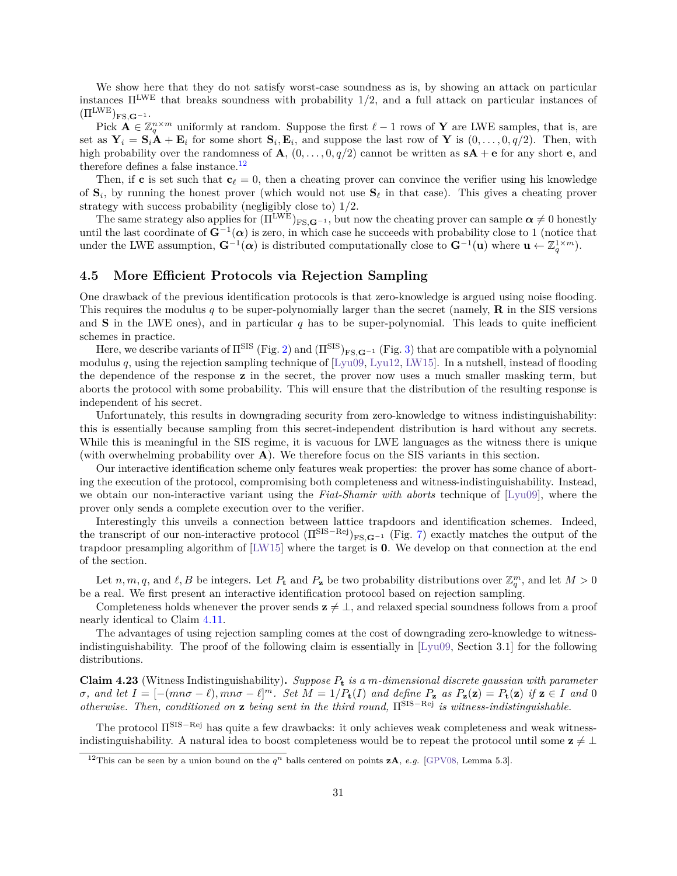We show here that they do not satisfy worst-case soundness as is, by showing an attack on particular instances ΠLWE that breaks soundness with probability 1*/*2, and a full attack on particular instances of  $(\Pi^{\text{LWE}})_{\text{FS},\mathbf{G}^{-1}}.$ 

Pick  $\mathbf{A} \in \mathbb{Z}_q^{n \times m}$  uniformly at random. Suppose the first  $\ell - 1$  rows of **Y** are LWE samples, that is, are set as  $Y_i = S_i A + E_i$  for some short  $S_i, E_i$ , and suppose the last row of Y is  $(0, \ldots, 0, q/2)$ . Then, with high probability over the randomness of **A**,  $(0, \ldots, 0, q/2)$  cannot be written as  $sA + \epsilon$  for any short **e**, and therefore defines a false instance.<sup>[12](#page-32-1)</sup>

Then, if **c** is set such that  $c_\ell = 0$ , then a cheating prover can convince the verifier using his knowledge of  $S_i$ , by running the honest prover (which would not use  $S_\ell$  in that case). This gives a cheating prover strategy with success probability (negligibly close to) 1*/*2.

The same strategy also applies for  $(\Pi^{\text{LWE}})_{\text{FS},\mathbf{G}^{-1}}$ , but now the cheating prover can sample  $\alpha \neq 0$  honestly until the last coordinate of  $G^{-1}(\alpha)$  is zero, in which case he succeeds with probability close to 1 (notice that under the LWE assumption,  $\mathbf{G}^{-1}(\alpha)$  is distributed computationally close to  $\mathbf{G}^{-1}(\mathbf{u})$  where  $\mathbf{u} \leftarrow \mathbb{Z}_q^{1 \times m}$ ).

## <span id="page-32-0"></span>**4.5 More Efficient Protocols via Rejection Sampling**

One drawback of the previous identification protocols is that zero-knowledge is argued using noise flooding. This requires the modulus  $q$  to be super-polynomially larger than the secret (namely, **R** in the SIS versions and **S** in the LWE ones), and in particular  $q$  has to be super-polynomial. This leads to quite inefficient schemes in practice.

Here, we describe variants of  $\Pi^{\text{SIS}}$  (Fig. [2\)](#page-25-3) and  $(\Pi^{\text{SIS}})_{\text{FS},\mathbf{G}^{-1}}$  (Fig. [3\)](#page-26-0) that are compatible with a polynomial modulus q, using the rejection sampling technique of  $[Ly109, Ly112, LW15]$  $[Ly109, Ly112, LW15]$ . In a nutshell, instead of flooding the dependence of the response **z** in the secret, the prover now uses a much smaller masking term, but aborts the protocol with some probability. This will ensure that the distribution of the resulting response is independent of his secret.

Unfortunately, this results in downgrading security from zero-knowledge to witness indistinguishability: this is essentially because sampling from this secret-independent distribution is hard without any secrets. While this is meaningful in the SIS regime, it is vacuous for LWE languages as the witness there is unique (with overwhelming probability over **A**). We therefore focus on the SIS variants in this section.

Our interactive identification scheme only features weak properties: the prover has some chance of aborting the execution of the protocol, compromising both completeness and witness-indistinguishability. Instead, we obtain our non-interactive variant using the *Fiat-Shamir with aborts* technique of [\[Lyu09\]](#page-57-6), where the prover only sends a complete execution over to the verifier.

Interestingly this unveils a connection between lattice trapdoors and identification schemes. Indeed, the transcript of our non-interactive protocol  $(\Pi^{\text{SIS}-\text{Rej}})_{\text{FS},\mathbf{G}^{-1}}$  (Fig. [7\)](#page-33-0) exactly matches the output of the trapdoor presampling algorithm of [\[LW15\]](#page-57-8) where the target is **0**. We develop on that connection at the end of the section.

Let *n*, *m*, *q*, and  $\ell$ , *B* be integers. Let  $P_t$  and  $P_z$  be two probability distributions over  $\mathbb{Z}_q^m$ , and let  $M > 0$ be a real. We first present an interactive identification protocol based on rejection sampling.

Completeness holds whenever the prover sends  $z \neq \bot$ , and relaxed special soundness follows from a proof nearly identical to Claim [4.11.](#page-25-2)

The advantages of using rejection sampling comes at the cost of downgrading zero-knowledge to witnessindistinguishability. The proof of the following claim is essentially in [\[Lyu09,](#page-57-6) Section 3.1] for the following distributions.

**Claim 4.23** (Witness Indistinguishability)**.** *Suppose* **<sup>t</sup>** *is a -dimensional discrete gaussian with parameter*  $\sigma$ , and let  $I = [-(mn\sigma - \ell), mn\sigma - \ell]^m$ . Set  $M = 1/P_t(I)$  and define  $P_z$  as  $P_z(z) = P_t(z)$  if  $z \in I$  and 0 *otherwise. Then, conditioned on* **z** *being sent in the third round,* Π<sup>SIS−Rej *is witness-indistinguishable.*</sup>

The protocol Π<sup>SIS–Rej</sup> has quite a few drawbacks: it only achieves weak completeness and weak witnessindistinguishability. A natural idea to boost completeness would be to repeat the protocol until some  $\mathbf{z} \neq \bot$ 

<span id="page-32-1"></span><sup>&</sup>lt;sup>12</sup>This can be seen by a union bound on the  $q^n$  balls centered on points  $zA$ , *e.g.* [\[GPV08,](#page-56-7) Lemma 5.3].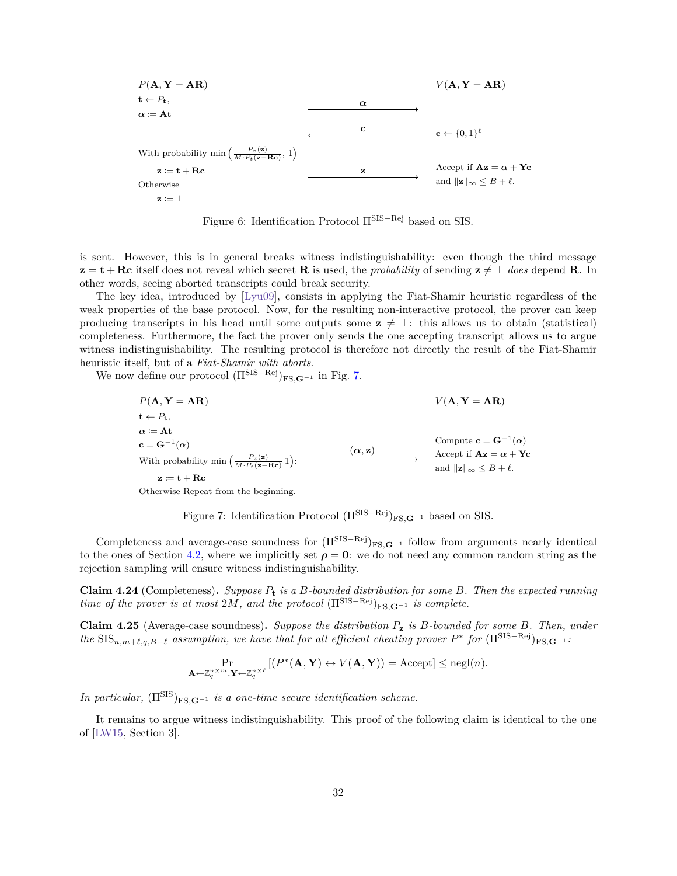$$
P(\mathbf{A}, \mathbf{Y} = \mathbf{AR})
$$
\n
$$
\mathbf{t} \leftarrow P_{\mathbf{t}},
$$
\n
$$
\alpha := \mathbf{At}
$$
\n
$$
\mathbf{t} \leftarrow P_{\mathbf{t}},
$$
\n
$$
\alpha := \mathbf{At}
$$
\n
$$
\mathbf{t} \leftarrow P_{\mathbf{t}},
$$
\n
$$
\mathbf{t} \leftarrow P_{\mathbf{t}},
$$
\n
$$
\mathbf{t} \leftarrow P_{\mathbf{t}},
$$
\n
$$
\mathbf{t} \leftarrow P_{\mathbf{t}},
$$
\n
$$
\mathbf{t} \leftarrow \mathbf{R} \mathbf{t}
$$
\n
$$
\mathbf{t} \leftarrow \{0,1\}^{\ell}
$$
\n
$$
\mathbf{t} \leftarrow \{0,1\}^{\ell}
$$
\n
$$
\mathbf{t} \leftarrow \{0,1\}^{\ell}
$$
\n
$$
\mathbf{t} \leftarrow \{0,1\}^{\ell}
$$
\n
$$
\mathbf{t} \leftarrow \{0,1\}^{\ell}
$$
\n
$$
\mathbf{t} \leftarrow \{0,1\}^{\ell}
$$
\n
$$
\mathbf{t} \leftarrow \{0,1\}^{\ell}
$$
\n
$$
\mathbf{t} \leftarrow \{0,1\}^{\ell}
$$
\n
$$
\mathbf{t} \leftarrow \{0,1\}^{\ell}
$$
\n
$$
\mathbf{t} \leftarrow \{0,1\}^{\ell}
$$
\n
$$
\mathbf{t} \leftarrow \{0,1\}^{\ell}
$$
\n
$$
\mathbf{t} \leftarrow \{0,1\}^{\ell}
$$
\n
$$
\mathbf{t} \leftarrow \{0,1\}^{\ell}
$$
\n
$$
\mathbf{t} \leftarrow \{0,1\}^{\ell}
$$
\n
$$
\mathbf{t} \leftarrow \{0,1\}^{\ell}
$$
\n
$$
\mathbf{t} \leftarrow \{0,1\}^{\ell}
$$
\n
$$
\mathbf{t} \leftarrow \{0,1\}^{\ell}
$$
\n
$$
\mathbf{t} \leftarrow \{0,1\}^{\ell}
$$
\n
$$
\mathbf{t} \
$$

<span id="page-33-0"></span>Figure 6: Identification Protocol  $\Pi^{\text{SIS}-\text{Rej}}$  based on SIS.

is sent. However, this is in general breaks witness indistinguishability: even though the third message **z** = **t** + **Rc** itself does not reveal which secret **R** is used, the *probability* of sending  $z \neq \bot$  *does* depend **R**. In other words, seeing aborted transcripts could break security.

The key idea, introduced by [\[Lyu09\]](#page-57-6), consists in applying the Fiat-Shamir heuristic regardless of the weak properties of the base protocol. Now, for the resulting non-interactive protocol, the prover can keep producing transcripts in his head until some outputs some  $z \neq \bot$ : this allows us to obtain (statistical) completeness. Furthermore, the fact the prover only sends the one accepting transcript allows us to argue witness indistinguishability. The resulting protocol is therefore not directly the result of the Fiat-Shamir heuristic itself, but of a *Fiat-Shamir with aborts*.

We now define our protocol  $(\Pi^{\text{SIS}-\text{Rej}})_{\text{FS},\mathbf{G}^{-1}}$  in Fig. [7.](#page-33-0)

$$
P(\mathbf{A}, \mathbf{Y} = \mathbf{A}\mathbf{R})
$$
  
\n $\mathbf{t} \leftarrow P_{\mathbf{t}},$   
\n $\alpha := \mathbf{A}\mathbf{t}$   
\n $\mathbf{c} = \mathbf{G}^{-1}(\alpha)$   
\nWith probability min  $\left(\frac{P_z(\mathbf{z})}{M \cdot P_t(\mathbf{z} - \mathbf{R}\mathbf{c})} 1\right)$ :  
\n $\mathbf{z} := \mathbf{t} + \mathbf{R}\mathbf{c}$   
\n $\alpha, \mathbf{z}$   
\n $\mathbf{z} := \mathbf{t} + \mathbf{R}\mathbf{c}$   
\n $\alpha$   
\n $\mathbf{z} := \mathbf{t} + \mathbf{R}\mathbf{c}$ 

Otherwise Repeat from the beginning.

Figure 7: Identification Protocol (Π<sup>SIS−Rej</sup>)<sub>FS</sub>,**G**<sup>−1</sup> based on SIS.

Completeness and average-case soundness for  $(\Pi^{\text{SIS}-\text{Rej}})_{\text{FS},\mathbf{G}^{-1}}$  follow from arguments nearly identical to the ones of Section [4.2,](#page-24-0) where we implicitly set  $\rho = 0$ : we do not need any common random string as the rejection sampling will ensure witness indistinguishability.

**Claim 4.24** (Completeness)**.** *Suppose* **<sup>t</sup>** *is a -bounded distribution for some . Then the expected running time of the prover is at most*  $2M$ , and the protocol  $(\Pi^{\text{SIS}-\text{Rej}})_{\text{FS},\mathbf{G}-1}$  *is complete.* 

**Claim 4.25** (Average-case soundness)**.** *Suppose the distribution* **<sup>z</sup>** *is -bounded for some . Then, under*  $the$   $\text{SIS}_{n,m+\ell,q,B+\ell}$  assumption, we have that for all efficient cheating prover  $P^*$  for  $(\Pi^{\text{SIS}-\text{Rej}})_{\text{FS},\mathbf{G}^{-1}}$ .

$$
\Pr_{\mathbf{A} \leftarrow \mathbb{Z}_q^{n \times m}, \mathbf{Y} \leftarrow \mathbb{Z}_q^{n \times \ell}} \left[ (P^*(\mathbf{A}, \mathbf{Y}) \leftrightarrow V(\mathbf{A}, \mathbf{Y})) = \text{Accept} \right] \le \text{negl}(n).
$$

*In particular,*  $(\Pi^{\text{SIS}})_{\text{FS},\mathbf{G}^{-1}}$  *is a one-time secure identification scheme.* 

<span id="page-33-1"></span>It remains to argue witness indistinguishability. This proof of the following claim is identical to the one of [\[LW15,](#page-57-8) Section 3].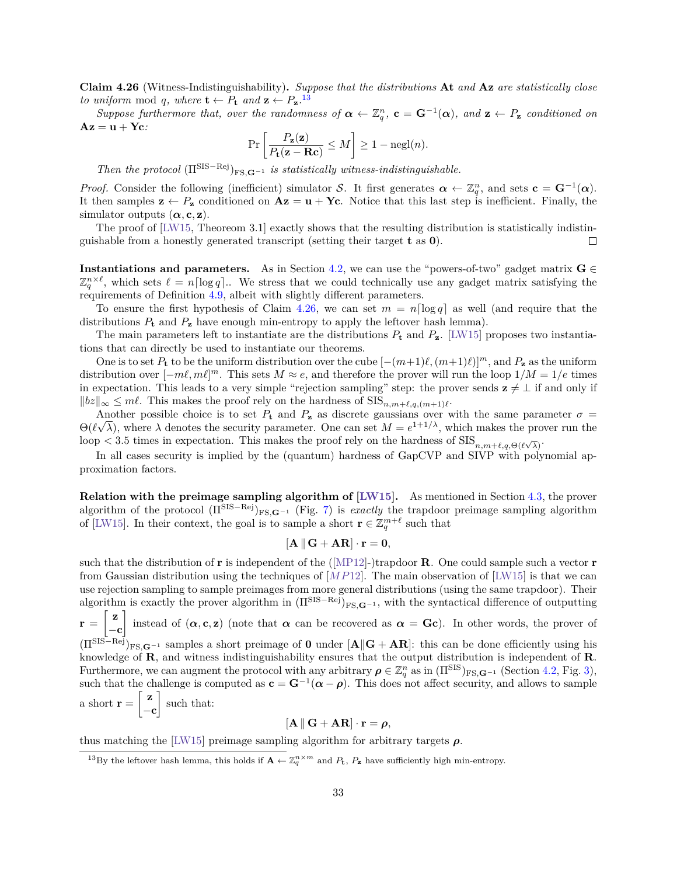**Claim 4.26** (Witness-Indistinguishability)**.** *Suppose that the distributions* **At** *and* **Az** *are statistically close to uniform* mod *q*, where  $\mathbf{t} \leftarrow P_{\mathbf{t}}$  and  $\mathbf{z} \leftarrow P_{\mathbf{z}}$ .<sup>[13](#page-34-0)</sup>

Suppose furthermore that, over the randomness of  $\alpha \leftarrow \mathbb{Z}_q^n$ ,  $\mathbf{c} = \mathbf{G}^{-1}(\alpha)$ , and  $\mathbf{z} \leftarrow P_{\mathbf{z}}$  conditioned on **Az** = **u** + **Yc***:*

$$
\Pr\left[\frac{P_{\mathbf{z}}(\mathbf{z})}{P_{\mathbf{t}}(\mathbf{z}-\mathbf{R}\mathbf{c})} \leq M\right] \geq 1 - \operatorname{negl}(n).
$$

*Then the protocol*  $(\Pi^{\text{SIS}-\text{Rej}})_{\text{FS.G}-1}$  *is statistically witness-indistinguishable.* 

*Proof.* Consider the following (inefficient) simulator S. It first generates  $\alpha \leftarrow \mathbb{Z}_q^n$ , and sets  $\mathbf{c} = \mathbf{G}^{-1}(\alpha)$ . It then samples  $z \leftarrow P_z$  conditioned on  $Az = u + Yc$ . Notice that this last step is inefficient. Finally, the simulator outputs  $(\alpha, \mathbf{c}, \mathbf{z})$ .

The proof of [\[LW15,](#page-57-8) Theoreom 3.1] exactly shows that the resulting distribution is statistically indistinguishable from a honestly generated transcript (setting their target **t** as **0**).  $\Box$ 

**Instantiations and parameters.** As in Section [4.2,](#page-24-0) we can use the "powers-of-two" gadget matrix  $\mathbf{G} \in$  $\mathbb{Z}_q^{n\times\ell}$ , which sets  $\ell = n \lceil \log q \rceil$ .. We stress that we could technically use any gadget matrix satisfying the requirements of Definition [4.9,](#page-24-2) albeit with slightly different parameters.

To ensure the first hypothesis of Claim [4.26,](#page-33-1) we can set  $m = n \lceil \log q \rceil$  as well (and require that the distributions  $P_t$  and  $P_z$  have enough min-entropy to apply the leftover hash lemma).

The main parameters left to instantiate are the distributions  $P_t$  and  $P_z$ . [\[LW15\]](#page-57-8) proposes two instantiations that can directly be used to instantiate our theorems.

One is to set  $P_t$  to be the uniform distribution over the cube  $[-(m+1)\ell,(m+1)\ell]^m$ , and  $P_z$  as the uniform distribution over  $[-m\ell, m\ell]^m$ . This sets  $M \approx e$ , and therefore the prover will run the loop  $1/M = 1/e$  times in expectation. This leads to a very simple "rejection sampling" step: the prover sends  $z \neq \bot$  if and only if  $||bz||_{\infty}$  ≤ *ml*. This makes the proof rely on the hardness of SIS<sub>*n*,*m*+*t*,*q*,(*m*+1)*t*.</sub>

Another possible choice is to set  $P_t$  and  $P_z$  as discrete gaussians over with the same parameter  $\sigma =$  $\Theta(\ell\sqrt{\lambda})$ , where  $\lambda$  denotes the security parameter. One can set  $M = e^{1+1/\lambda}$ , which makes the prover run the loop  $<$  3.5 times in expectation. This makes the proof rely on the hardness of  $\text{SIS}_{n,m+\ell,q,\Theta(\ell\sqrt{\lambda})}$ .

In all cases security is implied by the (quantum) hardness of GapCVP and SIVP with polynomial approximation factors.

**Relation with the preimage sampling algorithm of [\[LW15\]](#page-57-8).** As mentioned in Section [4.3,](#page-27-0) the prover algorithm of the protocol  $(\Pi^{\text{SIS}-\text{Rej}})_{\text{FS},\mathbf{G}^{-1}}$  (Fig. [7\)](#page-33-0) is *exactly* the trapdoor preimage sampling algorithm of [\[LW15\]](#page-57-8). In their context, the goal is to sample a short  $\mathbf{r} \in \mathbb{Z}_q^{m+\ell}$  such that

$$
[\mathbf{A} \parallel \mathbf{G} + \mathbf{A}\mathbf{R}] \cdot \mathbf{r} = \mathbf{0},
$$

such that the distribution of **r** is independent of the ([\[MP12\]](#page-57-7)-)trapdoor **R**. One could sample such a vector **r** from Gaussian distribution using the techniques of  $[MP12]$ . The main observation of  $[LW15]$  is that we can use rejection sampling to sample preimages from more general distributions (using the same trapdoor). Their algorithm is exactly the prover algorithm in  $(\Pi^{\text{SIS}-\text{Rej}})_{\text{FS},\mathbf{G}^{-1}}$ , with the syntactical difference of outputting  $\mathbf{r} = \left[\begin{array}{c} \mathbf{z} \end{array}\right]$ −**c** instead of  $(\alpha, \mathbf{c}, \mathbf{z})$  (note that  $\alpha$  can be recovered as  $\alpha = \mathbf{G} \mathbf{c}$ ). In other words, the prover of  $(\Pi^{\text{SIS}-\text{Rej}})_{\text{FS},\mathbf{G}^{-1}}$  samples a short preimage of **0** under  $[\mathbf{A}||\mathbf{G} + \mathbf{A}\mathbf{R}]$ : this can be done efficiently using his knowledge of **R**, and witness indistinguishability ensures that the output distribution is independent of **R**. Furthermore, we can augment the protocol with any arbitrary  $\rho \in \mathbb{Z}_q^n$  as in  $(\Pi^{\text{SIS}})_{\text{FS},\mathbf{G}^{-1}}$  (Section [4.2,](#page-24-0) Fig. [3\)](#page-26-0), such that the challenge is computed as  $\mathbf{c} = \mathbf{G}^{-1}(\alpha - \rho)$ . This does not affect security, and allows to sample a short  $\mathbf{r} = \begin{bmatrix} z \end{bmatrix}$ −**c**  $\Big]$  such that:  $\begin{bmatrix} \Delta \end{bmatrix} \begin{bmatrix} C \end{bmatrix}$   $\perp$   $\Lambda$ **D**<sup>1</sup>

$$
[\mathbf{A} \, \| \, \mathbf{G} + \mathbf{A} \mathbf{R}] \cdot \mathbf{r} = \boldsymbol{\rho},
$$

thus matching the [\[LW15\]](#page-57-8) preimage sampling algorithm for arbitrary targets  $\rho$ .

<span id="page-34-0"></span><sup>&</sup>lt;sup>13</sup>By the leftover hash lemma, this holds if  $\mathbf{A} \leftarrow \mathbb{Z}_q^{n \times m}$  and  $P_t$ ,  $P_z$  have sufficiently high min-entropy.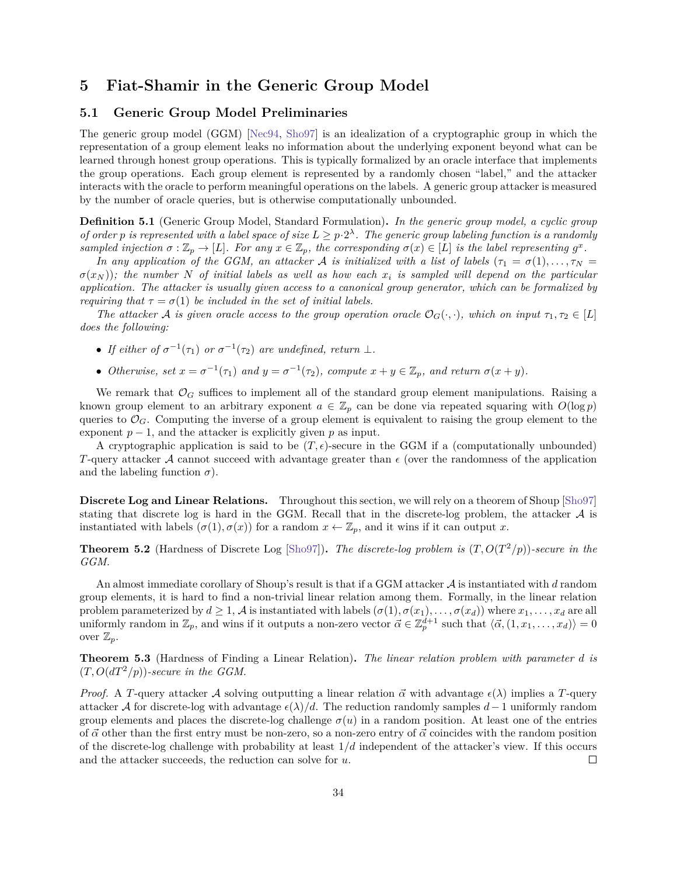## <span id="page-35-0"></span>**5 Fiat-Shamir in the Generic Group Model**

## <span id="page-35-1"></span>**5.1 Generic Group Model Preliminaries**

The generic group model (GGM) [\[Nec94,](#page-57-4) [Sho97\]](#page-58-6) is an idealization of a cryptographic group in which the representation of a group element leaks no information about the underlying exponent beyond what can be learned through honest group operations. This is typically formalized by an oracle interface that implements the group operations. Each group element is represented by a randomly chosen "label," and the attacker interacts with the oracle to perform meaningful operations on the labels. A generic group attacker is measured by the number of oracle queries, but is otherwise computationally unbounded.

<span id="page-35-2"></span>**Definition 5.1** (Generic Group Model, Standard Formulation)**.** *In the generic group model, a cyclic group of order* p is represented with a label space of size  $L \geq p \cdot 2^{\lambda}$ . The generic group labeling function is a randomly sampled injection  $\sigma : \mathbb{Z}_p \to [L]$ . For any  $x \in \mathbb{Z}_p$ , the corresponding  $\sigma(x) \in [L]$  is the label representing  $g^x$ .

*In any application of the GGM, an attacker* A is initialized with a list of labels  $(\tau_1 = \sigma(1), \ldots, \tau_N =$  $\sigma(x_N)$ ; the number N of initial labels as well as how each  $x_i$  is sampled will depend on the particular *application. The attacker is usually given access to a canonical group generator, which can be formalized by requiring that*  $\tau = \sigma(1)$  *be included in the set of initial labels.* 

*The attacker* A is given oracle access to the group operation oracle  $\mathcal{O}_G(\cdot, \cdot)$ *, which on input*  $\tau_1, \tau_2 \in [L]$ *does the following:*

- If either of  $\sigma^{-1}(\tau_1)$  or  $\sigma^{-1}(\tau_2)$  are undefined, return  $\perp$ .
- Otherwise, set  $x = \sigma^{-1}(\tau_1)$  and  $y = \sigma^{-1}(\tau_2)$ , compute  $x + y \in \mathbb{Z}_p$ , and return  $\sigma(x + y)$ .

We remark that  $\mathcal{O}_G$  suffices to implement all of the standard group element manipulations. Raising a known group element to an arbitrary exponent  $a \in \mathbb{Z}_p$  can be done via repeated squaring with  $O(\log p)$ queries to  $\mathcal{O}_G$ . Computing the inverse of a group element is equivalent to raising the group element to the exponent  $p-1$ , and the attacker is explicitly given p as input.

A cryptographic application is said to be  $(T, \epsilon)$ -secure in the GGM if a (computationally unbounded) T-query attacker A cannot succeed with advantage greater than  $\epsilon$  (over the randomness of the application and the labeling function  $\sigma$ ).

**Discrete Log and Linear Relations.** Throughout this section, we will rely on a theorem of Shoup [\[Sho97\]](#page-58-6) stating that discrete log is hard in the GGM. Recall that in the discrete-log problem, the attacker  $A$  is instantiated with labels  $(\sigma(1), \sigma(x))$  for a random  $x \leftarrow \mathbb{Z}_p$ , and it wins if it can output x.

**Theorem 5.2** (Hardness of Discrete Log [\[Sho97\]](#page-58-6)). The discrete-log problem is  $(T, O(T^2/p))$ -secure in the *GGM.*

An almost immediate corollary of Shoup's result is that if a GGM attacker  $A$  is instantiated with  $d$  random group elements, it is hard to find a non-trivial linear relation among them. Formally, in the linear relation problem parameterized by  $d \geq 1$ , A is instantiated with labels  $(\sigma(1), \sigma(x_1), \ldots, \sigma(x_d))$  where  $x_1, \ldots, x_d$  are all uniformly random in  $\mathbb{Z}_p$ , and wins if it outputs a non-zero vector  $\vec{\alpha} \in \mathbb{Z}_p^{d+1}$  such that  $\langle \vec{\alpha}, (1, x_1, \ldots, x_d) \rangle = 0$ over  $\mathbb{Z}_p$ .

**Theorem 5.3** (Hardness of Finding a Linear Relation)**.** *The linear relation problem with parameter is*  $(T, O(dT^2/p))$ -secure in the GGM.

*Proof.* A T-query attacker A solving outputting a linear relation  $\vec{\alpha}$  with advantage  $\epsilon(\lambda)$  implies a T-query attacker A for discrete-log with advantage  $\epsilon(\lambda)/d$ . The reduction randomly samples  $d-1$  uniformly random group elements and places the discrete-log challenge  $\sigma(u)$  in a random position. At least one of the entries of  $\vec{\alpha}$  other than the first entry must be non-zero, so a non-zero entry of  $\vec{\alpha}$  coincides with the random position of the discrete-log challenge with probability at least 1*/* independent of the attacker's view. If this occurs and the attacker succeeds, the reduction can solve for  $u$ .  $\Box$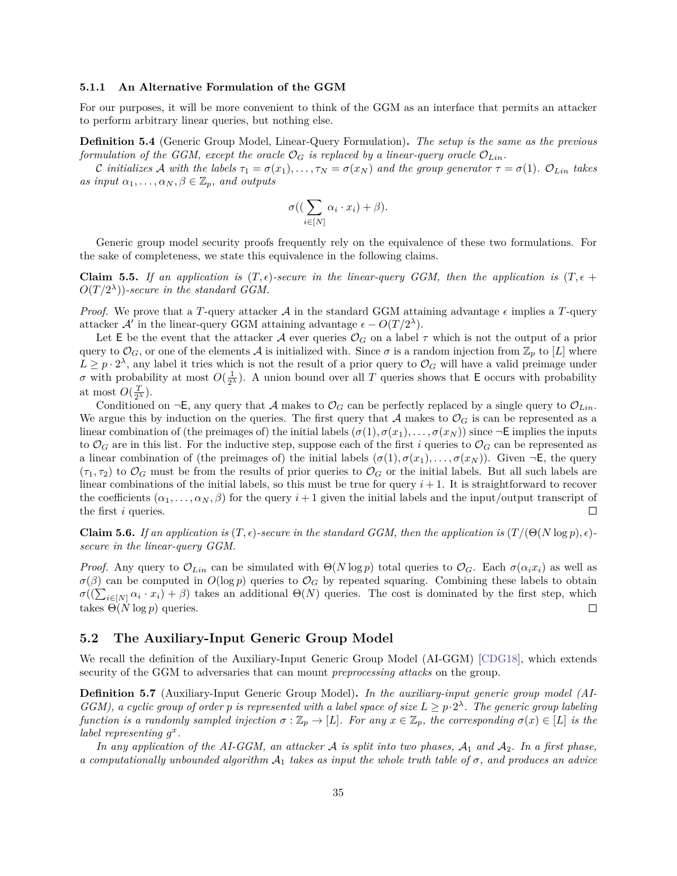#### **5.1.1 An Alternative Formulation of the GGM**

For our purposes, it will be more convenient to think of the GGM as an interface that permits an attacker to perform arbitrary linear queries, but nothing else.

<span id="page-36-1"></span>**Definition 5.4** (Generic Group Model, Linear-Query Formulation)**.** *The setup is the same as the previous formulation of the GGM, except the oracle*  $\mathcal{O}_G$  *is replaced by a linear-query oracle*  $\mathcal{O}_{Lin}$ .

*C* initializes A with the labels  $\tau_1 = \sigma(x_1), \ldots, \tau_N = \sigma(x_N)$  and the group generator  $\tau = \sigma(1)$ .  $\mathcal{O}_{Lin}$  takes *as input*  $\alpha_1, \ldots, \alpha_N, \beta \in \mathbb{Z}_p$ *, and outputs* 

$$
\sigma\big(\big(\sum_{i\in[N]}\alpha_i\cdot x_i\big)+\beta\big).
$$

Generic group model security proofs frequently rely on the equivalence of these two formulations. For the sake of completeness, we state this equivalence in the following claims.

**Claim 5.5.** If an application is  $(T, \epsilon)$ -secure in the linear-query GGM, then the application is  $(T, \epsilon)$  $O(T/2<sup>\lambda</sup>))$ -secure in the standard GGM.

*Proof.* We prove that a T-query attacker  $A$  in the standard GGM attaining advantage  $\epsilon$  implies a T-query attacker  $\mathcal{A}'$  in the linear-query GGM attaining advantage  $\epsilon - O(T/2^{\lambda})$ .

Let E be the event that the attacker A ever queries  $\mathcal{O}_G$  on a label  $\tau$  which is not the output of a prior query to  $\mathcal{O}_G$ , or one of the elements A is initialized with. Since  $\sigma$  is a random injection from  $\mathbb{Z}_p$  to [L] where  $L \geq p \cdot 2^{\lambda}$ , any label it tries which is not the result of a prior query to  $\mathcal{O}_G$  will have a valid preimage under  $\sigma$  with probability at most  $O(\frac{1}{2^{\lambda}})$ . A union bound over all T queries shows that E occurs with probability at most  $O(\frac{T}{2^{\lambda}})$ .

Conditioned on  $\neg E$ , any query that A makes to  $\mathcal{O}_G$  can be perfectly replaced by a single query to  $\mathcal{O}_{Lin}$ . We argue this by induction on the queries. The first query that A makes to  $\mathcal{O}_G$  is can be represented as a linear combination of (the preimages of) the initial labels  $(\sigma(1), \sigma(x_1), \ldots, \sigma(x_N))$  since  $\neg$ **E** implies the inputs to  $\mathcal{O}_G$  are in this list. For the inductive step, suppose each of the first *i* queries to  $\mathcal{O}_G$  can be represented as a linear combination of (the preimages of) the initial labels  $(\sigma(1), \sigma(x_1), \ldots, \sigma(x_N))$ . Given  $\neg E$ , the query  $(\tau_1, \tau_2)$  to  $\mathcal{O}_G$  must be from the results of prior queries to  $\mathcal{O}_G$  or the initial labels. But all such labels are linear combinations of the initial labels, so this must be true for query  $i + 1$ . It is straightforward to recover the coefficients  $(\alpha_1, \ldots, \alpha_N, \beta)$  for the query  $i+1$  given the initial labels and the input/output transcript of the first  $i$  queries.  $\Box$ 

**Claim 5.6.** *If an application is*  $(T, \epsilon)$ -secure in the standard GGM, then the application is  $(T/(\Theta(N \log p), \epsilon)$ *secure in the linear-query GGM.*

*Proof.* Any query to  $\mathcal{O}_{Lin}$  can be simulated with  $\Theta(N \log p)$  total queries to  $\mathcal{O}_G$ . Each  $\sigma(\alpha_i x_i)$  as well as  $\sigma(\beta)$  can be computed in  $O(\log p)$  queries to  $\mathcal{O}_G$  by repeated squaring. Combining these labels to obtain  $\sigma((\sum_{i\in[N]} \alpha_i \cdot x_i) + \beta)$  takes an additional  $\Theta(N)$  queries. The cost is dominated by the first step, which takes  $\Theta(N \log p)$  queries.  $\Box$ 

## <span id="page-36-0"></span>**5.2 The Auxiliary-Input Generic Group Model**

We recall the definition of the Auxiliary-Input Generic Group Model (AI-GGM) [\[CDG18\]](#page-55-6), which extends security of the GGM to adversaries that can mount *preprocessing attacks* on the group.

**Definition 5.7** (Auxiliary-Input Generic Group Model)**.** *In the auxiliary-input generic group model (AI-GGM*), a cyclic group of order p is represented with a label space of size  $L \geq p \cdot 2^{\lambda}$ . The generic group labeling *function is a randomly sampled injection*  $\sigma : \mathbb{Z}_p \to [L]$ . For any  $x \in \mathbb{Z}_p$ , the corresponding  $\sigma(x) \in [L]$  is the *label representing*  $g^x$ .

In any application of the AI-GGM, an attacker  $A$  is split into two phases,  $A_1$  and  $A_2$ . In a first phase, *a computationally unbounded algorithm*  $A_1$  *takes as input the whole truth table of*  $\sigma$ *, and produces an advice*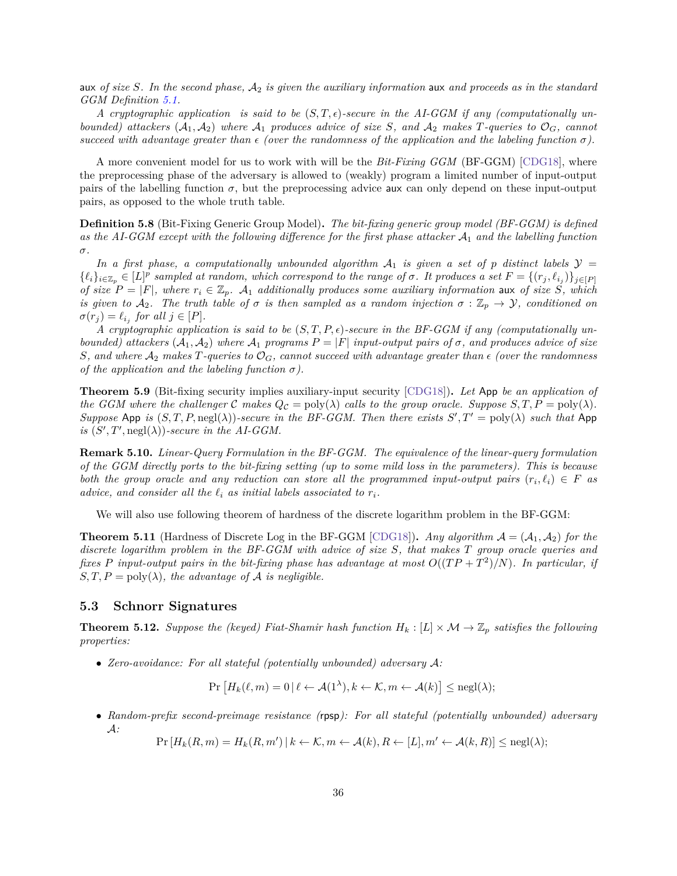aux *of size S*. In the second phase,  $A_2$  *is given the auxiliary information* aux *and proceeds as in the standard GGM Definition [5.1.](#page-35-2)*

A cryptographic application is said to be  $(S,T,\epsilon)$ -secure in the AI-GGM if any (computationally un*bounded) attackers*  $(A_1, A_2)$  *where*  $A_1$  *produces advice of size S*, and  $A_2$  *makes T*-queries to  $\mathcal{O}_G$ , *cannot* succeed with advantage greater than  $\epsilon$  (over the randomness of the application and the labeling function  $\sigma$ ).

A more convenient model for us to work with will be the *Bit-Fixing GGM* (BF-GGM) [\[CDG18\]](#page-55-6), where the preprocessing phase of the adversary is allowed to (weakly) program a limited number of input-output pairs of the labelling function  $\sigma$ , but the preprocessing advice aux can only depend on these input-output pairs, as opposed to the whole truth table.

**Definition 5.8** (Bit-Fixing Generic Group Model)**.** *The bit-fixing generic group model (BF-GGM) is defined as the AI-GGM except with the following difference for the first phase attacker*  $A_1$  *and the labelling function*  $\sigma.$ 

In a first phase, a computationally unbounded algorithm  $A_1$  is given a set of p distinct labels  $\mathcal{Y} =$  $\{\ell_i\}_{i\in\mathbb{Z}_p}\in[L]^p$  sampled at random, which correspond to the range of  $\sigma$ . It produces a set  $F=\{(r_j,\ell_{i_j})\}_{j\in[P]}$ *of size*  $P = |F|$ , where  $r_i \in \mathbb{Z}_p$ . A<sub>1</sub> additionally produces some auxiliary information aux of size *S*, which *is given to*  $A_2$ . The truth table of  $\sigma$  *is then sampled as a random injection*  $\sigma : \mathbb{Z}_p \to \mathcal{Y}$ , conditioned on  $\sigma(r_j) = \ell_{i_j}$  for all  $j \in [P]$ .

A cryptographic application is said to be  $(S, T, P, \epsilon)$ -secure in the BF-GGM if any (computationally un*bounded) attackers*  $(A_1, A_2)$  *where*  $A_1$  *programs*  $P = |F|$  *input-output pairs of*  $\sigma$ *, and produces advice of size S*, and where  $A_2$  makes T-queries to  $\mathcal{O}_G$ , cannot succeed with advantage greater than  $\epsilon$  (over the randomness *of the application and the labeling function*  $\sigma$ ).

<span id="page-37-2"></span>**Theorem 5.9** (Bit-fixing security implies auxiliary-input security [\[CDG18\]](#page-55-6))**.** *Let* App *be an application of the GGM where the challenger*  $C$  makes  $Q_C = \text{poly}(\lambda)$  *calls to the group oracle. Suppose*  $S, T, P = \text{poly}(\lambda)$ *. Suppose* App *is*  $(S, T, P, \text{negl}(\lambda))$ -secure in the BF-GGM. Then there exists  $S', T' = \text{poly}(\lambda)$  such that App is  $(S', T', \text{negl}(\lambda))$ -secure in the AI-GGM.

**Remark 5.10.** *Linear-Query Formulation in the BF-GGM. The equivalence of the linear-query formulation of the GGM directly ports to the bit-fixing setting (up to some mild loss in the parameters). This is because both the group oracle and any reduction can store all the programmed input-output pairs*  $(r_i, \ell_i) \in F$  as *advice, and consider all the*  $\ell_i$  *as initial labels associated to*  $r_i$ .

We will also use following theorem of hardness of the discrete logarithm problem in the BF-GGM:

<span id="page-37-3"></span>**Theorem 5.11** (Hardness of Discrete Log in the BF-GGM [\[CDG18\]](#page-55-6)). *Any algorithm*  $A = (A_1, A_2)$  *for the discrete logarithm problem in the BF-GGM with advice of size S*, that makes *T* group oracle queries and *fixes*  $P$  input-output pairs in the bit-fixing phase has advantage at most  $O((TP + T^2)/N)$ . In particular, if  $S, T, P = \text{poly}(\lambda)$ , the advantage of A is negligible.

#### <span id="page-37-0"></span>**5.3 Schnorr Signatures**

<span id="page-37-1"></span>**Theorem 5.12.** *Suppose the (keyed) Fiat-Shamir hash function*  $H_k : [L] \times \mathcal{M} \rightarrow \mathbb{Z}_p$  *satisfies the following properties:*

● *Zero-avoidance: For all stateful (potentially unbounded) adversary*  $\mathcal{A}$ *:* 

$$
\Pr\left[H_k(\ell,m) = 0 \,|\, \ell \leftarrow \mathcal{A}(1^{\lambda}), k \leftarrow \mathcal{K}, m \leftarrow \mathcal{A}(k)\right] \leq \text{negl}(\lambda);
$$

∙ *Random-prefix second-preimage resistance (*rpsp*): For all stateful (potentially unbounded) adversary :*

 $\Pr[H_k(R, m) = H_k(R, m') \mid k \leftarrow \mathcal{K}, m \leftarrow \mathcal{A}(k), R \leftarrow [L], m' \leftarrow \mathcal{A}(k, R)] \leq \text{negl}(\lambda);$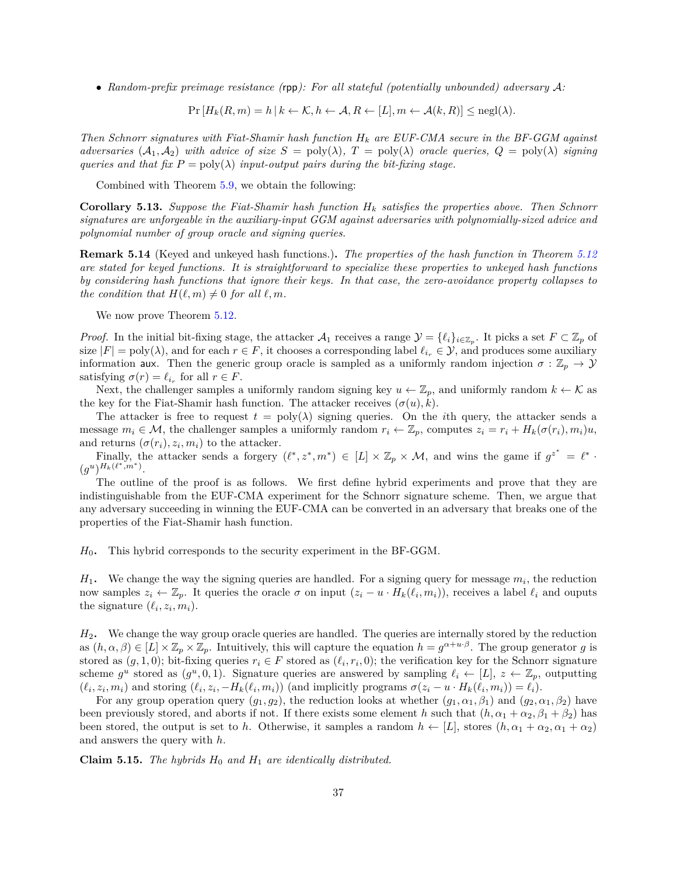∙ *Random-prefix preimage resistance (*rpp*): For all stateful (potentially unbounded) adversary :*

$$
Pr[H_k(R, m) = h | k \leftarrow \mathcal{K}, h \leftarrow \mathcal{A}, R \leftarrow [L], m \leftarrow \mathcal{A}(k, R)] \leq negl(\lambda).
$$

*Then Schnorr signatures with Fiat-Shamir hash function are EUF-CMA secure in the BF-GGM against adversaries*  $(A_1, A_2)$  *with advice of size*  $S = \text{poly}(\lambda)$ ,  $T = \text{poly}(\lambda)$  *oracle queries,*  $Q = \text{poly}(\lambda)$  *signing queries and that fix*  $P = \text{poly}(\lambda)$  *input-output pairs during the bit-fixing stage.* 

Combined with Theorem [5.9,](#page-37-2) we obtain the following:

**Corollary 5.13.** Suppose the Fiat-Shamir hash function  $H_k$  satisfies the properties above. Then Schnorr *signatures are unforgeable in the auxiliary-input GGM against adversaries with polynomially-sized advice and polynomial number of group oracle and signing queries.*

**Remark 5.14** (Keyed and unkeyed hash functions.)**.** *The properties of the hash function in Theorem [5.12](#page-37-1) are stated for keyed functions. It is straightforward to specialize these properties to unkeyed hash functions by considering hash functions that ignore their keys. In that case, the zero-avoidance property collapses to the condition that*  $H(\ell, m) \neq 0$  *for all*  $\ell, m$ .

We now prove Theorem  $5.12$ .

*Proof.* In the initial bit-fixing stage, the attacker  $\mathcal{A}_1$  receives a range  $\mathcal{Y} = \{\ell_i\}_{i \in \mathbb{Z}_p}$ . It picks a set  $F \subset \mathbb{Z}_p$  of size  $|F| = \text{poly}(\lambda)$ , and for each  $r \in F$ , it chooses a corresponding label  $\ell_{i_r} \in \mathcal{Y}$ , and produces some auxiliary information aux. Then the generic group oracle is sampled as a uniformly random injection  $\sigma : \mathbb{Z}_p \to \mathcal{Y}$ satisfying  $\sigma(r) = \ell_{i_r}$  for all  $r \in F$ .

Next, the challenger samples a uniformly random signing key  $u \leftarrow \mathbb{Z}_p$ , and uniformly random  $k \leftarrow \mathcal{K}$  as the key for the Fiat-Shamir hash function. The attacker receives  $(\sigma(u), k)$ .

The attacker is free to request  $t = \text{poly}(\lambda)$  signing queries. On the *i*th query, the attacker sends a message  $m_i \in \mathcal{M}$ , the challenger samples a uniformly random  $r_i \leftarrow \mathbb{Z}_p$ , computes  $z_i = r_i + H_k(\sigma(r_i), m_i)u$ , and returns  $(\sigma(r_i), z_i, m_i)$  to the attacker.

Finally, the attacker sends a forgery  $(\ell^*, z^*, m^*) \in [L] \times \mathbb{Z}_p \times \mathcal{M}$ , and wins the game if  $g^{z^*} = \ell^*$ .  $(g^u)^{H_k(\ell^*,m^*)}.$ 

The outline of the proof is as follows. We first define hybrid experiments and prove that they are indistinguishable from the EUF-CMA experiment for the Schnorr signature scheme. Then, we argue that any adversary succeeding in winning the EUF-CMA can be converted in an adversary that breaks one of the properties of the Fiat-Shamir hash function.

0**.** This hybrid corresponds to the security experiment in the BF-GGM.

 $H_1$ . We change the way the signing queries are handled. For a signing query for message  $m_i$ , the reduction now samples  $z_i \leftarrow \mathbb{Z}_p$ . It queries the oracle  $\sigma$  on input  $(z_i - u \cdot H_k(\ell_i, m_i))$ , receives a label  $\ell_i$  and ouputs the signature  $(\ell_i, z_i, m_i)$ .

2**.** We change the way group oracle queries are handled. The queries are internally stored by the reduction as  $(h, \alpha, \beta) \in [L] \times \mathbb{Z}_p \times \mathbb{Z}_p$ . Intuitively, this will capture the equation  $h = g^{\alpha + \alpha \cdot \beta}$ . The group generator g is stored as  $(g, 1, 0)$ ; bit-fixing queries  $r_i \in F$  stored as  $(\ell_i, r_i, 0)$ ; the verification key for the Schnorr signature scheme  $g^u$  stored as  $(g^u, 0, 1)$ . Signature queries are answered by sampling  $\ell_i \leftarrow [L], z \leftarrow \mathbb{Z}_p$ , outputting  $(\ell_i, z_i, m_i)$  and storing  $(\ell_i, z_i, -H_k(\ell_i, m_i))$  (and implicitly programs  $\sigma(z_i - u \cdot H_k(\ell_i, m_i)) = \ell_i$ ).

For any group operation query  $(g_1, g_2)$ , the reduction looks at whether  $(g_1, \alpha_1, \beta_1)$  and  $(g_2, \alpha_1, \beta_2)$  have been previously stored, and aborts if not. If there exists some element *h* such that  $(h, \alpha_1 + \alpha_2, \beta_1 + \beta_2)$  has been stored, the output is set to *h*. Otherwise, it samples a random  $h \leftarrow [L]$ , stores  $(h, \alpha_1 + \alpha_2, \alpha_1 + \alpha_2)$ and answers the query with *ℎ*.

**Claim 5.15.** *The hybrids*  $H_0$  *and*  $H_1$  *are identically distributed.*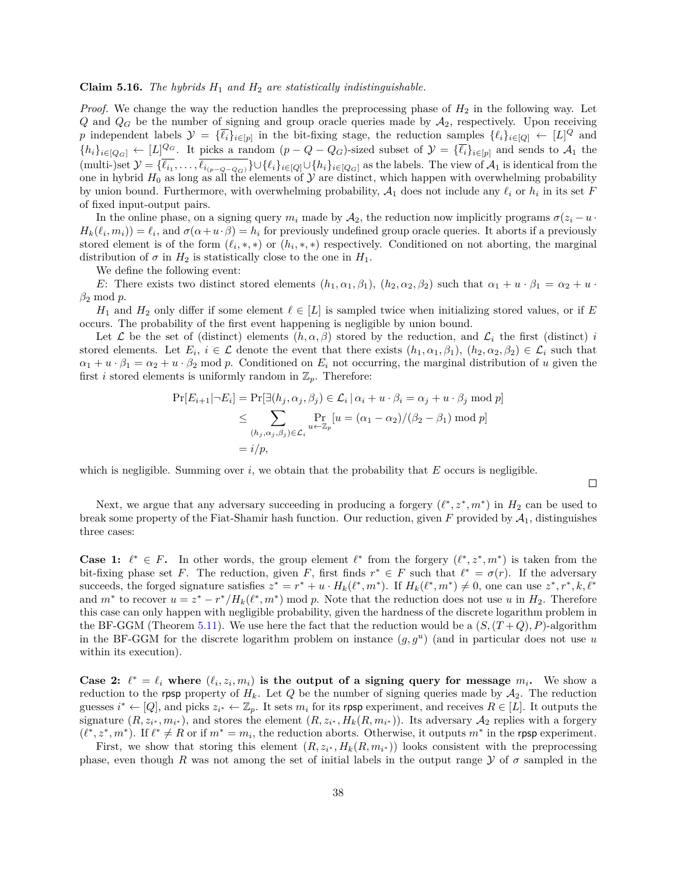#### **Claim 5.16.** *The hybrids*  $H_1$  *and*  $H_2$  *are statistically indistinguishable.*

*Proof.* We change the way the reduction handles the preprocessing phase of  $H_2$  in the following way. Let Q and  $Q_G$  be the number of signing and group oracle queries made by  $A_2$ , respectively. Upon receiving p independent labels  $\mathcal{Y} = {\{\overline{\ell_i}\}}_{i \in [p]}$  in the bit-fixing stage, the reduction samples  ${\{\ell_i\}}_{i \in [Q]} \leftarrow [L]^Q$  and  ${h_i}_{i \in [Q_G]} \leftarrow [L]^{Q_G}$ . It picks a random  $(p - Q - Q_G)$ -sized subset of  $\mathcal{Y} = {\overline{\ell_i}}_{i \in [p]}$  and sends to  $\mathcal{A}_1$  the  $(\text{multi-})\text{set } \mathcal{Y} = {\ell_{i_1}, \ldots, \ell_{i_{(p-Q-Q)}}} \cup {\ell_i}_{i \in [Q]} \cup {\{h_i\}}_{i \in [Q_G]}$  as the labels. The view of  $\mathcal{A}_1$  is identical from the one in hybrid  $H_0$  as long as all the elements of  $\mathcal Y$  are distinct, which happen with overwhelming probability by union bound. Furthermore, with overwhelming probability,  $A_1$  does not include any  $\ell_i$  or  $h_i$  in its set F of fixed input-output pairs.

In the online phase, on a signing query  $m_i$  made by  $\mathcal{A}_2$ , the reduction now implicitly programs  $\sigma(z_i - u \cdot$  $H_k(\ell_i, m_i) = \ell_i$ , and  $\sigma(\alpha + u \cdot \beta) = h_i$  for previously undefined group oracle queries. It aborts if a previously stored element is of the form  $(\ell_i,*,*)$  or  $(h_i,*,*)$  respectively. Conditioned on not aborting, the marginal distribution of  $\sigma$  in  $H_2$  is statistically close to the one in  $H_1$ .

We define the following event:

E: There exists two distinct stored elements  $(h_1, \alpha_1, \beta_1)$ ,  $(h_2, \alpha_2, \beta_2)$  such that  $\alpha_1 + u \cdot \beta_1 = \alpha_2 + u \cdot$  $\beta_2 \mod p$ .

 $H_1$  and  $H_2$  only differ if some element  $\ell \in [L]$  is sampled twice when initializing stored values, or if E occurs. The probability of the first event happening is negligible by union bound.

Let  $\mathcal L$  be the set of (distinct) elements  $(h, \alpha, \beta)$  stored by the reduction, and  $\mathcal L_i$  the first (distinct) i stored elements. Let  $E_i$ ,  $i \in \mathcal{L}$  denote the event that there exists  $(h_1, \alpha_1, \beta_1), (h_2, \alpha_2, \beta_2) \in \mathcal{L}_i$  such that  $\alpha_1 + u \cdot \beta_1 = \alpha_2 + u \cdot \beta_2$  mod p. Conditioned on  $E_i$  not occurring, the marginal distribution of u given the first *i* stored elements is uniformly random in  $\mathbb{Z}_p$ . Therefore:

$$
\Pr[E_{i+1} | \neg E_i] = \Pr[\exists (h_j, \alpha_j, \beta_j) \in \mathcal{L}_i | \alpha_i + u \cdot \beta_i = \alpha_j + u \cdot \beta_j \mod p]
$$
  
\n
$$
\leq \sum_{(h_j, \alpha_j, \beta_j) \in \mathcal{L}_i} \Pr_{u \leftarrow \mathbb{Z}_p} [u = (\alpha_1 - \alpha_2) / (\beta_2 - \beta_1) \mod p]
$$
  
\n
$$
= i/p,
$$

which is negligible. Summing over  $i$ , we obtain that the probability that  $E$  occurs is negligible.

 $\Box$ 

Next, we argue that any adversary succeeding in producing a forgery  $(\ell^*, z^*, m^*)$  in  $H_2$  can be used to break some property of the Fiat-Shamir hash function. Our reduction, given  $F$  provided by  $\mathcal{A}_1$ , distinguishes three cases:

**Case 1:**  $l^* \in F$ . In other words, the group element  $l^*$  from the forgery  $(l^*, z^*, m^*)$  is taken from the bit-fixing phase set F. The reduction, given F, first finds  $r^* \in F$  such that  $\ell^* = \sigma(r)$ . If the adversary succeeds, the forged signature satisfies  $z^* = r^* + u \cdot H_k(\ell^*, m^*)$ . If  $H_k(\ell^*, m^*) \neq 0$ , one can use  $z^*, r^*, k, \ell^*$ and  $m^*$  to recover  $u = z^* - r^* / H_k(\ell^*, m^*) \mod p$ . Note that the reduction does not use u in  $H_2$ . Therefore this case can only happen with negligible probability, given the hardness of the discrete logarithm problem in the BF-GGM (Theorem [5.11\)](#page-37-3). We use here the fact that the reduction would be a  $(S,(T+Q),P)$ -algorithm in the BF-GGM for the discrete logarithm problem on instance  $(g, g^u)$  (and in particular does not use u within its execution).

**Case 2:**  $\ell^* = \ell_i$  where  $(\ell_i, z_i, m_i)$  is the output of a signing query for message  $m_i$ . We show a reduction to the rpsp property of  $H_k$ . Let Q be the number of signing queries made by  $A_2$ . The reduction guesses  $i^* \leftarrow [Q]$ , and picks  $z_{i^*} \leftarrow \mathbb{Z}_p$ . It sets  $m_i$  for its rpsp experiment, and receives  $R \in [L]$ . It outputs the signature  $(R, z_{i^*}, m_{i^*})$ , and stores the element  $(R, z_{i^*}, H_k(R, m_{i^*}))$ . Its adversary  $\mathcal{A}_2$  replies with a forgery  $(\ell^*, z^*, m^*)$ . If  $\ell^* \neq R$  or if  $m^* = m_i$ , the reduction aborts. Otherwise, it outputs  $m^*$  in the rpsp experiment.

First, we show that storing this element  $(R, z_{i^*}, H_k(R, m_{i^*}))$  looks consistent with the preprocessing phase, even though R was not among the set of initial labels in the output range  $\mathcal Y$  of  $\sigma$  sampled in the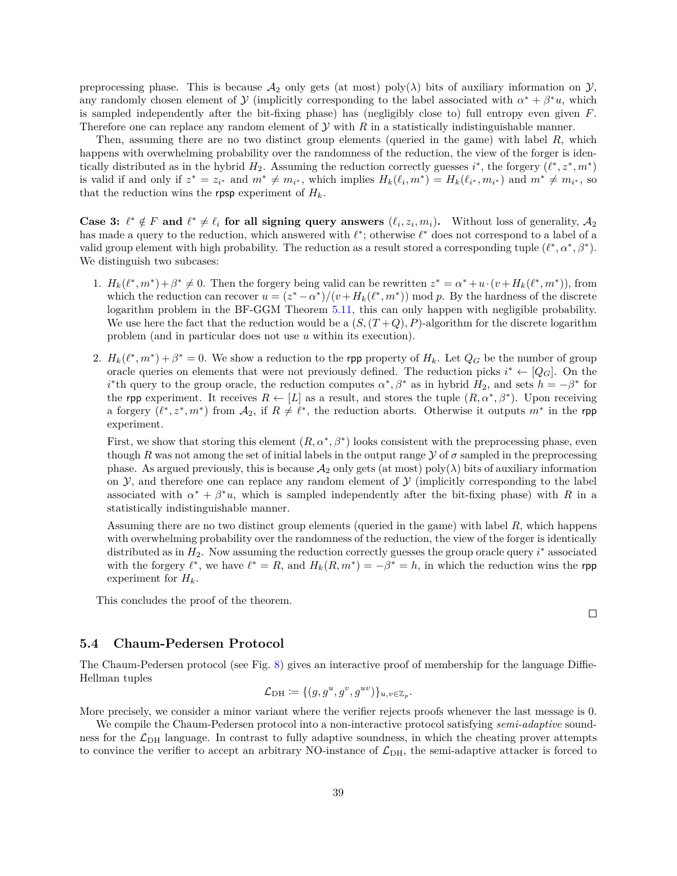preprocessing phase. This is because  $\mathcal{A}_2$  only gets (at most) poly( $\lambda$ ) bits of auxiliary information on  $\mathcal{Y}$ , any randomly chosen element of  $\mathcal Y$  (implicitly corresponding to the label associated with  $\alpha^* + \beta^* u$ , which is sampled independently after the bit-fixing phase) has (negligibly close to) full entropy even given  $F$ . Therefore one can replace any random element of  $Y$  with  $R$  in a statistically indistinguishable manner.

Then, assuming there are no two distinct group elements (queried in the game) with label  $R$ , which happens with overwhelming probability over the randomness of the reduction, the view of the forger is identically distributed as in the hybrid  $H_2$ . Assuming the reduction correctly guesses  $i^*$ , the forgery  $(\ell^*, z^*, m^*)$ is valid if and only if  $z^* = z_{i^*}$  and  $m^* \neq m_{i^*}$ , which implies  $H_k(\ell_i, m^*) = H_k(\ell_{i^*}, m_{i^*})$  and  $m^* \neq m_{i^*}$ , so that the reduction wins the rpsp experiment of  $H_k$ .

**Case 3:**  $\ell^* \notin F$  and  $\ell^* \neq \ell_i$  for all signing query answers  $(\ell_i, z_i, m_i)$ . Without loss of generality,  $\mathcal{A}_2$ has made a query to the reduction, which answered with  $\ell^*$ ; otherwise  $\ell^*$  does not correspond to a label of a valid group element with high probability. The reduction as a result stored a corresponding tuple  $(\ell^*, \alpha^*, \beta^*)$ . We distinguish two subcases:

- 1.  $H_k(\ell^*, m^*) + \beta^* \neq 0$ . Then the forgery being valid can be rewritten  $z^* = \alpha^* + u \cdot (v + H_k(\ell^*, m^*))$ , from which the reduction can recover  $u = (z^* - \alpha^*)/(v + H_k(\ell^*, m^*)) \mod p$ . By the hardness of the discrete logarithm problem in the BF-GGM Theorem [5.11,](#page-37-3) this can only happen with negligible probability. We use here the fact that the reduction would be a  $(S,(T+Q), P)$ -algorithm for the discrete logarithm problem (and in particular does not use  $u$  within its execution).
- 2.  $H_k(\ell^*, m^*) + \beta^* = 0$ . We show a reduction to the rpp property of  $H_k$ . Let  $Q_G$  be the number of group oracle queries on elements that were not previously defined. The reduction picks  $i^* \leftarrow [Q_G]$ . On the *i*<sup>\*</sup>th query to the group oracle, the reduction computes  $\alpha^*, \beta^*$  as in hybrid  $H_2$ , and sets  $h = -\beta^*$  for the rpp experiment. It receives  $R \leftarrow [L]$  as a result, and stores the tuple  $(R, \alpha^*, \beta^*)$ . Upon receiving a forgery  $(\ell^*, z^*, m^*)$  from  $\mathcal{A}_2$ , if  $R \neq \ell^*$ , the reduction aborts. Otherwise it outputs  $m^*$  in the rpp experiment.

First, we show that storing this element  $(R, \alpha^*, \beta^*)$  looks consistent with the preprocessing phase, even though R was not among the set of initial labels in the output range  $\mathcal Y$  of  $\sigma$  sampled in the preprocessing phase. As argued previously, this is because  $\mathcal{A}_2$  only gets (at most) poly( $\lambda$ ) bits of auxiliary information on  $\mathcal Y$ , and therefore one can replace any random element of  $\mathcal Y$  (implicitly corresponding to the label associated with  $\alpha^* + \beta^* u$ , which is sampled independently after the bit-fixing phase) with R in a statistically indistinguishable manner.

Assuming there are no two distinct group elements (queried in the game) with label  $R$ , which happens with overwhelming probability over the randomness of the reduction, the view of the forger is identically distributed as in  $H_2$ . Now assuming the reduction correctly guesses the group oracle query  $i^*$  associated with the forgery  $\ell^*$ , we have  $\ell^* = R$ , and  $H_k(R, m^*) = -\beta^* = h$ , in which the reduction wins the rpp experiment for  $H_k$ .

This concludes the proof of the theorem.

### <span id="page-40-0"></span>**5.4 Chaum-Pedersen Protocol**

The Chaum-Pedersen protocol (see Fig. [8\)](#page-41-0) gives an interactive proof of membership for the language Diffie-Hellman tuples

$$
\mathcal{L}_{\mathrm{DH}} \coloneqq \{ (g, g^u, g^v, g^{uv}) \}_{u, v \in \mathbb{Z}_p}.
$$

More precisely, we consider a minor variant where the verifier rejects proofs whenever the last message is 0.

We compile the Chaum-Pedersen protocol into a non-interactive protocol satisfying *semi-adaptive* soundness for the  $\mathcal{L}_{\text{DH}}$  language. In contrast to fully adaptive soundness, in which the cheating prover attempts to convince the verifier to accept an arbitrary NO-instance of  $\mathcal{L}_{\text{DH}}$ , the semi-adaptive attacker is forced to

 $\Box$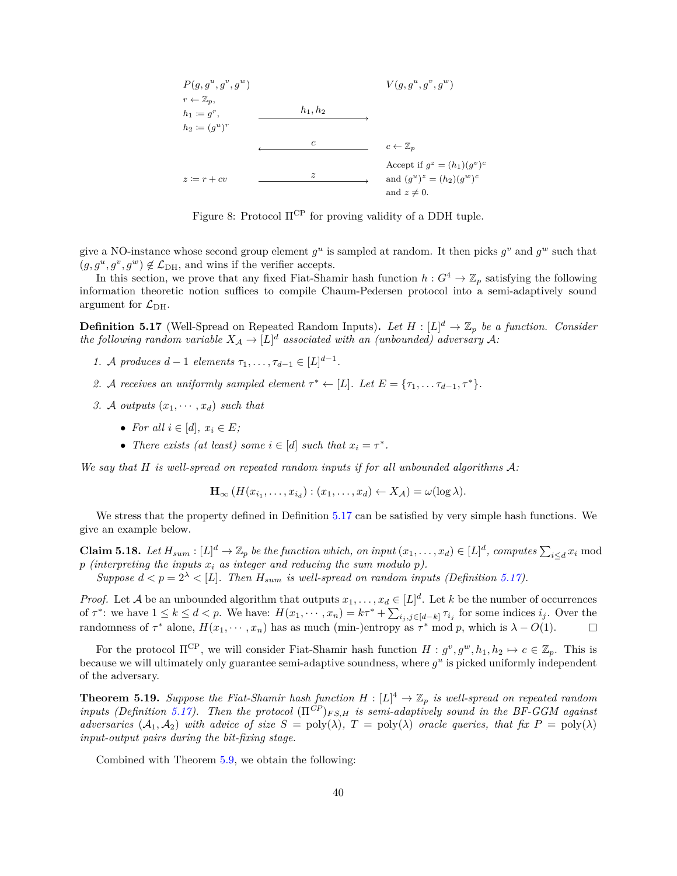<span id="page-41-0"></span>

Figure 8: Protocol  $\Pi^{\text{CP}}$  for proving validity of a DDH tuple.

give a NO-instance whose second group element  $g^u$  is sampled at random. It then picks  $g^v$  and  $g^w$  such that  $(g, g^u, g^v, g^w) \notin \mathcal{L}_{\text{DH}}$ , and wins if the verifier accepts.

In this section, we prove that any fixed Fiat-Shamir hash function  $h: G^4 \to \mathbb{Z}_p$  satisfying the following information theoretic notion suffices to compile Chaum-Pedersen protocol into a semi-adaptively sound argument for  $\mathcal{L}_{\text{DH}}$ .

<span id="page-41-1"></span>**Definition 5.17** (Well-Spread on Repeated Random Inputs). Let  $H : [L]^d \to \mathbb{Z}_p$  be a function. Consider *the following random variable*  $X_A \to [L]^d$  associated with an (unbounded) adversary A:

- *1. A* produces  $d-1$  elements  $\tau_1, \ldots, \tau_{d-1} \in [L]^{d-1}$ .
- 2. A receives an uniformly sampled element  $\tau^* \leftarrow [L]$ . Let  $E = {\tau_1, \ldots \tau_{d-1}, \tau^*}$ .
- *3.* A outputs  $(x_1, \dots, x_d)$  such that
	- For all  $i \in [d], x_i \in E$ ;
	- *There exists (at least) some*  $i \in [d]$  *such that*  $x_i = \tau^*$ *.*

We say that  $H$  is well-spread on repeated random inputs if for all unbounded algorithms  $\mathcal{A}$ :

 $\mathbf{H}_{\infty} (H(x_{i_1}, \ldots, x_{i_d}) : (x_1, \ldots, x_d) \leftarrow X_{\mathcal{A}}) = \omega(\log \lambda).$ 

We stress that the property defined in Definition [5.17](#page-41-1) can be satisfied by very simple hash functions. We give an example below.

**Claim 5.18.** Let  $H_{sum} : [L]^d \to \mathbb{Z}_p$  be the function which, on input  $(x_1, \ldots, x_d) \in [L]^d$ , computes  $\sum_{i \le d} x_i$  mod  $p$  (interpreting the inputs  $x_i$  as integer and reducing the sum modulo  $p$ ).

*Suppose*  $d < p = 2^{\lambda} < |L|$ . Then  $H_{sum}$  is well-spread on random inputs (Definition [5.17\)](#page-41-1).

*Proof.* Let A be an unbounded algorithm that outputs  $x_1, \ldots, x_d \in [L]^d$ . Let k be the number of occurrences of  $\tau^*$ : we have  $1 \leq k \leq d < p$ . We have:  $H(x_1, \dots, x_n) = k\tau^* + \sum_{i_j, j \in [d-k]} \tau_{i_j}$  for some indices  $i_j$ . Over the randomness of  $\tau^*$  alone,  $H(x_1, \dots, x_n)$  has as much (min-)entropy as  $\tau^*$  mod p, which is  $\lambda - O(1)$ .  $\Box$ 

For the protocol  $\Pi^{CP}$ , we will consider Fiat-Shamir hash function  $H : g^v, g^w, h_1, h_2 \mapsto c \in \mathbb{Z}_p$ . This is because we will ultimately only guarantee semi-adaptive soundness, where  $g^u$  is picked uniformly independent of the adversary.

<span id="page-41-2"></span>**Theorem 5.19.** Suppose the Fiat-Shamir hash function  $H : [L]^4 \to \mathbb{Z}_p$  is well-spread on repeated random *inputs (Definition [5.17\)](#page-41-1). Then the protocol*  $(\Pi^{\tilde{C}P})_{FS,H}$  *is semi-adaptively sound in the BF-GGM against adversaries*  $(A_1, A_2)$  *with advice of size*  $S = \text{poly}(\lambda)$ ,  $T = \text{poly}(\lambda)$  *oracle queries, that fix*  $P = \text{poly}(\lambda)$ *input-output pairs during the bit-fixing stage.*

Combined with Theorem [5.9,](#page-37-2) we obtain the following: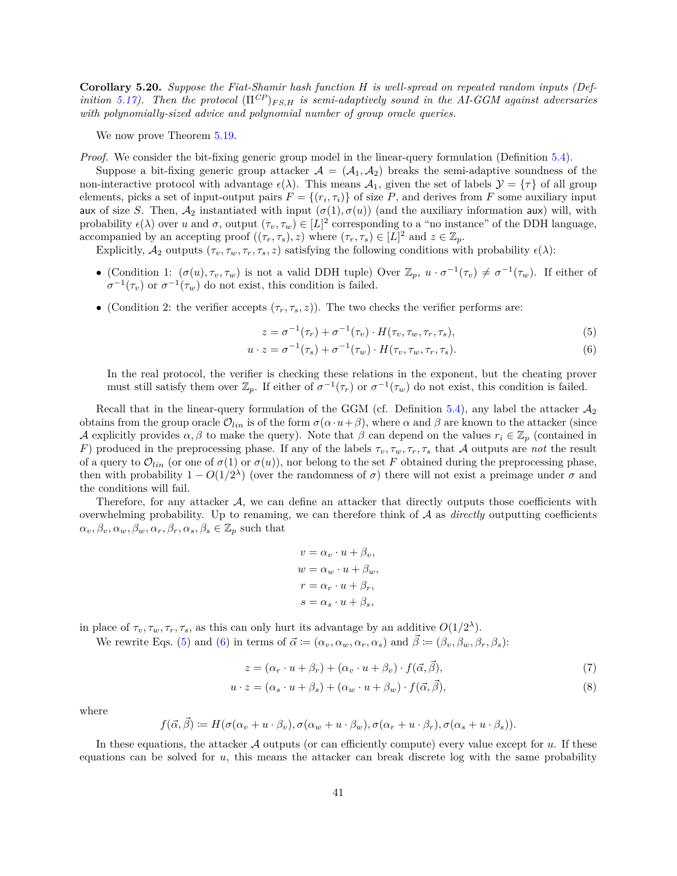**Corollary 5.20.** *Suppose the Fiat-Shamir hash function is well-spread on repeated random inputs (Definition* [5.17\)](#page-41-1). Then the protocol  $(\Pi^{CP})_{FS,H}$  is semi-adaptively sound in the AI-GGM against adversaries *with polynomially-sized advice and polynomial number of group oracle queries.*

We now prove Theorem  $5.19$ .

*Proof.* We consider the bit-fixing generic group model in the linear-query formulation (Definition [5.4\)](#page-36-1).

Suppose a bit-fixing generic group attacker  $A = (A_1, A_2)$  breaks the semi-adaptive soundness of the non-interactive protocol with advantage  $\epsilon(\lambda)$ . This means  $\mathcal{A}_1$ , given the set of labels  $\mathcal{Y} = \{\tau\}$  of all group elements, picks a set of input-output pairs  $F = \{(r_i, \tau_i)\}\$  of size P, and derives from F some auxiliary input aux of size S. Then,  $A_2$  instantiated with input  $(\sigma(1), \sigma(u))$  (and the auxiliary information aux) will, with probability  $\epsilon(\lambda)$  over u and  $\sigma$ , output  $(\tau_v, \tau_w) \in [L]^2$  corresponding to a "no instance" of the DDH language, accompanied by an accepting proof  $((\tau_r, \tau_s), z)$  where  $(\tau_r, \tau_s) \in [L]^2$  and  $z \in \mathbb{Z}_p$ .

Explicitly,  $A_2$  outputs  $(\tau_v, \tau_w, \tau_r, \tau_s, z)$  satisfying the following conditions with probability  $\epsilon(\lambda)$ :

- (Condition 1:  $(\sigma(u), \tau_v, \tau_w)$  is not a valid DDH tuple) Over  $\mathbb{Z}_p$ ,  $u \cdot \sigma^{-1}(\tau_v) \neq \sigma^{-1}(\tau_w)$ . If either of  $\sigma^{-1}(\tau_v)$  or  $\sigma^{-1}(\tau_w)$  do not exist, this condition is failed.
- (Condition 2: the verifier accepts  $(\tau_r, \tau_s, z)$ ). The two checks the verifier performs are:

<span id="page-42-1"></span><span id="page-42-0"></span>
$$
z = \sigma^{-1}(\tau_r) + \sigma^{-1}(\tau_v) \cdot H(\tau_v, \tau_w, \tau_r, \tau_s), \tag{5}
$$

$$
u \cdot z = \sigma^{-1}(\tau_s) + \sigma^{-1}(\tau_w) \cdot H(\tau_v, \tau_w, \tau_r, \tau_s). \tag{6}
$$

In the real protocol, the verifier is checking these relations in the exponent, but the cheating prover must still satisfy them over  $\mathbb{Z}_p$ . If either of  $\sigma^{-1}(\tau_r)$  or  $\sigma^{-1}(\tau_w)$  do not exist, this condition is failed.

Recall that in the linear-query formulation of the GGM (cf. Definition [5.4\)](#page-36-1), any label the attacker  $\mathcal{A}_2$ obtains from the group oracle  $\mathcal{O}_{lin}$  is of the form  $\sigma(\alpha \cdot u+\beta)$ , where  $\alpha$  and  $\beta$  are known to the attacker (since A explicitly provides  $\alpha, \beta$  to make the query). Note that  $\beta$  can depend on the values  $r_i \in \mathbb{Z}_p$  (contained in F) produced in the preprocessing phase. If any of the labels  $\tau_v, \tau_w, \tau_r, \tau_s$  that A outputs are *not* the result of a query to  $\mathcal{O}_{lin}$  (or one of  $\sigma(1)$  or  $\sigma(u)$ ), nor belong to the set F obtained during the preprocessing phase, then with probability  $1 - O(1/2^{\lambda})$  (over the randomness of  $\sigma$ ) there will not exist a preimage under  $\sigma$  and the conditions will fail.

Therefore, for any attacker  $A$ , we can define an attacker that directly outputs those coefficients with overwhelming probability. Up to renaming, we can therefore think of  $A$  as *directly* outputting coefficients  $\alpha_v, \beta_v, \alpha_w, \beta_w, \alpha_r, \beta_r, \alpha_s, \beta_s \in \mathbb{Z}_p$  such that

<span id="page-42-3"></span><span id="page-42-2"></span>
$$
v = \alpha_v \cdot u + \beta_v,
$$
  
\n
$$
w = \alpha_w \cdot u + \beta_w,
$$
  
\n
$$
r = \alpha_r \cdot u + \beta_r,
$$
  
\n
$$
s = \alpha_s \cdot u + \beta_s,
$$

in place of  $\tau_v, \tau_w, \tau_r, \tau_s$ , as this can only hurt its advantage by an additive  $O(1/2^{\lambda})$ .

We rewrite Eqs. [\(5\)](#page-42-0) and [\(6\)](#page-42-1) in terms of  $\vec{\alpha} := (\alpha_v, \alpha_w, \alpha_r, \alpha_s)$  and  $\vec{\beta} := (\beta_v, \beta_w, \beta_r, \beta_s)$ :

$$
z = (\alpha_r \cdot u + \beta_r) + (\alpha_v \cdot u + \beta_v) \cdot f(\vec{\alpha}, \vec{\beta}), \tag{7}
$$

$$
u \cdot z = (\alpha_s \cdot u + \beta_s) + (\alpha_w \cdot u + \beta_w) \cdot f(\vec{\alpha}, \vec{\beta}), \tag{8}
$$

where

$$
f(\vec{\alpha}, \vec{\beta}) \coloneqq H(\sigma(\alpha_v + u \cdot \beta_v), \sigma(\alpha_w + u \cdot \beta_w), \sigma(\alpha_r + u \cdot \beta_r), \sigma(\alpha_s + u \cdot \beta_s)).
$$

In these equations, the attacker  $\mathcal A$  outputs (or can efficiently compute) every value except for  $u$ . If these equations can be solved for  $u$ , this means the attacker can break discrete log with the same probability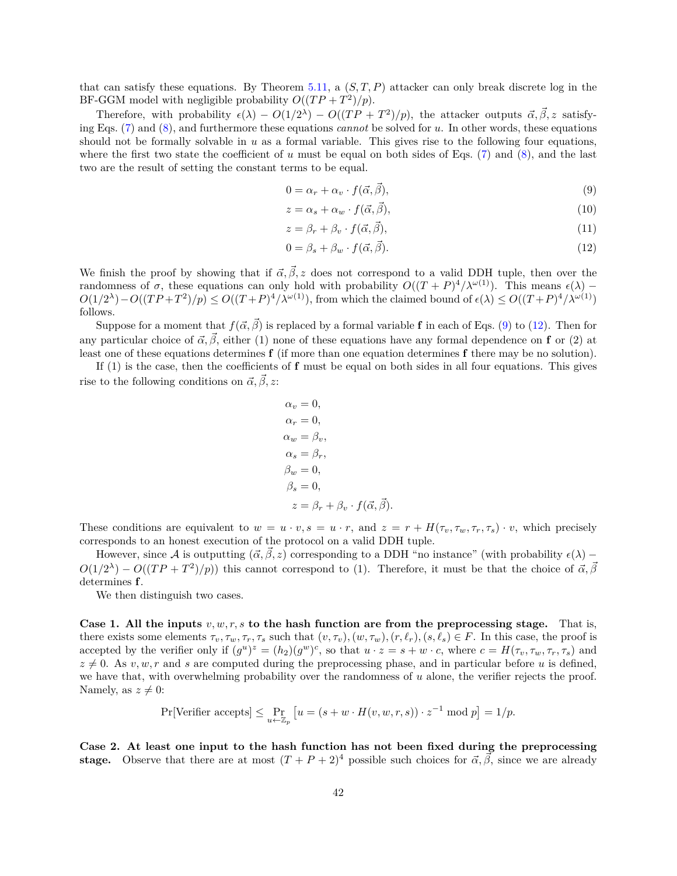that can satisfy these equations. By Theorem [5.11,](#page-37-3) a  $(S, T, P)$  attacker can only break discrete log in the BF-GGM model with negligible probability  $O((TP + T^2)/p)$ .

Therefore, with probability  $\epsilon(\lambda) - O(1/2^{\lambda}) - O((TP + T^2)/p)$ , the attacker outputs  $\vec{\alpha}, \vec{\beta}, z$  satisfy-ing Eqs. [\(7\)](#page-42-2) and [\(8\)](#page-42-3), and furthermore these equations *cannot* be solved for u. In other words, these equations should not be formally solvable in  $u$  as a formal variable. This gives rise to the following four equations, where the first two state the coefficient of  $u$  must be equal on both sides of Eqs. [\(7\)](#page-42-2) and [\(8\)](#page-42-3), and the last two are the result of setting the constant terms to be equal.

<span id="page-43-0"></span>
$$
0 = \alpha_r + \alpha_v \cdot f(\vec{\alpha}, \vec{\beta}), \tag{9}
$$

$$
z = \alpha_s + \alpha_w \cdot f(\vec{\alpha}, \vec{\beta}), \tag{10}
$$

$$
z = \beta_r + \beta_v \cdot f(\vec{\alpha}, \vec{\beta}), \tag{11}
$$

<span id="page-43-1"></span>
$$
0 = \beta_s + \beta_w \cdot f(\vec{\alpha}, \vec{\beta}). \tag{12}
$$

We finish the proof by showing that if  $\vec{\alpha}, \vec{\beta}, z$  does not correspond to a valid DDH tuple, then over the randomness of  $\sigma$ , these equations can only hold with probability  $O((T + P)^4/\lambda^{\omega(1)})$ . This means  $\epsilon(\lambda)$  –  $O(1/2^{\lambda})-O((TP+T^2)/p) \leq O((T+P)^4/\lambda^{\omega(1)})$ , from which the claimed bound of  $\epsilon(\lambda) \leq O((T+P)^4/\lambda^{\omega(1)})$ follows.

Suppose for a moment that  $f(\vec{\alpha}, \vec{\beta})$  is replaced by a formal variable **f** in each of Eqs. [\(9\)](#page-43-0) to [\(12\)](#page-43-1). Then for any particular choice of  $\vec{\alpha}, \vec{\beta}$ , either (1) none of these equations have any formal dependence on **f** or (2) at least one of these equations determines **f** (if more than one equation determines **f** there may be no solution).

If (1) is the case, then the coefficients of **f** must be equal on both sides in all four equations. This gives rise to the following conditions on  $\vec{\alpha}, \vec{\beta}, z$ :

$$
\alpha_v = 0,
$$
  
\n
$$
\alpha_r = 0,
$$
  
\n
$$
\alpha_w = \beta_v,
$$
  
\n
$$
\alpha_s = \beta_r,
$$
  
\n
$$
\beta_w = 0,
$$
  
\n
$$
\beta_s = 0,
$$
  
\n
$$
z = \beta_r + \beta_v \cdot f(\vec{\alpha}, \vec{\beta}).
$$

These conditions are equivalent to  $w = u \cdot v$ ,  $s = u \cdot r$ , and  $z = r + H(\tau_v, \tau_w, \tau_r, \tau_s) \cdot v$ , which precisely corresponds to an honest execution of the protocol on a valid DDH tuple.

However, since A is outputting  $(\vec{\alpha}, \vec{\beta}, z)$  corresponding to a DDH "no instance" (with probability  $\epsilon(\lambda)$  –  $O(1/2^{\lambda}) - O((TP + T^2)/p)$  this cannot correspond to (1). Therefore, it must be that the choice of  $\vec{\alpha}, \vec{\beta}$ determines **f**.

We then distinguish two cases.

**Case 1. All the inputs**  $v, w, r, s$  to the hash function are from the preprocessing stage. That is, there exists some elements  $\tau_v, \tau_w, \tau_r, \tau_s$  such that  $(v, \tau_v), (w, \tau_w), (r, \ell_r), (s, \ell_s) \in F$ . In this case, the proof is accepted by the verifier only if  $(g^u)^z = (h_2)(g^w)^c$ , so that  $u \cdot z = s + w \cdot c$ , where  $c = H(\tau_v, \tau_w, \tau_r, \tau_s)$  and  $z \neq 0$ . As  $v, w, r$  and s are computed during the preprocessing phase, and in particular before u is defined, we have that, with overwhelming probability over the randomness of  $u$  alone, the verifier rejects the proof. Namely, as  $z \neq 0$ :

$$
\Pr[\text{Verifier accepts}] \le \Pr_{u \leftarrow \mathbb{Z}_p} \left[ u = (s + w \cdot H(v, w, r, s)) \cdot z^{-1} \text{ mod } p \right] = 1/p.
$$

**Case 2. At least one input to the hash function has not been fixed during the preprocessing stage.** Observe that there are at most  $(T + P + 2)^4$  possible such choices for  $\vec{\alpha}, \vec{\beta}$ , since we are already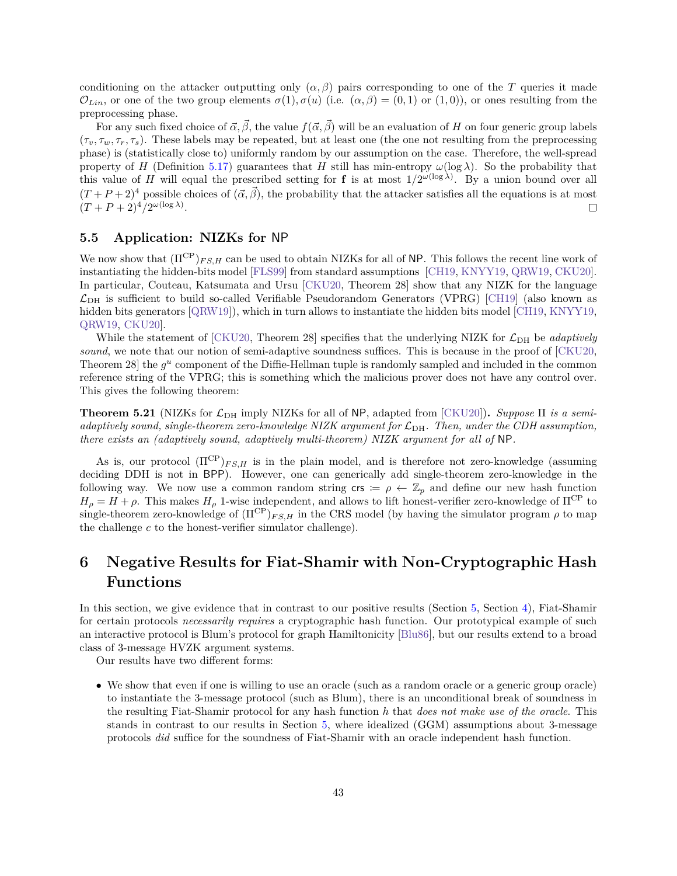conditioning on the attacker outputting only  $(\alpha, \beta)$  pairs corresponding to one of the T queries it made  $\mathcal{O}_{Lin}$ , or one of the two group elements  $\sigma(1), \sigma(u)$  (i.e.  $(\alpha, \beta) = (0, 1)$  or  $(1, 0)$ ), or ones resulting from the preprocessing phase.

For any such fixed choice of  $\vec{\alpha}, \vec{\beta}$ , the value  $f(\vec{\alpha}, \vec{\beta})$  will be an evaluation of H on four generic group labels  $(\tau_v, \tau_w, \tau_r, \tau_s)$ . These labels may be repeated, but at least one (the one not resulting from the preprocessing phase) is (statistically close to) uniformly random by our assumption on the case. Therefore, the well-spread property of H (Definition [5.17\)](#page-41-1) guarantees that H still has min-entropy  $\omega(\log \lambda)$ . So the probability that this value of H will equal the prescribed setting for **f** is at most  $1/2^{\omega(\log \lambda)}$ . By a union bound over all  $(T + P + 2)^4$  possible choices of  $(\vec{\alpha}, \vec{\beta})$ , the probability that the attacker satisfies all the equations is at most  $(T+P+2)^4/2^{\omega(\log \lambda)}$ .  $\Box$ 

## <span id="page-44-0"></span>**5.5 Application: NIZKs for** NP

We now show that  $(\Pi^{CP})_{FS,H}$  can be used to obtain NIZKs for all of NP. This follows the recent line work of instantiating the hidden-bits model [\[FLS99\]](#page-56-8) from standard assumptions [\[CH19,](#page-55-11) [KNYY19,](#page-57-10) [QRW19,](#page-58-11) [CKU20\]](#page-55-3). In particular, Couteau, Katsumata and Ursu [\[CKU20,](#page-55-3) Theorem 28] show that any NIZK for the language  $\mathcal{L}_{\text{DH}}$  is sufficient to build so-called Verifiable Pseudorandom Generators (VPRG) [\[CH19\]](#page-55-11) (also known as hidden bits generators [\[QRW19\]](#page-58-11)), which in turn allows to instantiate the hidden bits model [\[CH19,](#page-55-11) [KNYY19,](#page-57-10) [QRW19,](#page-58-11) [CKU20\]](#page-55-3).

While the statement of  $\text{CKU20}$ , Theorem 28] specifies that the underlying NIZK for  $\mathcal{L}_{\text{DH}}$  be *adaptively sound*, we note that our notion of semi-adaptive soundness suffices. This is because in the proof of [\[CKU20,](#page-55-3) Theorem 28] the  $g^u$  component of the Diffie-Hellman tuple is randomly sampled and included in the common reference string of the VPRG; this is something which the malicious prover does not have any control over. This gives the following theorem:

**Theorem 5.21** (NIZKs for  $\mathcal{L}_{DH}$  imply NIZKs for all of NP, adapted from [\[CKU20\]](#page-55-3)). *Suppose*  $\Pi$  *is a semiadaptively sound, single-theorem zero-knowledge NIZK argument for*  $\mathcal{L}_{\text{DH}}$ . Then, under the CDH assumption, *there exists an (adaptively sound, adaptively multi-theorem) NIZK argument for all of* NP*.*

As is, our protocol  $(\Pi^{\text{CP}})_{FS,H}$  is in the plain model, and is therefore not zero-knowledge (assuming deciding DDH is not in BPP). However, one can generically add single-theorem zero-knowledge in the following way. We now use a common random string crs  $:= \rho \leftarrow \mathbb{Z}_p$  and define our new hash function  $H_o = H + \rho$ . This makes  $H_o$  1-wise independent, and allows to lift honest-verifier zero-knowledge of  $\Pi^{\rm CP}$  to single-theorem zero-knowledge of  $(\Pi^{\text{CP}})_{FS,H}$  in the CRS model (by having the simulator program  $\rho$  to map the challenge  $c$  to the honest-verifier simulator challenge).

# <span id="page-44-1"></span>**6 Negative Results for Fiat-Shamir with Non-Cryptographic Hash Functions**

In this section, we give evidence that in contrast to our positive results (Section [5,](#page-35-0) Section [4\)](#page-23-0), Fiat-Shamir for certain protocols *necessarily requires* a cryptographic hash function. Our prototypical example of such an interactive protocol is Blum's protocol for graph Hamiltonicity [\[Blu86\]](#page-54-10), but our results extend to a broad class of 3-message HVZK argument systems.

Our results have two different forms:

∙ We show that even if one is willing to use an oracle (such as a random oracle or a generic group oracle) to instantiate the 3-message protocol (such as Blum), there is an unconditional break of soundness in the resulting Fiat-Shamir protocol for any hash function *ℎ* that *does not make use of the oracle*. This stands in contrast to our results in Section [5,](#page-35-0) where idealized (GGM) assumptions about 3-message protocols *did* suffice for the soundness of Fiat-Shamir with an oracle independent hash function.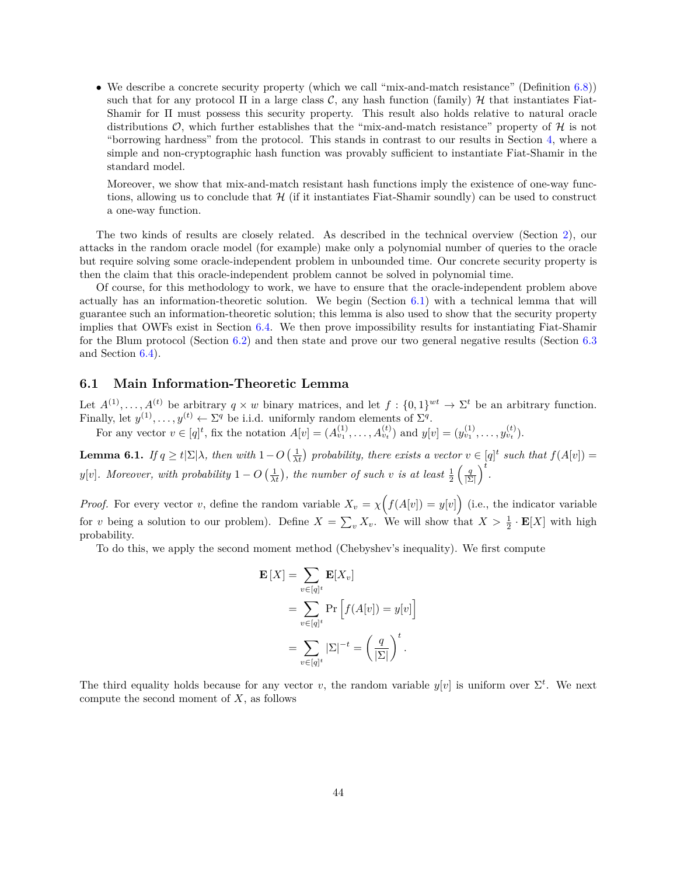∙ We describe a concrete security property (which we call "mix-and-match resistance" (Definition [6.8\)](#page-50-1)) such that for any protocol  $\Pi$  in a large class C, any hash function (family)  $\mathcal H$  that instantiates Fiat-Shamir for Π must possess this security property. This result also holds relative to natural oracle distributions  $\mathcal{O}$ , which further establishes that the "mix-and-match resistance" property of  $\mathcal{H}$  is not "borrowing hardness" from the protocol. This stands in contrast to our results in Section [4,](#page-23-0) where a simple and non-cryptographic hash function was provably sufficient to instantiate Fiat-Shamir in the standard model.

Moreover, we show that mix-and-match resistant hash functions imply the existence of one-way functions, allowing us to conclude that  $\mathcal{H}$  (if it instantiates Fiat-Shamir soundly) can be used to construct a one-way function.

The two kinds of results are closely related. As described in the technical overview (Section [2\)](#page-12-0), our attacks in the random oracle model (for example) make only a polynomial number of queries to the oracle but require solving some oracle-independent problem in unbounded time. Our concrete security property is then the claim that this oracle-independent problem cannot be solved in polynomial time.

Of course, for this methodology to work, we have to ensure that the oracle-independent problem above actually has an information-theoretic solution. We begin (Section  $6.1$ ) with a technical lemma that will guarantee such an information-theoretic solution; this lemma is also used to show that the security property implies that OWFs exist in Section [6.4.](#page-50-0) We then prove impossibility results for instantiating Fiat-Shamir for the Blum protocol (Section [6.2\)](#page-47-0) and then state and prove our two general negative results (Section [6.3](#page-47-1) and Section [6.4\)](#page-50-0).

## <span id="page-45-0"></span>**6.1 Main Information-Theoretic Lemma**

Let  $A^{(1)}, \ldots, A^{(t)}$  be arbitrary  $q \times w$  binary matrices, and let  $f: \{0,1\}^{wt} \to \Sigma^t$  be an arbitrary function. Finally, let  $y^{(1)}, \ldots, y^{(t)} \leftarrow \Sigma^q$  be i.i.d. uniformly random elements of  $\Sigma^q$ .

For any vector  $v \in [q]^t$ , fix the notation  $A[v] = (A_{v_1}^{(1)}, \ldots, A_{v_t}^{(t)})$  and  $y[v] = (y_{v_1}^{(1)}, \ldots, y_{v_t}^{(t)})$ .

<span id="page-45-1"></span>**Lemma 6.1.** *If*  $q \ge t | \Sigma | \lambda$ , then with  $1 - O\left(\frac{1}{\lambda t}\right)$  probability, there exists a vector  $v \in [q]^t$  such that  $f(A[v]) =$  $[y[v]$ . Moreover, with probability  $1 - O\left(\frac{1}{\lambda t}\right)$ , the number of such v is at least  $\frac{1}{2} \left(\frac{q}{|\Sigma|}\right)^t$ .

*Proof.* For every vector v, define the random variable  $X_v = \chi\big(f(A[v]) = y[v]\big)$  (i.e., the indicator variable for v being a solution to our problem). Define  $X = \sum_{v} X_v$ . We will show that  $X > \frac{1}{2} \cdot \mathbf{E}[X]$  with high probability.

To do this, we apply the second moment method (Chebyshev's inequality). We first compute

$$
\mathbf{E}[X] = \sum_{v \in [q]^t} \mathbf{E}[X_v]
$$
  
= 
$$
\sum_{v \in [q]^t} \Pr\left[f(A[v]) = y[v]\right]
$$
  
= 
$$
\sum_{v \in [q]^t} |\Sigma|^{-t} = \left(\frac{q}{|\Sigma|}\right)^t.
$$

The third equality holds because for any vector v, the random variable  $y[v]$  is uniform over  $\Sigma^t$ . We next compute the second moment of  $X$ , as follows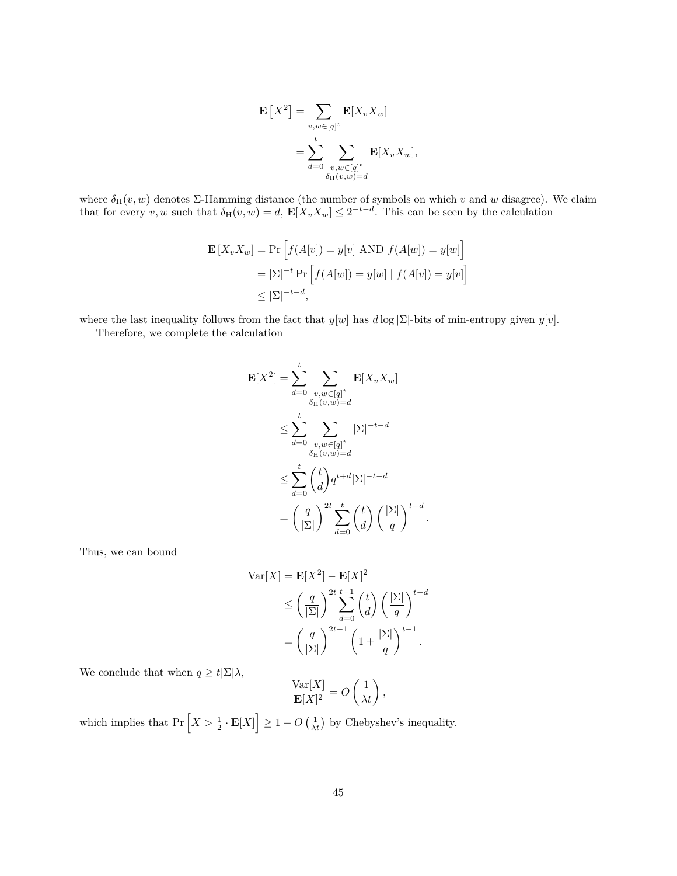$$
\mathbf{E}\left[X^2\right] = \sum_{v,w \in [q]^t} \mathbf{E}[X_v X_w]
$$

$$
= \sum_{d=0}^t \sum_{\substack{v,w \in [q]^t \\ \delta_H(v,w) = d}} \mathbf{E}[X_v X_w],
$$

where  $\delta_H(v, w)$  denotes  $\Sigma$ -Hamming distance (the number of symbols on which v and w disagree). We claim that for every *v*, *w* such that  $\delta_H(v, w) = d$ ,  $\mathbf{E}[X_v X_w] \leq 2^{-t-d}$ . This can be seen by the calculation

$$
\mathbf{E}[X_v X_w] = \Pr\left[f(A[v]) = y[v] \text{ AND } f(A[w]) = y[w]\right]
$$

$$
= |\Sigma|^{-t} \Pr\left[f(A[w]) = y[w] \mid f(A[v]) = y[v]\right]
$$

$$
\leq |\Sigma|^{-t-d},
$$

where the last inequality follows from the fact that  $y[w]$  has  $d \log |\Sigma|$ -bits of min-entropy given  $y[v]$ .

Therefore, we complete the calculation

$$
\mathbf{E}[X^2] = \sum_{d=0}^t \sum_{\substack{v, w \in [q]^t \\ \delta_H(v, w) = d}} \mathbf{E}[X_v X_w]
$$
  
\n
$$
\leq \sum_{d=0}^t \sum_{\substack{v, w \in [q]^t \\ \delta_H(v, w) = d}} |\Sigma|^{-t-d}
$$
  
\n
$$
\leq \sum_{d=0}^t \binom{t}{d} q^{t+d} |\Sigma|^{-t-d}
$$
  
\n
$$
= \left(\frac{q}{|\Sigma|}\right)^{2t} \sum_{d=0}^t \binom{t}{d} \left(\frac{|\Sigma|}{q}\right)^{t-d}
$$

*.*

Thus, we can bound

$$
\operatorname{Var}[X] = \mathbf{E}[X^2] - \mathbf{E}[X]^2
$$
  
\n
$$
\leq \left(\frac{q}{|\Sigma|}\right)^{2t} \sum_{d=0}^{t-1} {t \choose d} \left(\frac{|\Sigma|}{q}\right)^{t-d}
$$
  
\n
$$
= \left(\frac{q}{|\Sigma|}\right)^{2t-1} \left(1 + \frac{|\Sigma|}{q}\right)^{t-1}.
$$

We conclude that when  $q\geq t|\Sigma|\lambda,$ 

$$
\frac{\text{Var}[X]}{\mathbf{E}[X]^2} = O\left(\frac{1}{\lambda t}\right),\,
$$

which implies that  $Pr\left[X > \frac{1}{2} \cdot \mathbf{E}[X]\right] \geq 1 - O\left(\frac{1}{\lambda t}\right)$  by Chebyshev's inequality.

 $\Box$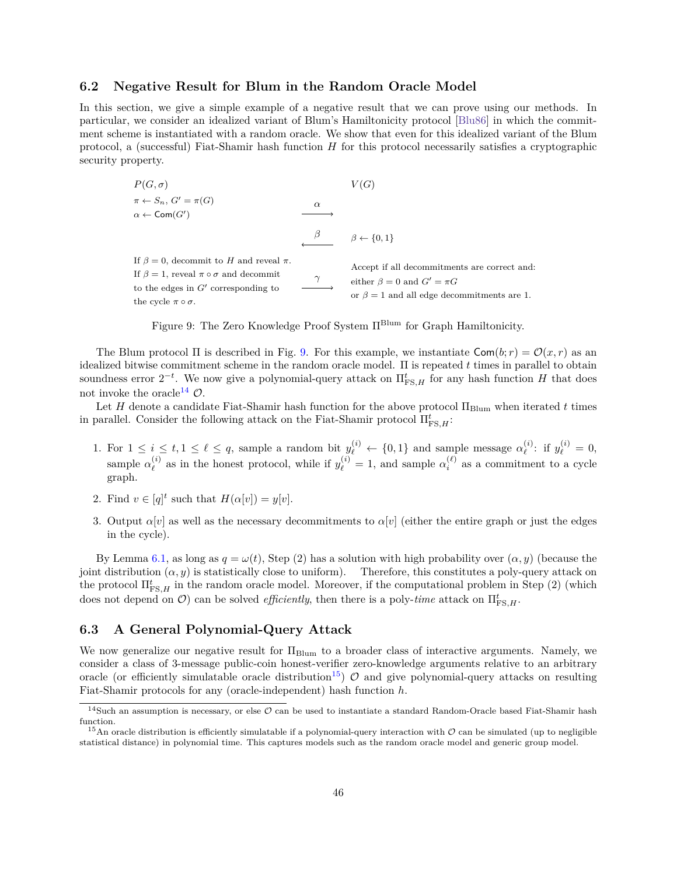## <span id="page-47-0"></span>**6.2 Negative Result for Blum in the Random Oracle Model**

In this section, we give a simple example of a negative result that we can prove using our methods. In particular, we consider an idealized variant of Blum's Hamiltonicity protocol [\[Blu86\]](#page-54-10) in which the commitment scheme is instantiated with a random oracle. We show that even for this idealized variant of the Blum protocol, a (successful) Fiat-Shamir hash function  $H$  for this protocol necessarily satisfies a cryptographic security property.

<span id="page-47-2"></span>
$$
P(G, \sigma)
$$
\n
$$
\pi \leftarrow S_n, G' = \pi(G)
$$
\n
$$
\alpha \leftarrow \text{Com}(G')
$$
\n
$$
\xrightarrow{\beta}
$$
\n
$$
\beta \leftarrow \{0, 1\}
$$
\nIf  $\beta = 0$ , decommit to *H* and reveal  $\pi$ .\nIf  $\beta = 1$ , reveal  $\pi \circ \sigma$  and decommit to the edges in  $G'$  corresponding to the cycle  $\pi \circ \sigma$ .\n\n
$$
\xrightarrow{\gamma}
$$
\n
$$
\xrightarrow{\text{Accept if all decommitters are correct and:}} \text{either } \beta = 0 \text{ and } G' = \pi G
$$
\n
$$
\xrightarrow{\text{the cycle } \pi \circ \sigma} \text{ or } \beta = 1 \text{ and all edge decommitters are 1.}
$$

Figure 9: The Zero Knowledge Proof System  $\Pi^{\text{Blum}}$  for Graph Hamiltonicity.

The Blum protocol  $\Pi$  is described in Fig. [9.](#page-47-2) For this example, we instantiate  $\textsf{Com}(b; r) = \mathcal{O}(x, r)$  as an idealized bitwise commitment scheme in the random oracle model.  $\Pi$  is repeated  $t$  times in parallel to obtain soundness error  $2^{-t}$ . We now give a polynomial-query attack on  $\Pi_{\text{FS},H}^t$  for any hash function H that does not invoke the oracle<sup>[14](#page-47-3)</sup>  $\mathcal{O}$ .

Let  $H$  denote a candidate Fiat-Shamir hash function for the above protocol  $\Pi_{\text{Blum}}$  when iterated  $t$  times in parallel. Consider the following attack on the Fiat-Shamir protocol  $\Pi^t_{\text{FS},H}$ :

- 1. For  $1 \leq i \leq t, 1 \leq \ell \leq q$ , sample a random bit  $y_{\ell}^{(i)} \leftarrow \{0,1\}$  and sample message  $\alpha_{\ell}^{(i)}$  $y_{\ell}^{(i)}$ : if  $y_{\ell}^{(i)} = 0$ , sample  $\alpha_{\ell}^{(i)}$  $\ell_{\ell}^{(i)}$  as in the honest protocol, while if  $y_{\ell}^{(i)} = 1$ , and sample  $\alpha_i^{(\ell)}$  as a commitment to a cycle graph.
- 2. Find  $v \in [q]^t$  such that  $H(\alpha[v]) = y[v]$ .
- 3. Output  $\alpha[v]$  as well as the necessary decommitments to  $\alpha[v]$  (either the entire graph or just the edges in the cycle).

By Lemma [6.1,](#page-45-1) as long as  $q = \omega(t)$ , Step (2) has a solution with high probability over  $(\alpha, y)$  (because the joint distribution  $(\alpha, y)$  is statistically close to uniform). Therefore, this constitutes a poly-query attack on the protocol  $\Pi_{\text{FS},H}^t$  in the random oracle model. Moreover, if the computational problem in Step (2) (which does not depend on  $\mathcal{O}$ ) can be solved *efficiently*, then there is a poly-*time* attack on  $\Pi_{\text{FS},H}^t$ .

## <span id="page-47-1"></span>**6.3 A General Polynomial-Query Attack**

We now generalize our negative result for Π<sub>Blum</sub> to a broader class of interactive arguments. Namely, we consider a class of 3-message public-coin honest-verifier zero-knowledge arguments relative to an arbitrary oracle (or efficiently simulatable oracle distribution<sup>[15](#page-47-4)</sup>)  $\mathcal O$  and give polynomial-query attacks on resulting Fiat-Shamir protocols for any (oracle-independent) hash function *ℎ*.

<span id="page-47-3"></span><sup>&</sup>lt;sup>14</sup>Such an assumption is necessary, or else  $\mathcal O$  can be used to instantiate a standard Random-Oracle based Fiat-Shamir hash function.

<span id="page-47-4"></span><sup>&</sup>lt;sup>15</sup>An oracle distribution is efficiently simulatable if a polynomial-query interaction with  $\mathcal O$  can be simulated (up to negligible statistical distance) in polynomial time. This captures models such as the random oracle model and generic group model.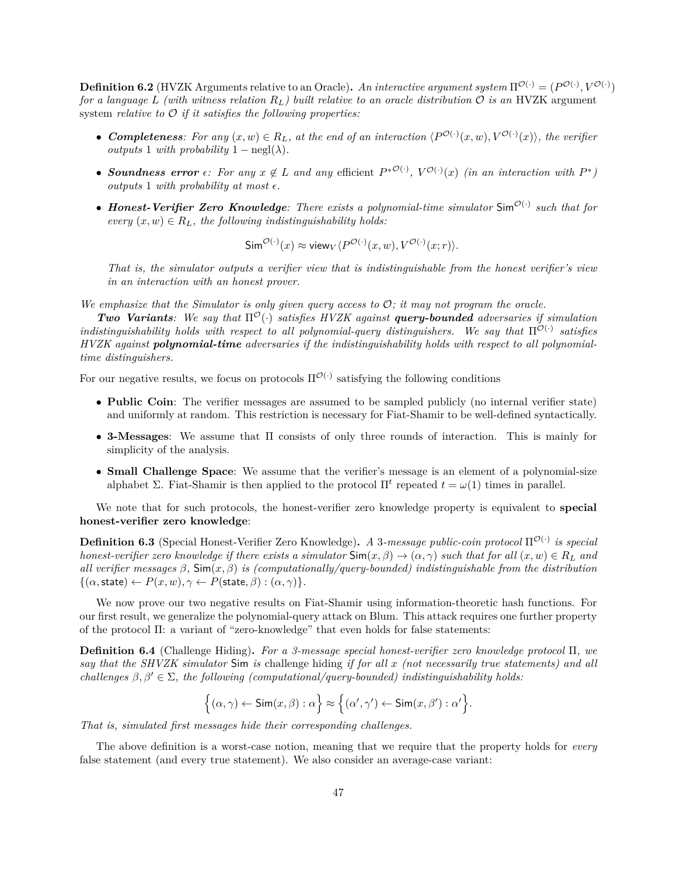**Definition 6.2** (HVZK Arguments relative to an Oracle). *An interactive argument system*  $\Pi^{\mathcal{O}(\cdot)} = (P^{\mathcal{O}(\cdot)}, V^{\mathcal{O}(\cdot)})$ *for a language*  $L$  (with witness relation  $R_L$ ) built relative to an oracle distribution  $O$  is an HVZK argument system *relative to*  $\mathcal O$  *if it satisfies the following properties:* 

- **Completeness**: For any  $(x, w) \in R_L$ , at the end of an interaction  $\langle P^{O(·)}(x, w), V^{O(·)}(x) \rangle$ , the verifier *outputs* 1 *with probability*  $1 - \text{negl}(\lambda)$ .
- Soundness error  $\epsilon$ : For any  $x \notin L$  and any efficient  $P^{*O(\cdot)}$ ,  $V^{O(\cdot)}(x)$  (in an interaction with  $P^*$ ) *outputs* 1 *with probability at most*  $\epsilon$ .
- *Honest-Verifier Zero Knowledge: There exists a polynomial-time simulator* Sim<sup>O(-)</sup> such that for *every*  $(x, w) \in R_L$ , the following indistinguishability holds:

$$
\mathsf{Sim}^{\mathcal{O}(\cdot)}(x) \approx \mathsf{view}_V \langle P^{\mathcal{O}(\cdot)}(x, w), V^{\mathcal{O}(\cdot)}(x; r) \rangle.
$$

*That is, the simulator outputs a verifier view that is indistinguishable from the honest verifier's view in an interaction with an honest prover.*

We emphasize that the Simulator is only given query access to  $\mathcal{O}$ ; it may not program the oracle.

*Two Variants:* We say that  $\Pi^{\mathcal{O}}(\cdot)$  satisfies HVZK against **query-bounded** adversaries if simulation *indistinguishability holds with respect to all polynomial-query distinguishers. We say that*  $\Pi^{\mathcal{O}(\cdot)}$  satisfies *HVZK against polynomial-time adversaries if the indistinguishability holds with respect to all polynomialtime distinguishers.*

For our negative results, we focus on protocols  $\Pi^{\mathcal{O}(\cdot)}$  satisfying the following conditions

- ∙ **Public Coin**: The verifier messages are assumed to be sampled publicly (no internal verifier state) and uniformly at random. This restriction is necessary for Fiat-Shamir to be well-defined syntactically.
- ∙ **3-Messages**: We assume that Π consists of only three rounds of interaction. This is mainly for simplicity of the analysis.
- ∙ **Small Challenge Space**: We assume that the verifier's message is an element of a polynomial-size alphabet Σ. Fiat-Shamir is then applied to the protocol  $\Pi^t$  repeated  $t = \omega(1)$  times in parallel.

We note that for such protocols, the honest-verifier zero knowledge property is equivalent to **special honest-verifier zero knowledge**:

**Definition 6.3** (Special Honest-Verifier Zero Knowledge). A 3-message public-coin protocol Π<sup>O(·)</sup> is special *honest-verifier zero knowledge if there exists a simulator*  $\text{Sim}(x, \beta) \rightarrow (\alpha, \gamma)$  *such that for all*  $(x, w) \in R_L$  *and* all verifier messages  $\beta$ ,  $\text{Sim}(x, \beta)$  is (computationally/query-bounded) indistinguishable from the distribution  $\{(\alpha, \text{state}) \leftarrow P(x, w), \gamma \leftarrow P(\text{state}, \beta) : (\alpha, \gamma)\}.$ 

We now prove our two negative results on Fiat-Shamir using information-theoretic hash functions. For our first result, we generalize the polynomial-query attack on Blum. This attack requires one further property of the protocol Π: a variant of "zero-knowledge" that even holds for false statements:

<span id="page-48-0"></span>**Definition 6.4** (Challenge Hiding)**.** *For a 3-message special honest-verifier zero knowledge protocol* Π*, we say that the SHVZK simulator* Sim *is* challenge hiding *if for all (not necessarily true statements) and all challenges*  $\beta, \beta' \in \Sigma$ , the following (computational/query-bounded) indistinguishability holds:

$$
\Big\{(\alpha,\gamma)\leftarrow \mathsf{Sim}(x,\beta): \alpha\Big\} \approx \Big\{(\alpha',\gamma')\leftarrow \mathsf{Sim}(x,\beta'):\alpha'\Big\}.
$$

*That is, simulated first messages hide their corresponding challenges.*

The above definition is a worst-case notion, meaning that we require that the property holds for *every* false statement (and every true statement). We also consider an average-case variant: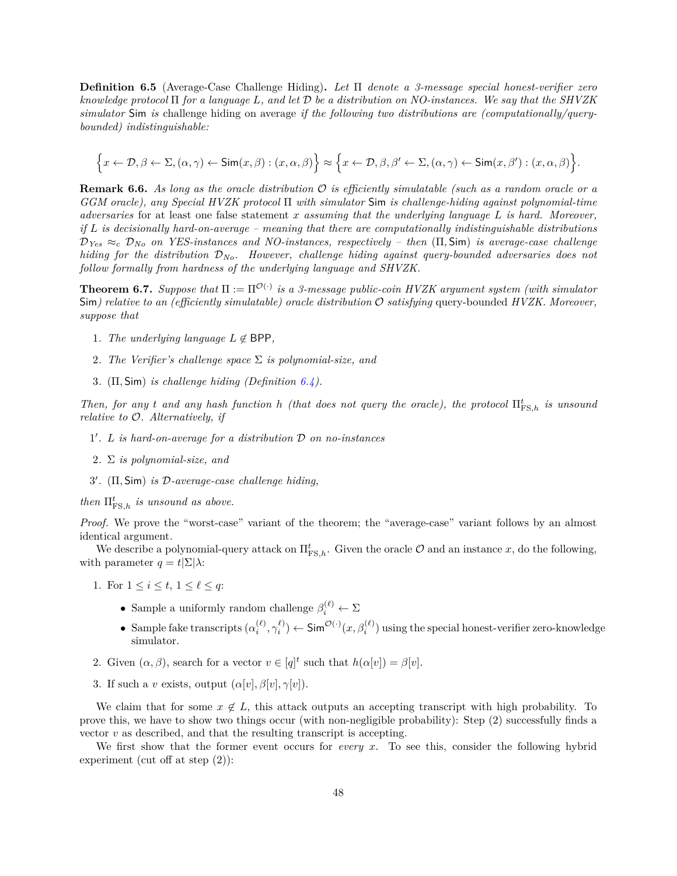**Definition 6.5** (Average-Case Challenge Hiding)**.** *Let* Π *denote a 3-message special honest-verifier zero knowledge protocol* Π *for a language , and let be a distribution on NO-instances. We say that the SHVZK simulator* Sim *is* challenge hiding on average *if the following two distributions are (computationally/querybounded) indistinguishable:*

$$
\Big\{x\leftarrow\mathcal{D},\beta\leftarrow\Sigma,(\alpha,\gamma)\leftarrow\mathsf{Sim}(x,\beta):(x,\alpha,\beta)\Big\}\approx\Big\{x\leftarrow\mathcal{D},\beta,\beta^{\prime}\leftarrow\Sigma,(\alpha,\gamma)\leftarrow\mathsf{Sim}(x,\beta^{\prime}):(x,\alpha,\beta)\Big\}.
$$

**Remark 6.6.** *As long as the oracle distribution is efficiently simulatable (such as a random oracle or a GGM oracle), any Special HVZK protocol* Π *with simulator* Sim *is challenge-hiding against polynomial-time adversaries* for at least one false statement *assuming that the underlying language is hard. Moreover, if is decisionally hard-on-average – meaning that there are computationally indistinguishable distributions*  $\mathcal{D}_{Yes} \approx_c \mathcal{D}_{No}$  *on YES-instances and NO-instances, respectively – then* ( $\Pi$ , Sim) *is average-case challenge hiding for the distribution No. However, challenge hiding against query-bounded adversaries does not follow formally from hardness of the underlying language and SHVZK.*

<span id="page-49-0"></span>**Theorem 6.7.** *Suppose that*  $\Pi := \Pi^{\mathcal{O}(\cdot)}$  *is a 3-message public-coin HVZK argument system (with simulator* Sim) relative to an (efficiently simulatable) oracle distribution  $\mathcal O$  satisfying query-bounded *HVZK*. Moreover, *suppose that*

- 1*. The underlying language*  $L \notin \text{BPP}$ ,
- 2*. The Verifier's challenge space* Σ *is polynomial-size, and*
- 3*.* (Π*,* Sim) *is challenge hiding (Definition [6.4\)](#page-48-0).*

*Then, for any t and any hash function h (that does not query the oracle), the protocol*  $\Pi_{\text{FS},h}^t$  *is unsound relative to . Alternatively, if*

- 1 ′ *. is hard-on-average for a distribution on no-instances*
- 2*.* Σ *is polynomial-size, and*
- 3 ′ *.* (Π*,* Sim) *is -average-case challenge hiding,*

*then*  $\Pi_{\text{FS},h}^t$  *is unsound as above.* 

*Proof.* We prove the "worst-case" variant of the theorem; the "average-case" variant follows by an almost identical argument.

We describe a polynomial-query attack on  $\Pi_{\text{FS},h}^t$ . Given the oracle  $\mathcal O$  and an instance x, do the following, with parameter  $q = t|\Sigma|\lambda$ :

- 1. For  $1 \leq i \leq t, \ 1 \leq \ell \leq q$ :
	- Sample a uniformly random challenge  $\beta_i^{(\ell)} \leftarrow \Sigma$
	- Sample fake transcripts  $(\alpha_i^{(\ell)}, \gamma_i^{(\ell)})$  ← Sim<sup> $\mathcal{O}(\cdot)(x, \beta_i^{(\ell)})$  using the special honest-verifier zero-knowledge</sup> simulator.
- 2. Given  $(\alpha, \beta)$ , search for a vector  $v \in [q]^t$  such that  $h(\alpha[v]) = \beta[v]$ .
- 3. If such a *v* exists, output  $(\alpha[v], \beta[v], \gamma[v])$ .

We claim that for some  $x \notin L$ , this attack outputs an accepting transcript with high probability. To prove this, we have to show two things occur (with non-negligible probability): Step (2) successfully finds a vector  $v$  as described, and that the resulting transcript is accepting.

We first show that the former event occurs for *every*  $x$ . To see this, consider the following hybrid experiment (cut off at step (2)):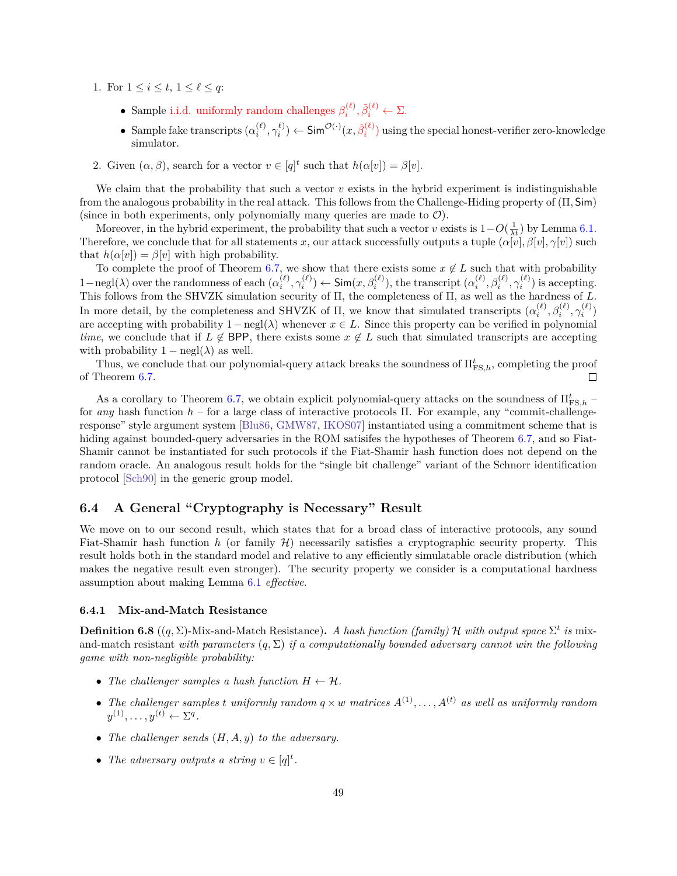- 1. For  $1 \leq i \leq t$ ,  $1 \leq \ell \leq q$ :
	- Sample i.i.d. uniformly random challenges  $\beta_i^{(\ell)}, \tilde{\beta}_i^{(\ell)} \leftarrow \Sigma$ .
	- Sample fake transcripts  $(\alpha_i^{(\ell)}, \gamma_i^{\ell}) \leftarrow \mathsf{Sim}^{\mathcal{O}(\cdot)}(x, \tilde{\beta}_i^{(\ell)})$  using the special honest-verifier zero-knowledge simulator.
- 2. Given  $(\alpha, \beta)$ , search for a vector  $v \in [q]^t$  such that  $h(\alpha[v]) = \beta[v]$ .

We claim that the probability that such a vector  $v$  exists in the hybrid experiment is indistinguishable from the analogous probability in the real attack. This follows from the Challenge-Hiding property of (Π*,* Sim) (since in both experiments, only polynomially many queries are made to  $\mathcal{O}$ ).

Moreover, in the hybrid experiment, the probability that such a vector  $v$  exists is  $1-O(\frac{1}{\lambda t})$  by Lemma [6.1.](#page-45-1) Therefore, we conclude that for all statements x, our attack successfully outputs a tuple  $(\alpha[v], \beta[v], \gamma[v])$  such that  $h(\alpha[v]) = \beta[v]$  with high probability.

To complete the proof of Theorem [6.7,](#page-49-0) we show that there exists some  $x \notin L$  such that with probability  $1-\text{negl}(\lambda)$  over the randomness of each  $(\alpha_i^{(\ell)}, \gamma_i^{(\ell)})$  ← Sim $(x, \beta_i^{(\ell)})$ , the transcript  $(\alpha_i^{(\ell)}, \beta_i^{(\ell)}, \gamma_i^{(\ell)})$  is accepting. This follows from the SHVZK simulation security of  $\Pi$ , the completeness of  $\Pi$ , as well as the hardness of  $L$ . In more detail, by the completeness and SHVZK of  $\Pi$ , we know that simulated transcripts  $(\alpha_i^{(\ell)}, \beta_i^{(\ell)}, \gamma_i^{(\ell)})$ are accepting with probability  $1-\text{negl}(\lambda)$  whenever  $x \in L$ . Since this property can be verified in polynomial *time*, we conclude that if  $L \notin BPP$ , there exists some  $x \notin L$  such that simulated transcripts are accepting with probability  $1 - \text{negl}(\lambda)$  as well.

Thus, we conclude that our polynomial-query attack breaks the soundness of  $\Pi_{\text{FS},h}^t$ , completing the proof of Theorem [6.7.](#page-49-0)

As a corollary to Theorem [6.7,](#page-49-0) we obtain explicit polynomial-query attacks on the soundness of  $\Pi_{\textrm{FS},h}^{t}$  – for *any* hash function *ℎ* – for a large class of interactive protocols Π. For example, any "commit-challengeresponse" style argument system [\[Blu86,](#page-54-10) [GMW87,](#page-56-12) [IKOS07\]](#page-56-13) instantiated using a commitment scheme that is hiding against bounded-query adversaries in the ROM satisifes the hypotheses of Theorem [6.7,](#page-49-0) and so Fiat-Shamir cannot be instantiated for such protocols if the Fiat-Shamir hash function does not depend on the random oracle. An analogous result holds for the "single bit challenge" variant of the Schnorr identification protocol [\[Sch90\]](#page-58-1) in the generic group model.

## <span id="page-50-0"></span>**6.4 A General "Cryptography is Necessary" Result**

We move on to our second result, which states that for a broad class of interactive protocols, any sound Fiat-Shamir hash function *ℎ* (or family ℋ) necessarily satisfies a cryptographic security property. This result holds both in the standard model and relative to any efficiently simulatable oracle distribution (which makes the negative result even stronger). The security property we consider is a computational hardness assumption about making Lemma [6.1](#page-45-1) *effective*.

#### **6.4.1 Mix-and-Match Resistance**

<span id="page-50-1"></span>**Definition 6.8**  $((q, \Sigma)$ -Mix-and-Match Resistance). A hash function (family)  $\mathcal H$  with output space  $\Sigma^t$  is mixand-match resistant *with parameters*  $(q, \Sigma)$  *if a computationally bounded adversary cannot win the following game with non-negligible probability:*

- *The challenger samples a hash function*  $H \leftarrow H$ *.*
- The challenger samples *t* uniformly random  $q \times w$  matrices  $A^{(1)}, \ldots, A^{(t)}$  as well as uniformly random  $y^{(1)}, \ldots, y^{(t)} \leftarrow \Sigma^q$ .
- *The challenger sends*  $(H, A, y)$  *to the adversary.*
- The adversary outputs a string  $v \in [q]^t$ .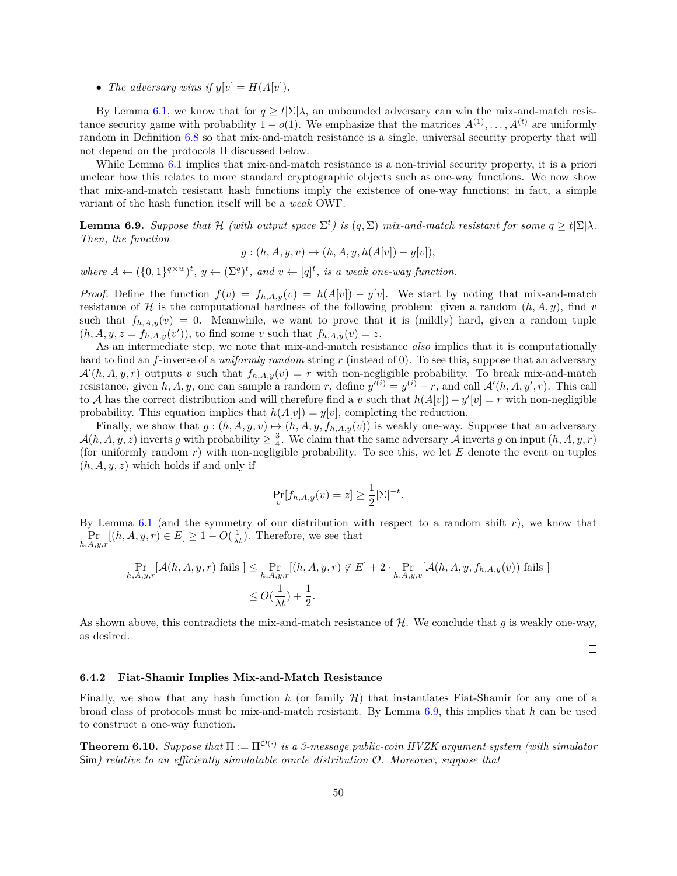• *The adversary wins if*  $y[v] = H(A[v])$ *.* 

By Lemma [6.1,](#page-45-1) we know that for  $q \ge t \sum |\lambda|$ , an unbounded adversary can win the mix-and-match resistance security game with probability  $1 - o(1)$ . We emphasize that the matrices  $A^{(1)}, \ldots, A^{(t)}$  are uniformly random in Definition [6.8](#page-50-1) so that mix-and-match resistance is a single, universal security property that will not depend on the protocols Π discussed below.

While Lemma [6.1](#page-45-1) implies that mix-and-match resistance is a non-trivial security property, it is a priori unclear how this relates to more standard cryptographic objects such as one-way functions. We now show that mix-and-match resistant hash functions imply the existence of one-way functions; in fact, a simple variant of the hash function itself will be a *weak* OWF.

<span id="page-51-1"></span>**Lemma 6.9.** *Suppose that*  $\mathcal{H}$  *(with output space*  $\Sigma^t$ *) is*  $(q, \Sigma)$  *mix-and-match resistant for some*  $q \ge t | \Sigma | \lambda$ *. Then, the function*

$$
g: (h, A, y, v) \mapsto (h, A, y, h(A[v]) - y[v]),
$$

where  $A \leftarrow (\{0, 1\}^{q \times w})^t$ ,  $y \leftarrow (\Sigma^q)^t$ , and  $v \leftarrow [q]^t$ , is a weak one-way function.

*Proof.* Define the function  $f(v) = f_{h,A,y}(v) = h(A[v]) - y[v]$ . We start by noting that mix-and-match resistance of H is the computational hardness of the following problem: given a random  $(h, A, y)$ , find v such that  $f_{h,A,y}(v) = 0$ . Meanwhile, we want to prove that it is (mildly) hard, given a random tuple  $(h, A, y, z = f_{h,A,y}(v'))$ , to find some v such that  $f_{h,A,y}(v) = z$ .

As an intermediate step, we note that mix-and-match resistance *also* implies that it is computationally hard to find an f-inverse of a *uniformly random* string r (instead of 0). To see this, suppose that an adversary  $\mathcal{A}'(h, A, y, r)$  outputs v such that  $f_{h, A, y}(v) = r$  with non-negligible probability. To break mix-and-match resistance, given  $h, A, y$ , one can sample a random r, define  $y^{(i)} = y^{(i)} - r$ , and call  $\mathcal{A}'(h, A, y', r)$ . This call to A has the correct distribution and will therefore find a v such that  $h(A[v]) - y'[v] = r$  with non-negligible probability. This equation implies that  $h(A[v]) = y[v]$ , completing the reduction.

Finally, we show that  $g : (h, A, y, v) \mapsto (h, A, y, f_{h, A, y}(v))$  is weakly one-way. Suppose that an adversary  $\mathcal{A}(h, A, y, z)$  inverts g with probability  $\geq \frac{3}{4}$ . We claim that the same adversary  $\mathcal{A}$  inverts g on input  $(h, A, y, r)$ (for uniformly random  $r$ ) with non-negligible probability. To see this, we let  $E$  denote the event on tuples  $(h, A, y, z)$  which holds if and only if

$$
\Pr_{v}[f_{h,A,y}(v) = z] \ge \frac{1}{2} |\Sigma|^{-t}.
$$

By Lemma [6.1](#page-45-1) (and the symmetry of our distribution with respect to a random shift  $r$ ), we know that  $\Pr_{h,A,y,r}[(h,A,y,r)\in E] \geq 1 - O(\frac{1}{\lambda t})$ . Therefore, we see that

$$
\Pr_{h,A,y,r}[\mathcal{A}(h,A,y,r) \text{ fails }] \leq \Pr_{h,A,y,r}[(h,A,y,r) \notin E] + 2 \cdot \Pr_{h,A,y,v}[\mathcal{A}(h,A,y,f_{h,A,y}(v)) \text{ fails }] \\ \leq O(\frac{1}{\lambda t}) + \frac{1}{2}.
$$

As shown above, this contradicts the mix-and-match resistance of  $H$ . We conclude that  $g$  is weakly one-way, as desired.

 $\Box$ 

#### **6.4.2 Fiat-Shamir Implies Mix-and-Match Resistance**

Finally, we show that any hash function *ℎ* (or family ℋ) that instantiates Fiat-Shamir for any one of a broad class of protocols must be mix-and-match resistant. By Lemma [6.9,](#page-51-1) this implies that *ℎ* can be used to construct a one-way function.

<span id="page-51-0"></span>**Theorem 6.10.** *Suppose that*  $\Pi := \Pi^{\mathcal{O}(\cdot)}$  *is a 3-message public-coin HVZK argument system (with simulator* Sim) relative to an efficiently simulatable oracle distribution  $\mathcal{O}$ . Moreover, suppose that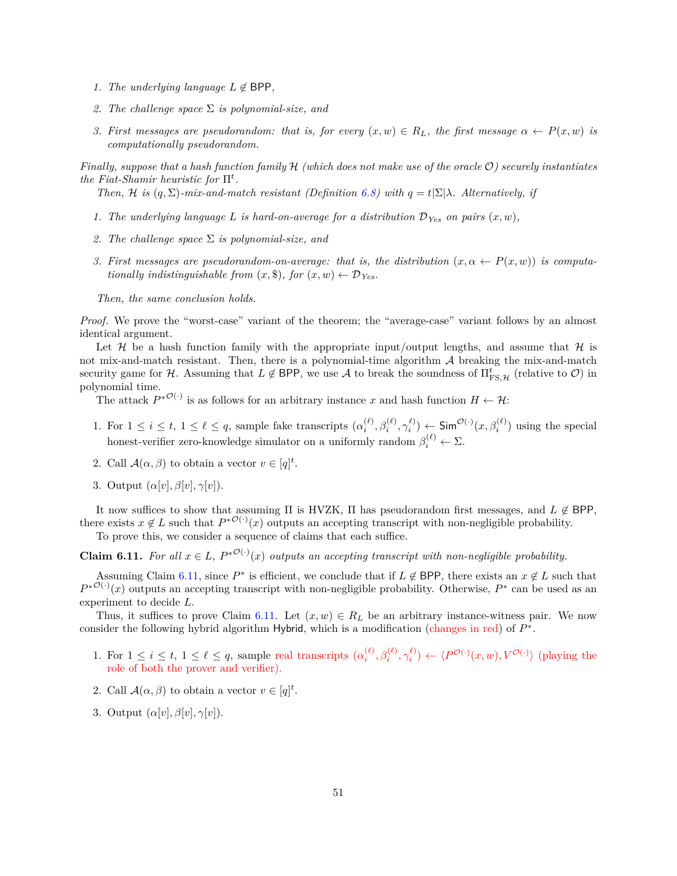- *1. The underlying language*  $L \notin \text{BPP}$ ,
- *2. The challenge space* Σ *is polynomial-size, and*
- 3. First messages are pseudorandom: that is, for every  $(x, w) \in R_L$ , the first message  $\alpha \leftarrow P(x, w)$  is *computationally pseudorandom.*

*Finally, suppose that a hash function family H (which does not make use of the oracle*  $\mathcal{O}$ ) *securely instantiates the Fiat-Shamir heuristic for*  $\Pi^t$ .

*Then, H* is  $(q, \Sigma)$ -mix-and-match resistant (Definition [6.8\)](#page-50-1) with  $q = t|\Sigma| \lambda$ . Alternatively, if

- *1. The underlying language L is hard-on-average for a distribution*  $D_{Yes}$  *on pairs*  $(x, w)$ *,*
- *2. The challenge space* Σ *is polynomial-size, and*
- 3. First messages are pseudorandom-on-average: that is, the distribution  $(x, \alpha \leftarrow P(x, w))$  is computa*tionally indistinguishable from*  $(x, \$)$ , for  $(x, w) \leftarrow \mathcal{D}_{Yes}$ .

*Then, the same conclusion holds.*

*Proof.* We prove the "worst-case" variant of the theorem; the "average-case" variant follows by an almost identical argument.

Let  $\mathcal H$  be a hash function family with the appropriate input/output lengths, and assume that  $\mathcal H$  is not mix-and-match resistant. Then, there is a polynomial-time algorithm  $A$  breaking the mix-and-match security game for  $H$ . Assuming that  $L \notin BPP$ , we use  $\mathcal A$  to break the soundness of  $\Pi_{\text{FS},\mathcal{H}}^t$  (relative to  $\mathcal O$ ) in polynomial time.

The attack  $P^{*O(\cdot)}$  is as follows for an arbitrary instance x and hash function  $H \leftarrow \mathcal{H}$ :

- 1. For  $1 \leq i \leq t, 1 \leq \ell \leq q$ , sample fake transcripts  $(\alpha_i^{(\ell)}, \beta_i^{(\ell)}, \gamma_i^{(\ell)}) \leftarrow \textsf{Sim}^{\mathcal{O}(\cdot)}(x, \beta_i^{(\ell)})$  using the special honest-verifier zero-knowledge simulator on a uniformly random  $\beta_i^{(\ell)} \leftarrow \Sigma$ .
- 2. Call  $\mathcal{A}(\alpha, \beta)$  to obtain a vector  $v \in [q]^t$ .
- 3. Output  $(\alpha[v], \beta[v], \gamma[v])$ .

It now suffices to show that assuming  $\Pi$  is HVZK,  $\Pi$  has pseudorandom first messages, and  $L \notin BPP$ , there exists  $x \notin L$  such that  $P^{*O(\cdot)}(x)$  outputs an accepting transcript with non-negligible probability.

To prove this, we consider a sequence of claims that each suffice.

<span id="page-52-0"></span>**Claim 6.11.** For all  $x \in L$ ,  $P^{*O(\cdot)}(x)$  outputs an accepting transcript with non-negligible probability.

Assuming Claim [6.11,](#page-52-0) since  $P^*$  is efficient, we conclude that if  $L \notin BPP$ , there exists an  $x \notin L$  such that  $P^{*O(·)}(x)$  outputs an accepting transcript with non-negligible probability. Otherwise,  $P^*$  can be used as an experiment to decide  $L$ .

Thus, it suffices to prove Claim [6.11.](#page-52-0) Let  $(x, w) \in R_L$  be an arbitrary instance-witness pair. We now consider the following hybrid algorithm Hybrid, which is a modification (changes in red) of  $P^*$ .

- 1. For  $1 \leq i \leq t$ ,  $1 \leq \ell \leq q$ , sample real transcripts  $(\alpha_i^{(\ell)}, \beta_i^{(\ell)}, \gamma_i^{(\ell)}) \leftarrow \langle P^{\mathcal{O}(\cdot)}(x, w), V^{\mathcal{O}(\cdot)} \rangle$  (playing the role of both the prover and verifier).
- 2. Call  $\mathcal{A}(\alpha, \beta)$  to obtain a vector  $v \in [q]^t$ .
- 3. Output  $(\alpha[v], \beta[v], \gamma[v])$ .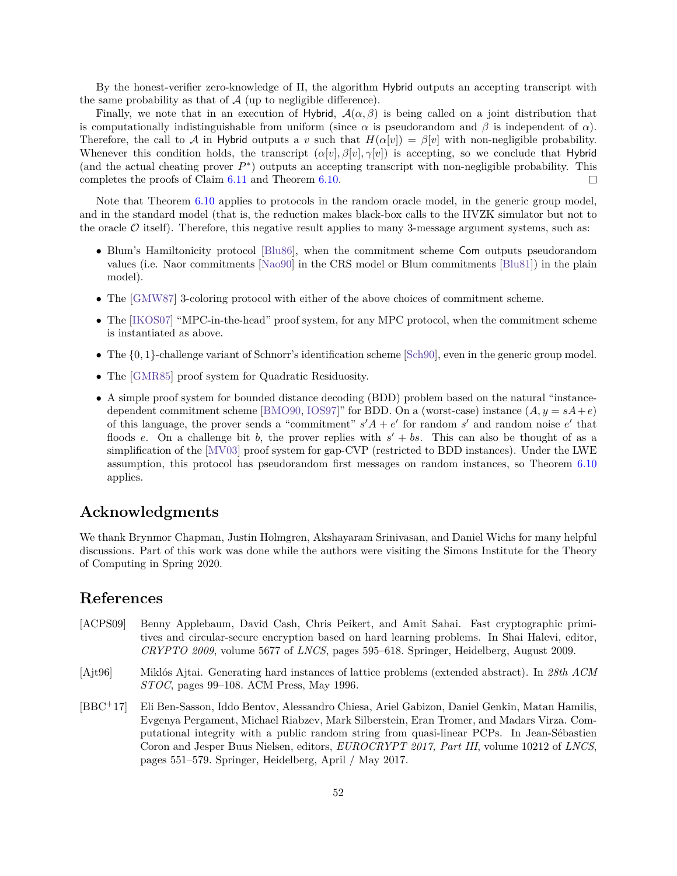By the honest-verifier zero-knowledge of Π, the algorithm Hybrid outputs an accepting transcript with the same probability as that of  $A$  (up to negligible difference).

Finally, we note that in an execution of Hybrid,  $A(\alpha, \beta)$  is being called on a joint distribution that is computationally indistinguishable from uniform (since  $\alpha$  is pseudorandom and  $\beta$  is independent of  $\alpha$ ). Therefore, the call to A in Hybrid outputs a v such that  $H(\alpha[v]) = \beta[v]$  with non-negligible probability. Whenever this condition holds, the transcript  $(\alpha[v], \beta[v], \gamma[v])$  is accepting, so we conclude that Hybrid (and the actual cheating prover  $P^*$ ) outputs an accepting transcript with non-negligible probability. This completes the proofs of Claim [6.11](#page-52-0) and Theorem [6.10.](#page-51-0)  $\Box$ 

Note that Theorem [6.10](#page-51-0) applies to protocols in the random oracle model, in the generic group model, and in the standard model (that is, the reduction makes black-box calls to the HVZK simulator but not to the oracle  $\mathcal O$  itself). Therefore, this negative result applies to many 3-message argument systems, such as:

- ∙ Blum's Hamiltonicity protocol [\[Blu86\]](#page-54-10), when the commitment scheme Com outputs pseudorandom values (i.e. Naor commitments [\[Nao90\]](#page-57-13) in the CRS model or Blum commitments [\[Blu81\]](#page-54-12)) in the plain model).
- ∙ The [\[GMW87\]](#page-56-12) 3-coloring protocol with either of the above choices of commitment scheme.
- ∙ The [\[IKOS07\]](#page-56-13) "MPC-in-the-head" proof system, for any MPC protocol, when the commitment scheme is instantiated as above.
- ∙ The {0*,* 1}-challenge variant of Schnorr's identification scheme [\[Sch90\]](#page-58-1), even in the generic group model.
- ∙ The [\[GMR85\]](#page-56-14) proof system for Quadratic Residuosity.
- ∙ A simple proof system for bounded distance decoding (BDD) problem based on the natural "instance-dependent commitment scheme [\[BMO90,](#page-54-13) [IOS97\]](#page-56-15)" for BDD. On a (worst-case) instance  $(A, y = sA + e)$ of this language, the prover sends a "commitment"  $s'A + e'$  for random  $s'$  and random noise  $e'$  that floods e. On a challenge bit b, the prover replies with  $s' + bs$ . This can also be thought of as a simplification of the [\[MV03\]](#page-57-14) proof system for gap-CVP (restricted to BDD instances). Under the LWE assumption, this protocol has pseudorandom first messages on random instances, so Theorem [6.10](#page-51-0) applies.

## **Acknowledgments**

We thank Brynmor Chapman, Justin Holmgren, Akshayaram Srinivasan, and Daniel Wichs for many helpful discussions. Part of this work was done while the authors were visiting the Simons Institute for the Theory of Computing in Spring 2020.

## **References**

- <span id="page-53-2"></span>[ACPS09] Benny Applebaum, David Cash, Chris Peikert, and Amit Sahai. Fast cryptographic primitives and circular-secure encryption based on hard learning problems. In Shai Halevi, editor, *CRYPTO 2009*, volume 5677 of *LNCS*, pages 595–618. Springer, Heidelberg, August 2009.
- <span id="page-53-1"></span>[Ajt96] Miklós Ajtai. Generating hard instances of lattice problems (extended abstract). In *28th ACM STOC*, pages 99–108. ACM Press, May 1996.
- <span id="page-53-0"></span>[BBC<sup>+</sup>17] Eli Ben-Sasson, Iddo Bentov, Alessandro Chiesa, Ariel Gabizon, Daniel Genkin, Matan Hamilis, Evgenya Pergament, Michael Riabzev, Mark Silberstein, Eran Tromer, and Madars Virza. Computational integrity with a public random string from quasi-linear PCPs. In Jean-Sébastien Coron and Jesper Buus Nielsen, editors, *EUROCRYPT 2017, Part III*, volume 10212 of *LNCS*, pages 551–579. Springer, Heidelberg, April / May 2017.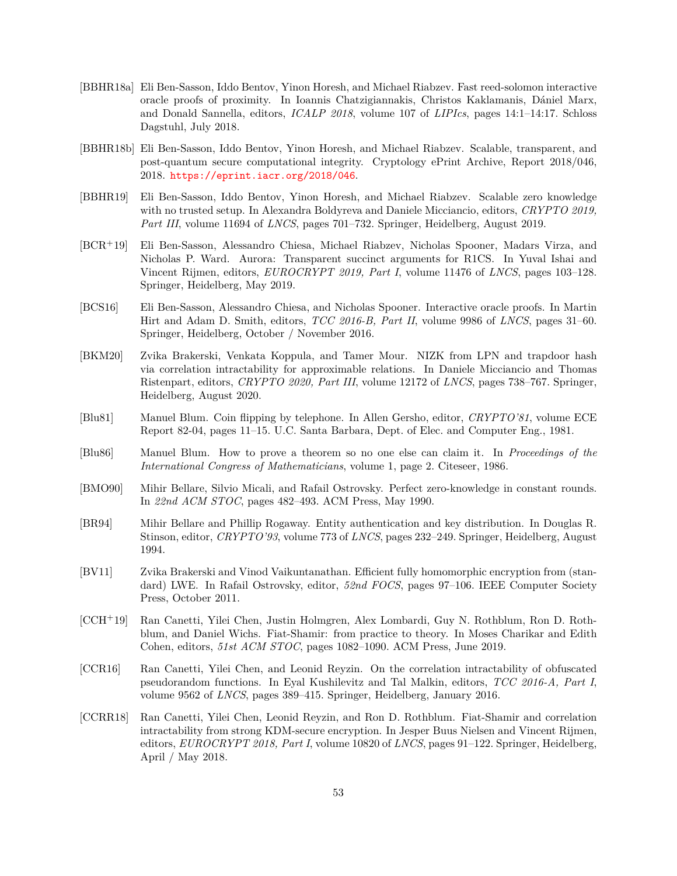- <span id="page-54-5"></span>[BBHR18a] Eli Ben-Sasson, Iddo Bentov, Yinon Horesh, and Michael Riabzev. Fast reed-solomon interactive oracle proofs of proximity. In Ioannis Chatzigiannakis, Christos Kaklamanis, Dániel Marx, and Donald Sannella, editors, *ICALP 2018*, volume 107 of *LIPIcs*, pages 14:1–14:17. Schloss Dagstuhl, July 2018.
- <span id="page-54-4"></span>[BBHR18b] Eli Ben-Sasson, Iddo Bentov, Yinon Horesh, and Michael Riabzev. Scalable, transparent, and post-quantum secure computational integrity. Cryptology ePrint Archive, Report 2018/046, 2018. <https://eprint.iacr.org/2018/046>.
- <span id="page-54-7"></span>[BBHR19] Eli Ben-Sasson, Iddo Bentov, Yinon Horesh, and Michael Riabzev. Scalable zero knowledge with no trusted setup. In Alexandra Boldyreva and Daniele Micciancio, editors, *CRYPTO 2019, Part III*, volume 11694 of *LNCS*, pages 701–732. Springer, Heidelberg, August 2019.
- <span id="page-54-6"></span>[BCR<sup>+</sup>19] Eli Ben-Sasson, Alessandro Chiesa, Michael Riabzev, Nicholas Spooner, Madars Virza, and Nicholas P. Ward. Aurora: Transparent succinct arguments for R1CS. In Yuval Ishai and Vincent Rijmen, editors, *EUROCRYPT 2019, Part I*, volume 11476 of *LNCS*, pages 103–128. Springer, Heidelberg, May 2019.
- <span id="page-54-3"></span>[BCS16] Eli Ben-Sasson, Alessandro Chiesa, and Nicholas Spooner. Interactive oracle proofs. In Martin Hirt and Adam D. Smith, editors, *TCC 2016-B, Part II*, volume 9986 of *LNCS*, pages 31–60. Springer, Heidelberg, October / November 2016.
- <span id="page-54-8"></span>[BKM20] Zvika Brakerski, Venkata Koppula, and Tamer Mour. NIZK from LPN and trapdoor hash via correlation intractability for approximable relations. In Daniele Micciancio and Thomas Ristenpart, editors, *CRYPTO 2020, Part III*, volume 12172 of *LNCS*, pages 738–767. Springer, Heidelberg, August 2020.
- <span id="page-54-12"></span>[Blu81] Manuel Blum. Coin flipping by telephone. In Allen Gersho, editor, *CRYPTO'81*, volume ECE Report 82-04, pages 11–15. U.C. Santa Barbara, Dept. of Elec. and Computer Eng., 1981.
- <span id="page-54-10"></span>[Blu86] Manuel Blum. How to prove a theorem so no one else can claim it. In *Proceedings of the International Congress of Mathematicians*, volume 1, page 2. Citeseer, 1986.
- <span id="page-54-13"></span>[BMO90] Mihir Bellare, Silvio Micali, and Rafail Ostrovsky. Perfect zero-knowledge in constant rounds. In *22nd ACM STOC*, pages 482–493. ACM Press, May 1990.
- <span id="page-54-0"></span>[BR94] Mihir Bellare and Phillip Rogaway. Entity authentication and key distribution. In Douglas R. Stinson, editor, *CRYPTO'93*, volume 773 of *LNCS*, pages 232–249. Springer, Heidelberg, August 1994.
- <span id="page-54-9"></span>[BV11] Zvika Brakerski and Vinod Vaikuntanathan. Efficient fully homomorphic encryption from (standard) LWE. In Rafail Ostrovsky, editor, *52nd FOCS*, pages 97–106. IEEE Computer Society Press, October 2011.
- <span id="page-54-2"></span>[CCH<sup>+</sup>19] Ran Canetti, Yilei Chen, Justin Holmgren, Alex Lombardi, Guy N. Rothblum, Ron D. Rothblum, and Daniel Wichs. Fiat-Shamir: from practice to theory. In Moses Charikar and Edith Cohen, editors, *51st ACM STOC*, pages 1082–1090. ACM Press, June 2019.
- <span id="page-54-11"></span>[CCR16] Ran Canetti, Yilei Chen, and Leonid Reyzin. On the correlation intractability of obfuscated pseudorandom functions. In Eyal Kushilevitz and Tal Malkin, editors, *TCC 2016-A, Part I*, volume 9562 of *LNCS*, pages 389–415. Springer, Heidelberg, January 2016.
- <span id="page-54-1"></span>[CCRR18] Ran Canetti, Yilei Chen, Leonid Reyzin, and Ron D. Rothblum. Fiat-Shamir and correlation intractability from strong KDM-secure encryption. In Jesper Buus Nielsen and Vincent Rijmen, editors, *EUROCRYPT 2018, Part I*, volume 10820 of *LNCS*, pages 91–122. Springer, Heidelberg, April / May 2018.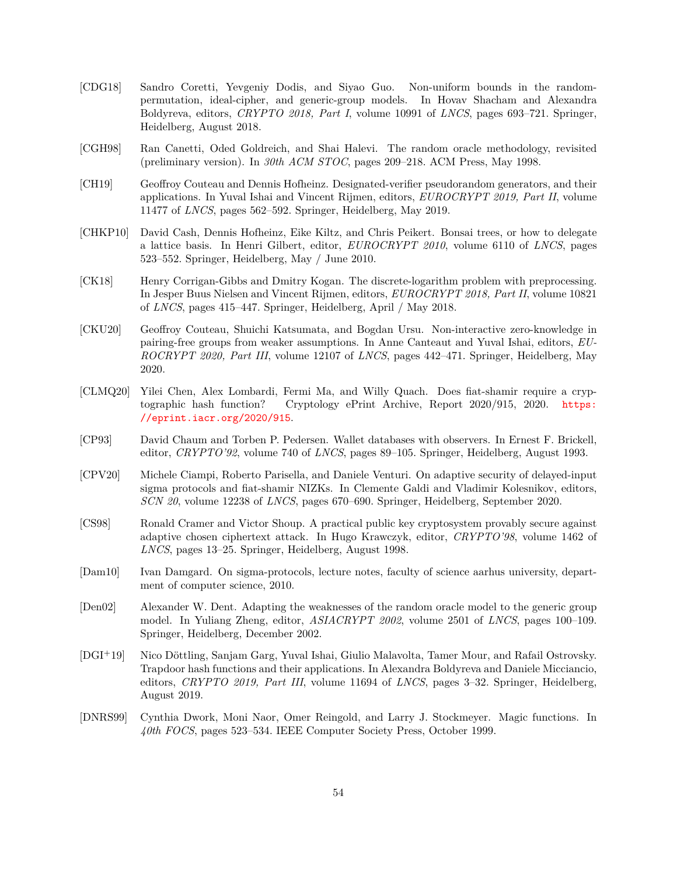- <span id="page-55-6"></span>[CDG18] Sandro Coretti, Yevgeniy Dodis, and Siyao Guo. Non-uniform bounds in the randompermutation, ideal-cipher, and generic-group models. In Hovav Shacham and Alexandra Boldyreva, editors, *CRYPTO 2018, Part I*, volume 10991 of *LNCS*, pages 693–721. Springer, Heidelberg, August 2018.
- <span id="page-55-1"></span>[CGH98] Ran Canetti, Oded Goldreich, and Shai Halevi. The random oracle methodology, revisited (preliminary version). In *30th ACM STOC*, pages 209–218. ACM Press, May 1998.
- <span id="page-55-11"></span>[CH19] Geoffroy Couteau and Dennis Hofheinz. Designated-verifier pseudorandom generators, and their applications. In Yuval Ishai and Vincent Rijmen, editors, *EUROCRYPT 2019, Part II*, volume 11477 of *LNCS*, pages 562–592. Springer, Heidelberg, May 2019.
- <span id="page-55-9"></span>[CHKP10] David Cash, Dennis Hofheinz, Eike Kiltz, and Chris Peikert. Bonsai trees, or how to delegate a lattice basis. In Henri Gilbert, editor, *EUROCRYPT 2010*, volume 6110 of *LNCS*, pages 523–552. Springer, Heidelberg, May / June 2010.
- <span id="page-55-7"></span>[CK18] Henry Corrigan-Gibbs and Dmitry Kogan. The discrete-logarithm problem with preprocessing. In Jesper Buus Nielsen and Vincent Rijmen, editors, *EUROCRYPT 2018, Part II*, volume 10821 of *LNCS*, pages 415–447. Springer, Heidelberg, April / May 2018.
- <span id="page-55-3"></span>[CKU20] Geoffroy Couteau, Shuichi Katsumata, and Bogdan Ursu. Non-interactive zero-knowledge in pairing-free groups from weaker assumptions. In Anne Canteaut and Yuval Ishai, editors, *EU-ROCRYPT 2020, Part III*, volume 12107 of *LNCS*, pages 442–471. Springer, Heidelberg, May 2020.
- <span id="page-55-13"></span>[CLMQ20] Yilei Chen, Alex Lombardi, Fermi Ma, and Willy Quach. Does fiat-shamir require a cryptographic hash function? Cryptology ePrint Archive, Report 2020/915, 2020. [https:](https://eprint.iacr.org/2020/915) [//eprint.iacr.org/2020/915](https://eprint.iacr.org/2020/915).
- <span id="page-55-4"></span>[CP93] David Chaum and Torben P. Pedersen. Wallet databases with observers. In Ernest F. Brickell, editor, *CRYPTO'92*, volume 740 of *LNCS*, pages 89–105. Springer, Heidelberg, August 1993.
- <span id="page-55-0"></span>[CPV20] Michele Ciampi, Roberto Parisella, and Daniele Venturi. On adaptive security of delayed-input sigma protocols and fiat-shamir NIZKs. In Clemente Galdi and Vladimir Kolesnikov, editors, *SCN 20*, volume 12238 of *LNCS*, pages 670–690. Springer, Heidelberg, September 2020.
- <span id="page-55-10"></span>[CS98] Ronald Cramer and Victor Shoup. A practical public key cryptosystem provably secure against adaptive chosen ciphertext attack. In Hugo Krawczyk, editor, *CRYPTO'98*, volume 1462 of *LNCS*, pages 13–25. Springer, Heidelberg, August 1998.
- <span id="page-55-5"></span>[Dam10] Ivan Damgard. On sigma-protocols, lecture notes, faculty of science aarhus university, department of computer science, 2010.
- <span id="page-55-8"></span>[Den02] Alexander W. Dent. Adapting the weaknesses of the random oracle model to the generic group model. In Yuliang Zheng, editor, *ASIACRYPT 2002*, volume 2501 of *LNCS*, pages 100–109. Springer, Heidelberg, December 2002.
- <span id="page-55-2"></span>[DGI<sup>+</sup>19] Nico Döttling, Sanjam Garg, Yuval Ishai, Giulio Malavolta, Tamer Mour, and Rafail Ostrovsky. Trapdoor hash functions and their applications. In Alexandra Boldyreva and Daniele Micciancio, editors, *CRYPTO 2019, Part III*, volume 11694 of *LNCS*, pages 3–32. Springer, Heidelberg, August 2019.
- <span id="page-55-12"></span>[DNRS99] Cynthia Dwork, Moni Naor, Omer Reingold, and Larry J. Stockmeyer. Magic functions. In *40th FOCS*, pages 523–534. IEEE Computer Society Press, October 1999.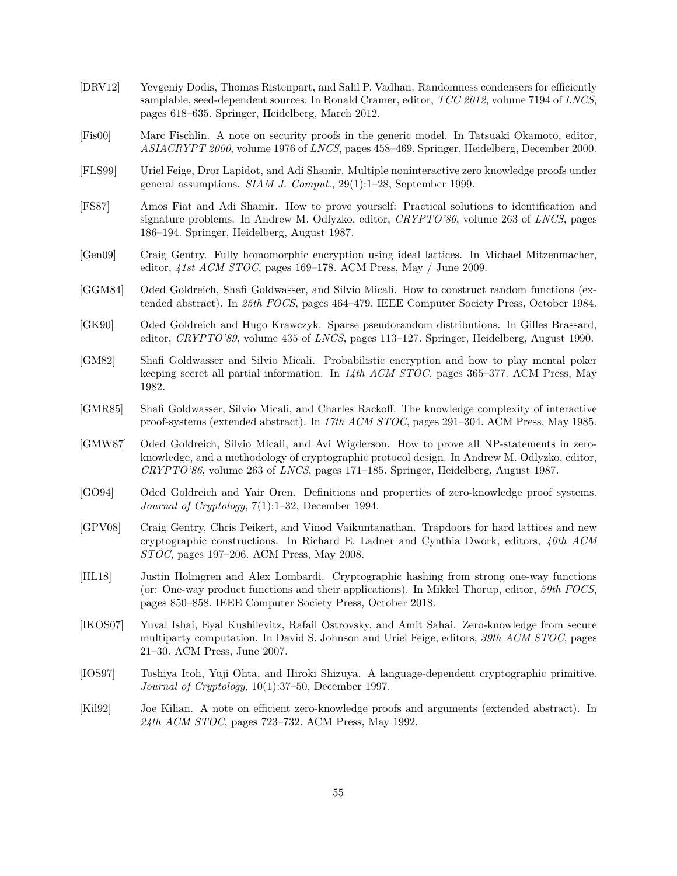- <span id="page-56-11"></span>[DRV12] Yevgeniy Dodis, Thomas Ristenpart, and Salil P. Vadhan. Randomness condensers for efficiently samplable, seed-dependent sources. In Ronald Cramer, editor, *TCC 2012*, volume 7194 of *LNCS*, pages 618–635. Springer, Heidelberg, March 2012.
- <span id="page-56-6"></span>[Fis00] Marc Fischlin. A note on security proofs in the generic model. In Tatsuaki Okamoto, editor, *ASIACRYPT 2000*, volume 1976 of *LNCS*, pages 458–469. Springer, Heidelberg, December 2000.
- <span id="page-56-8"></span>[FLS99] Uriel Feige, Dror Lapidot, and Adi Shamir. Multiple noninteractive zero knowledge proofs under general assumptions. *SIAM J. Comput.*, 29(1):1–28, September 1999.
- <span id="page-56-0"></span>[FS87] Amos Fiat and Adi Shamir. How to prove yourself: Practical solutions to identification and signature problems. In Andrew M. Odlyzko, editor, *CRYPTO'86*, volume 263 of *LNCS*, pages 186–194. Springer, Heidelberg, August 1987.
- <span id="page-56-5"></span>[Gen09] Craig Gentry. Fully homomorphic encryption using ideal lattices. In Michael Mitzenmacher, editor, *41st ACM STOC*, pages 169–178. ACM Press, May / June 2009.
- <span id="page-56-4"></span>[GGM84] Oded Goldreich, Shafi Goldwasser, and Silvio Micali. How to construct random functions (extended abstract). In *25th FOCS*, pages 464–479. IEEE Computer Society Press, October 1984.
- <span id="page-56-10"></span>[GK90] Oded Goldreich and Hugo Krawczyk. Sparse pseudorandom distributions. In Gilles Brassard, editor, *CRYPTO'89*, volume 435 of *LNCS*, pages 113–127. Springer, Heidelberg, August 1990.
- <span id="page-56-2"></span>[GM82] Shafi Goldwasser and Silvio Micali. Probabilistic encryption and how to play mental poker keeping secret all partial information. In *14th ACM STOC*, pages 365–377. ACM Press, May 1982.
- <span id="page-56-14"></span>[GMR85] Shafi Goldwasser, Silvio Micali, and Charles Rackoff. The knowledge complexity of interactive proof-systems (extended abstract). In *17th ACM STOC*, pages 291–304. ACM Press, May 1985.
- <span id="page-56-12"></span>[GMW87] Oded Goldreich, Silvio Micali, and Avi Wigderson. How to prove all NP-statements in zeroknowledge, and a methodology of cryptographic protocol design. In Andrew M. Odlyzko, editor, *CRYPTO'86*, volume 263 of *LNCS*, pages 171–185. Springer, Heidelberg, August 1987.
- <span id="page-56-9"></span>[GO94] Oded Goldreich and Yair Oren. Definitions and properties of zero-knowledge proof systems. *Journal of Cryptology*, 7(1):1–32, December 1994.
- <span id="page-56-7"></span>[GPV08] Craig Gentry, Chris Peikert, and Vinod Vaikuntanathan. Trapdoors for hard lattices and new cryptographic constructions. In Richard E. Ladner and Cynthia Dwork, editors, *40th ACM STOC*, pages 197–206. ACM Press, May 2008.
- <span id="page-56-3"></span>[HL18] Justin Holmgren and Alex Lombardi. Cryptographic hashing from strong one-way functions (or: One-way product functions and their applications). In Mikkel Thorup, editor, *59th FOCS*, pages 850–858. IEEE Computer Society Press, October 2018.
- <span id="page-56-13"></span>[IKOS07] Yuval Ishai, Eyal Kushilevitz, Rafail Ostrovsky, and Amit Sahai. Zero-knowledge from secure multiparty computation. In David S. Johnson and Uriel Feige, editors, *39th ACM STOC*, pages 21–30. ACM Press, June 2007.
- <span id="page-56-15"></span>[IOS97] Toshiya Itoh, Yuji Ohta, and Hiroki Shizuya. A language-dependent cryptographic primitive. *Journal of Cryptology*, 10(1):37–50, December 1997.
- <span id="page-56-1"></span>[Kil92] Joe Kilian. A note on efficient zero-knowledge proofs and arguments (extended abstract). In *24th ACM STOC*, pages 723–732. ACM Press, May 1992.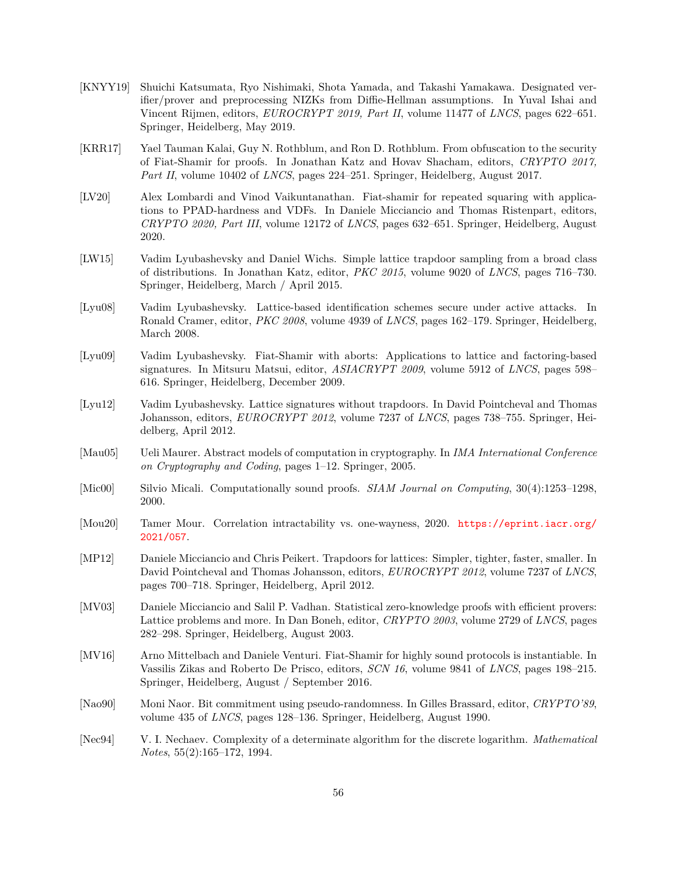- <span id="page-57-10"></span>[KNYY19] Shuichi Katsumata, Ryo Nishimaki, Shota Yamada, and Takashi Yamakawa. Designated verifier/prover and preprocessing NIZKs from Diffie-Hellman assumptions. In Yuval Ishai and Vincent Rijmen, editors, *EUROCRYPT 2019, Part II*, volume 11477 of *LNCS*, pages 622–651. Springer, Heidelberg, May 2019.
- <span id="page-57-1"></span>[KRR17] Yael Tauman Kalai, Guy N. Rothblum, and Ron D. Rothblum. From obfuscation to the security of Fiat-Shamir for proofs. In Jonathan Katz and Hovav Shacham, editors, *CRYPTO 2017, Part II*, volume 10402 of *LNCS*, pages 224–251. Springer, Heidelberg, August 2017.
- <span id="page-57-2"></span>[LV20] Alex Lombardi and Vinod Vaikuntanathan. Fiat-shamir for repeated squaring with applications to PPAD-hardness and VDFs. In Daniele Micciancio and Thomas Ristenpart, editors, *CRYPTO 2020, Part III*, volume 12172 of *LNCS*, pages 632–651. Springer, Heidelberg, August 2020.
- <span id="page-57-8"></span>[LW15] Vadim Lyubashevsky and Daniel Wichs. Simple lattice trapdoor sampling from a broad class of distributions. In Jonathan Katz, editor, *PKC 2015*, volume 9020 of *LNCS*, pages 716–730. Springer, Heidelberg, March / April 2015.
- <span id="page-57-5"></span>[Lyu08] Vadim Lyubashevsky. Lattice-based identification schemes secure under active attacks. In Ronald Cramer, editor, *PKC 2008*, volume 4939 of *LNCS*, pages 162–179. Springer, Heidelberg, March 2008.
- <span id="page-57-6"></span>[Lyu09] Vadim Lyubashevsky. Fiat-Shamir with aborts: Applications to lattice and factoring-based signatures. In Mitsuru Matsui, editor, *ASIACRYPT 2009*, volume 5912 of *LNCS*, pages 598– 616. Springer, Heidelberg, December 2009.
- <span id="page-57-3"></span>[Lyu12] Vadim Lyubashevsky. Lattice signatures without trapdoors. In David Pointcheval and Thomas Johansson, editors, *EUROCRYPT 2012*, volume 7237 of *LNCS*, pages 738–755. Springer, Heidelberg, April 2012.
- <span id="page-57-9"></span>[Mau05] Ueli Maurer. Abstract models of computation in cryptography. In *IMA International Conference on Cryptography and Coding*, pages 1–12. Springer, 2005.
- <span id="page-57-0"></span>[Mic00] Silvio Micali. Computationally sound proofs. *SIAM Journal on Computing*, 30(4):1253–1298, 2000.
- <span id="page-57-12"></span>[Mou20] Tamer Mour. Correlation intractability vs. one-wayness, 2020. [https://eprint.iacr.org/](https://eprint.iacr.org/2021/057) [2021/057](https://eprint.iacr.org/2021/057).
- <span id="page-57-7"></span>[MP12] Daniele Micciancio and Chris Peikert. Trapdoors for lattices: Simpler, tighter, faster, smaller. In David Pointcheval and Thomas Johansson, editors, *EUROCRYPT 2012*, volume 7237 of *LNCS*, pages 700–718. Springer, Heidelberg, April 2012.
- <span id="page-57-14"></span>[MV03] Daniele Micciancio and Salil P. Vadhan. Statistical zero-knowledge proofs with efficient provers: Lattice problems and more. In Dan Boneh, editor, *CRYPTO 2003*, volume 2729 of *LNCS*, pages 282–298. Springer, Heidelberg, August 2003.
- <span id="page-57-11"></span>[MV16] Arno Mittelbach and Daniele Venturi. Fiat-Shamir for highly sound protocols is instantiable. In Vassilis Zikas and Roberto De Prisco, editors, *SCN 16*, volume 9841 of *LNCS*, pages 198–215. Springer, Heidelberg, August / September 2016.
- <span id="page-57-13"></span>[Nao90] Moni Naor. Bit commitment using pseudo-randomness. In Gilles Brassard, editor, *CRYPTO'89*, volume 435 of *LNCS*, pages 128–136. Springer, Heidelberg, August 1990.
- <span id="page-57-4"></span>[Nec94] V. I. Nechaev. Complexity of a determinate algorithm for the discrete logarithm. *Mathematical Notes*, 55(2):165–172, 1994.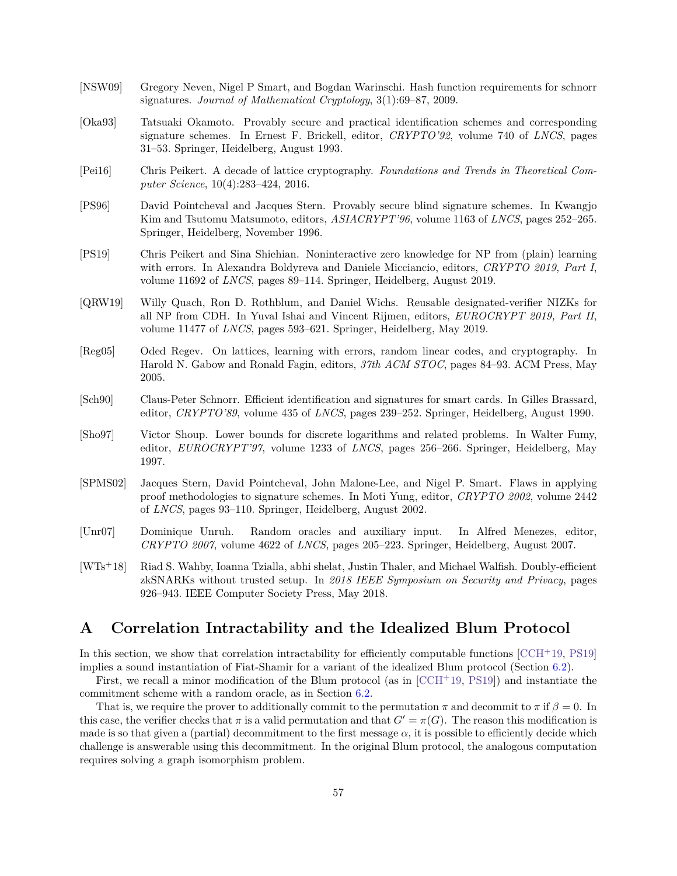- <span id="page-58-10"></span>[NSW09] Gregory Neven, Nigel P Smart, and Bogdan Warinschi. Hash function requirements for schnorr signatures. *Journal of Mathematical Cryptology*, 3(1):69–87, 2009.
- <span id="page-58-5"></span>[Oka93] Tatsuaki Okamoto. Provably secure and practical identification schemes and corresponding signature schemes. In Ernest F. Brickell, editor, *CRYPTO'92*, volume 740 of *LNCS*, pages 31–53. Springer, Heidelberg, August 1993.
- <span id="page-58-9"></span>[Pei16] Chris Peikert. A decade of lattice cryptography. *Foundations and Trends in Theoretical Computer Science*, 10(4):283–424, 2016.
- <span id="page-58-2"></span>[PS96] David Pointcheval and Jacques Stern. Provably secure blind signature schemes. In Kwangjo Kim and Tsutomu Matsumoto, editors, *ASIACRYPT'96*, volume 1163 of *LNCS*, pages 252–265. Springer, Heidelberg, November 1996.
- <span id="page-58-3"></span>[PS19] Chris Peikert and Sina Shiehian. Noninteractive zero knowledge for NP from (plain) learning with errors. In Alexandra Boldyreva and Daniele Micciancio, editors, *CRYPTO 2019, Part I*, volume 11692 of *LNCS*, pages 89–114. Springer, Heidelberg, August 2019.
- <span id="page-58-11"></span>[QRW19] Willy Quach, Ron D. Rothblum, and Daniel Wichs. Reusable designated-verifier NIZKs for all NP from CDH. In Yuval Ishai and Vincent Rijmen, editors, *EUROCRYPT 2019, Part II*, volume 11477 of *LNCS*, pages 593–621. Springer, Heidelberg, May 2019.
- <span id="page-58-12"></span>[Reg05] Oded Regev. On lattices, learning with errors, random linear codes, and cryptography. In Harold N. Gabow and Ronald Fagin, editors, *37th ACM STOC*, pages 84–93. ACM Press, May 2005.
- <span id="page-58-1"></span>[Sch90] Claus-Peter Schnorr. Efficient identification and signatures for smart cards. In Gilles Brassard, editor, *CRYPTO'89*, volume 435 of *LNCS*, pages 239–252. Springer, Heidelberg, August 1990.
- <span id="page-58-6"></span>[Sho97] Victor Shoup. Lower bounds for discrete logarithms and related problems. In Walter Fumy, editor, *EUROCRYPT'97*, volume 1233 of *LNCS*, pages 256–266. Springer, Heidelberg, May 1997.
- <span id="page-58-8"></span>[SPMS02] Jacques Stern, David Pointcheval, John Malone-Lee, and Nigel P. Smart. Flaws in applying proof methodologies to signature schemes. In Moti Yung, editor, *CRYPTO 2002*, volume 2442 of *LNCS*, pages 93–110. Springer, Heidelberg, August 2002.
- <span id="page-58-7"></span>[Unr07] Dominique Unruh. Random oracles and auxiliary input. In Alfred Menezes, editor, *CRYPTO 2007*, volume 4622 of *LNCS*, pages 205–223. Springer, Heidelberg, August 2007.
- <span id="page-58-4"></span>[WTs<sup>+</sup>18] Riad S. Wahby, Ioanna Tzialla, abhi shelat, Justin Thaler, and Michael Walfish. Doubly-efficient zkSNARKs without trusted setup. In *2018 IEEE Symposium on Security and Privacy*, pages 926–943. IEEE Computer Society Press, May 2018.

## <span id="page-58-0"></span>**A Correlation Intractability and the Idealized Blum Protocol**

In this section, we show that correlation intractability for efficiently computable functions  $[CCH+19, PS19]$  $[CCH+19, PS19]$  $[CCH+19, PS19]$ implies a sound instantiation of Fiat-Shamir for a variant of the idealized Blum protocol (Section [6.2\)](#page-47-0).

First, we recall a minor modification of the Blum protocol (as in  $[CCH<sup>+</sup>19, PS19]$  $[CCH<sup>+</sup>19, PS19]$  $[CCH<sup>+</sup>19, PS19]$ ) and instantiate the commitment scheme with a random oracle, as in Section [6.2.](#page-47-0)

That is, we require the prover to additionally commit to the permutation  $\pi$  and decommit to  $\pi$  if  $\beta = 0$ . In this case, the verifier checks that  $\pi$  is a valid permutation and that  $G' = \pi(G)$ . The reason this modification is made is so that given a (partial) decommitment to the first message  $\alpha$ , it is possible to efficiently decide which challenge is answerable using this decommitment. In the original Blum protocol, the analogous computation requires solving a graph isomorphism problem.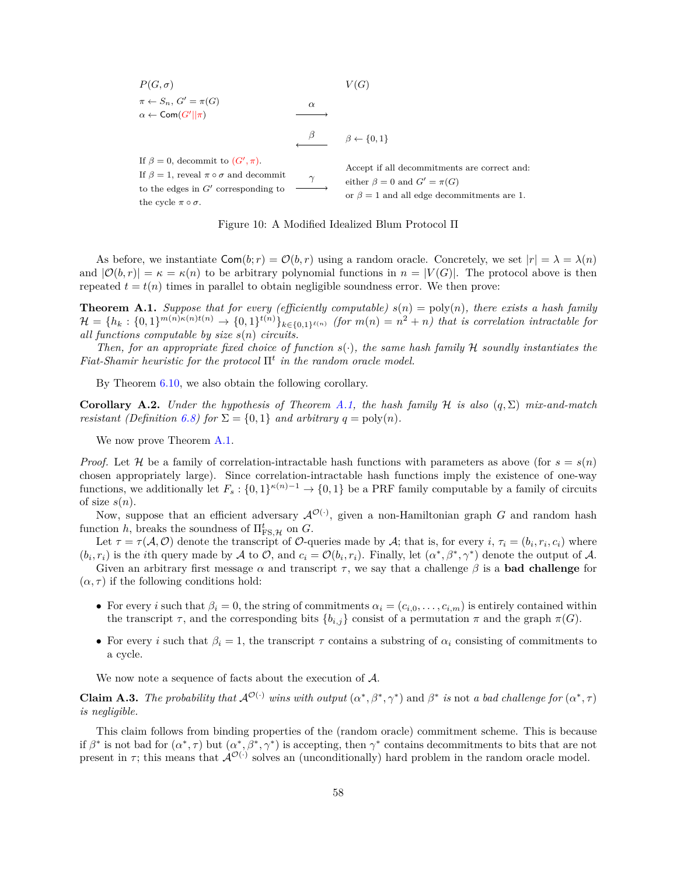$P(G, \sigma)$   $V(G)$  $\pi \leftarrow S_n, G' = \pi(G)$  $\alpha \leftarrow \mathsf{Com}(G' || \pi)$  $\alpha$  $\beta \qquad \beta \leftarrow \{0,1\}$ If  $\beta = 0$ , decommit to  $(G', \pi)$ . If  $\beta = 1$ , reveal  $\pi \circ \sigma$  and decommit to the edges in  $G'$  corresponding to the cycle  $\pi \circ \sigma$ .  $\gamma$ Accept if all decommitments are correct and: either  $\beta = 0$  and  $G' = \pi(G)$ or  $\beta = 1$  and all edge decommitments are 1.



As before, we instantiate  $\textsf{Com}(b; r) = \mathcal{O}(b, r)$  using a random oracle. Concretely, we set  $|r| = \lambda = \lambda(n)$ and  $|\mathcal{O}(b,r)| = \kappa = \kappa(n)$  to be arbitrary polynomial functions in  $n = |V(G)|$ . The protocol above is then repeated  $t = t(n)$  times in parallel to obtain negligible soundness error. We then prove:

<span id="page-59-0"></span>**Theorem A.1.** *Suppose that for every (efficiently computable)*  $s(n) = \text{poly}(n)$ *, there exists a hash family*  $\mathcal{H} = \{h_k : \{0,1\}^{m(n)\kappa(n)\tbinom{n}{m}} \to \{0,1\}^{t(n)}\}_{k\in\{0,1\}^{\ell(n)}} \text{ (for } m(n) = n^2 + n) \text{ that is correlation intractable for }$ *all functions computable by size*  $s(n)$  *circuits.* 

*Then, for an appropriate fixed choice of function*  $s(\cdot)$ *, the same hash family*  $H$  *soundly instantiates the Fiat-Shamir heuristic for the protocol* Π *in the random oracle model.*

By Theorem  $6.10$ , we also obtain the following corollary.

**Corollary A.2.** *Under the hypothesis of Theorem [A.1,](#page-59-0) the hash family*  $\mathcal{H}$  *is also*  $(q, \Sigma)$  *mix-and-match resistant (Definition [6.8\)](#page-50-1) for*  $\Sigma = \{0, 1\}$  *and arbitrary*  $q = \text{poly}(n)$ *.* 

We now prove Theorem [A.1.](#page-59-0)

*Proof.* Let *H* be a family of correlation-intractable hash functions with parameters as above (for  $s = s(n)$ ) chosen appropriately large). Since correlation-intractable hash functions imply the existence of one-way functions, we additionally let  $F_s: \{0,1\}^{\kappa(n)-1} \to \{0,1\}$  be a PRF family computable by a family of circuits of size  $s(n)$ .

Now, suppose that an efficient adversary  $\mathcal{A}^{\mathcal{O}(\cdot)}$ , given a non-Hamiltonian graph G and random hash function *h*, breaks the soundness of  $\Pi_{\text{FS},\mathcal{H}}^t$  on  $G$ .

Let  $\tau = \tau(A, O)$  denote the transcript of O-queries made by A; that is, for every i,  $\tau_i = (b_i, r_i, c_i)$  where  $(b_i, r_i)$  is the *i*th query made by A to O, and  $c_i = O(b_i, r_i)$ . Finally, let  $(\alpha^*, \beta^*, \gamma^*)$  denote the output of A.

Given an arbitrary first message  $\alpha$  and transcript  $\tau$ , we say that a challenge  $\beta$  is a **bad challenge** for  $(\alpha, \tau)$  if the following conditions hold:

- For every *i* such that  $\beta_i = 0$ , the string of commitments  $\alpha_i = (c_{i,0}, \ldots, c_{i,m})$  is entirely contained within the transcript  $\tau$ , and the corresponding bits  ${b_{i,j}}$  consist of a permutation  $\pi$  and the graph  $\pi(G)$ .
- For every *i* such that  $\beta_i = 1$ , the transcript  $\tau$  contains a substring of  $\alpha_i$  consisting of commitments to a cycle.

We now note a sequence of facts about the execution of  $A$ .

**Claim A.3.** The probability that  $\mathcal{A}^{\mathcal{O}(\cdot)}$  wins with output  $(\alpha^*, \beta^*, \gamma^*)$  and  $\beta^*$  is not *a* bad challenge for  $(\alpha^*, \tau)$ *is negligible.*

This claim follows from binding properties of the (random oracle) commitment scheme. This is because if  $\beta^*$  is not bad for  $(\alpha^*, \tau)$  but  $(\alpha^*, \beta^*, \gamma^*)$  is accepting, then  $\gamma^*$  contains decommitments to bits that are not present in  $\tau$ ; this means that  $\mathcal{A}^{\mathcal{O}(\cdot)}$  solves an (unconditionally) hard problem in the random oracle model.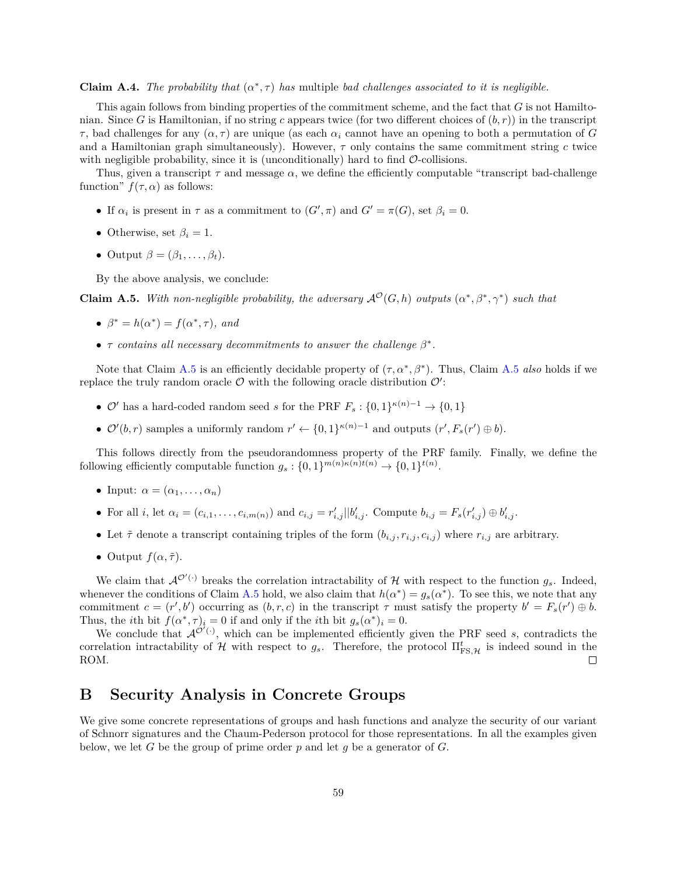**Claim A.4.** *The probability that*  $(\alpha^*, \tau)$  *has* multiple *bad challenges associated to it is negligible.* 

This again follows from binding properties of the commitment scheme, and the fact that  $G$  is not Hamiltonian. Since G is Hamiltonian, if no string c appears twice (for two different choices of  $(b, r)$ ) in the transcript  $\tau$ , bad challenges for any  $(\alpha, \tau)$  are unique (as each  $\alpha_i$  cannot have an opening to both a permutation of G and a Hamiltonian graph simultaneously). However,  $\tau$  only contains the same commitment string c twice with negligible probability, since it is (unconditionally) hard to find  $\mathcal{O}$ -collisions.

Thus, given a transcript  $\tau$  and message  $\alpha$ , we define the efficiently computable "transcript bad-challenge" function"  $f(\tau, \alpha)$  as follows:

- If  $\alpha_i$  is present in  $\tau$  as a commitment to  $(G', \pi)$  and  $G' = \pi(G)$ , set  $\beta_i = 0$ .
- Otherwise, set  $\beta_i = 1$ .
- Output  $\beta = (\beta_1, \ldots, \beta_t)$ .

By the above analysis, we conclude:

<span id="page-60-1"></span>**Claim A.5.** With non-negligible probability, the adversary  $\mathcal{A}^{\mathcal{O}}(G,h)$  outputs  $(\alpha^*,\beta^*,\gamma^*)$  such that

- $\beta^* = h(\alpha^*) = f(\alpha^*, \tau)$ , and
- $\tau$  contains all necessary decommitments to answer the challenge  $\beta^*$ .

Note that Claim [A.5](#page-60-1) is an efficiently decidable property of  $(\tau, \alpha^*, \beta^*)$ . Thus, Claim A.5 *also* holds if we replace the truly random oracle  $\mathcal O$  with the following oracle distribution  $\mathcal O'$ :

- $\mathcal{O}'$  has a hard-coded random seed *s* for the PRF  $F_s: \{0,1\}^{\kappa(n)-1} \to \{0,1\}$
- $\mathcal{O}'(b,r)$  samples a uniformly random  $r' \leftarrow \{0,1\}^{\kappa(n)-1}$  and outputs  $(r', F_s(r') \oplus b)$ .

This follows directly from the pseudorandomness property of the PRF family. Finally, we define the following efficiently computable function  $g_s: \{0,1\}^{m(n)\kappa(n)t(n)} \to \{0,1\}^{t(n)}$ .

- Input:  $\alpha = (\alpha_1, \ldots, \alpha_n)$
- For all *i*, let  $\alpha_i = (c_{i,1}, \ldots, c_{i,m(n)})$  and  $c_{i,j} = r'_{i,j} || b'_{i,j}$ . Compute  $b_{i,j} = F_s(r'_{i,j}) \oplus b'_{i,j}$ .
- Let  $\tilde{\tau}$  denote a transcript containing triples of the form  $(b_{i,j}, r_{i,j}, c_{i,j})$  where  $r_{i,j}$  are arbitrary.
- Output  $f(\alpha, \tilde{\tau})$ .

We claim that  $\mathcal{A}^{\mathcal{O}'(\cdot)}$  breaks the correlation intractability of H with respect to the function  $g_s$ . Indeed, whenever the conditions of Claim [A.5](#page-60-1) hold, we also claim that  $h(\alpha^*) = g_s(\alpha^*)$ . To see this, we note that any commitment  $c = (r', b')$  occurring as  $(b, r, c)$  in the transcript  $\tau$  must satisfy the property  $b' = F_s(r') \oplus b$ . Thus, the *i*th bit  $f(\alpha^*, \tau)_i = 0$  if and only if the *i*th bit  $g_s(\alpha^*)_i = 0$ .

We conclude that  $\mathcal{A}^{\mathcal{O}'(\cdot)}$ , which can be implemented efficiently given the PRF seed s, contradicts the correlation intractability of  $\mathcal H$  with respect to  $g_s$ . Therefore, the protocol  $\Pi_{\text{FS},\mathcal{H}}^t$  is indeed sound in the ROM.  $\Box$ 

## <span id="page-60-0"></span>**B Security Analysis in Concrete Groups**

We give some concrete representations of groups and hash functions and analyze the security of our variant of Schnorr signatures and the Chaum-Pederson protocol for those representations. In all the examples given below, we let G be the group of prime order  $p$  and let  $q$  be a generator of G.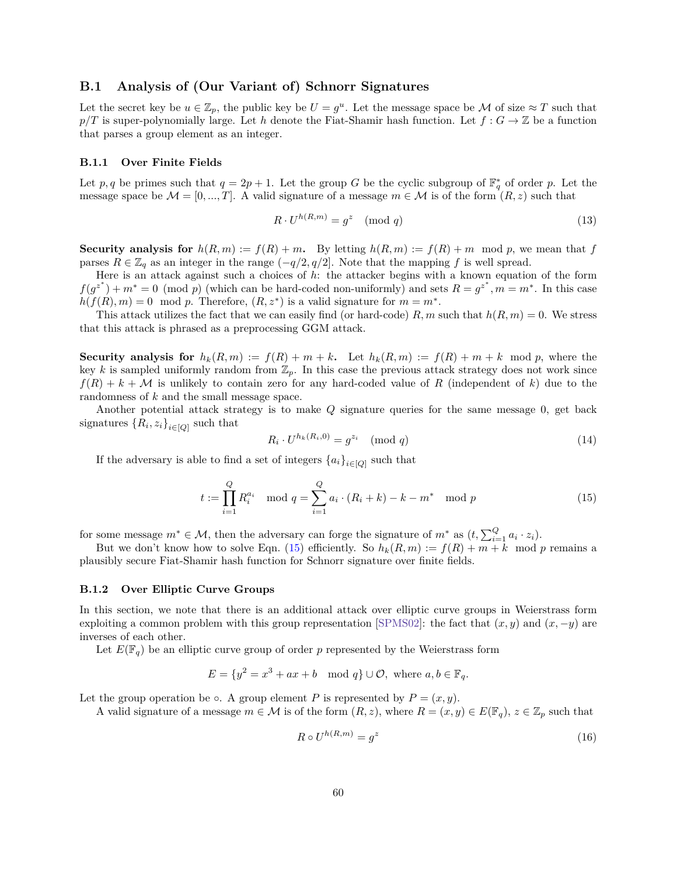### <span id="page-61-0"></span>**B.1 Analysis of (Our Variant of) Schnorr Signatures**

Let the secret key be  $u \in \mathbb{Z}_p$ , the public key be  $U = g^u$ . Let the message space be M of size  $\approx T$  such that  $p/T$  is super-polynomially large. Let *h* denote the Fiat-Shamir hash function. Let  $f: G \to \mathbb{Z}$  be a function that parses a group element as an integer.

#### **B.1.1 Over Finite Fields**

Let p, q be primes such that  $q = 2p + 1$ . Let the group G be the cyclic subgroup of  $\mathbb{F}_q^*$  of order p. Let the message space be  $M = [0, ..., T]$ . A valid signature of a message  $m \in \mathcal{M}$  is of the form  $(R, z)$  such that

$$
R \cdot U^{h(R,m)} = g^z \pmod{q} \tag{13}
$$

**Security analysis for**  $h(R,m) := f(R) + m$ . By letting  $h(R,m) := f(R) + m \mod p$ , we mean that f parses  $R \in \mathbb{Z}_q$  as an integer in the range  $(-q/2, q/2]$ . Note that the mapping f is well spread.

Here is an attack against such a choices of *h*: the attacker begins with a known equation of the form  $f(g^{z^*}) + m^* = 0 \pmod{p}$  (which can be hard-coded non-uniformly) and sets  $R = g^{z^*}, m = m^*$ . In this case  $h(f(R), m) = 0 \mod p$ . Therefore,  $(R, z^*)$  is a valid signature for  $m = m^*$ .

This attack utilizes the fact that we can easily find (or hard-code)  $R, m$  such that  $h(R, m) = 0$ . We stress that this attack is phrased as a preprocessing GGM attack.

**Security analysis for**  $h_k(R,m) := f(R) + m + k$ . Let  $h_k(R,m) := f(R) + m + k$  mod p, where the key k is sampled uniformly random from  $\mathbb{Z}_p$ . In this case the previous attack strategy does not work since  $f(R) + k + M$  is unlikely to contain zero for any hard-coded value of R (independent of k) due to the randomness of  $k$  and the small message space.

Another potential attack strategy is to make  $Q$  signature queries for the same message  $0$ , get back signatures  $\{R_i, z_i\}_{i \in [Q]}$  such that

<span id="page-61-1"></span>
$$
R_i \cdot U^{h_k(R_i,0)} = g^{z_i} \pmod{q}
$$
\n<sup>(14)</sup>

If the adversary is able to find a set of integers  ${a_i}_{i \in [Q]}$  such that

$$
t := \prod_{i=1}^{Q} R_i^{a_i} \mod q = \sum_{i=1}^{Q} a_i \cdot (R_i + k) - k - m^* \mod p \tag{15}
$$

for some message  $m^* \in \mathcal{M}$ , then the adversary can forge the signature of  $m^*$  as  $(t, \sum_{i=1}^Q a_i \cdot z_i)$ .

But we don't know how to solve Eqn. [\(15\)](#page-61-1) efficiently. So  $h_k(R,m) := f(R) + m + k \mod p$  remains a plausibly secure Fiat-Shamir hash function for Schnorr signature over finite fields.

#### **B.1.2 Over Elliptic Curve Groups**

In this section, we note that there is an additional attack over elliptic curve groups in Weierstrass form exploiting a common problem with this group representation [\[SPMS02\]](#page-58-8): the fact that  $(x, y)$  and  $(x, -y)$  are inverses of each other.

Let  $E(\mathbb{F}_q)$  be an elliptic curve group of order p represented by the Weierstrass form

$$
E = \{y^2 = x^3 + ax + b \mod q\} \cup \mathcal{O}, \text{ where } a, b \in \mathbb{F}_q.
$$

Let the group operation be ∘. A group element P is represented by  $P = (x, y)$ .

A valid signature of a message  $m \in \mathcal{M}$  is of the form  $(R, z)$ , where  $R = (x, y) \in E(\mathbb{F}_q)$ ,  $z \in \mathbb{Z}_p$  such that

$$
R \circ U^{h(R,m)} = g^z \tag{16}
$$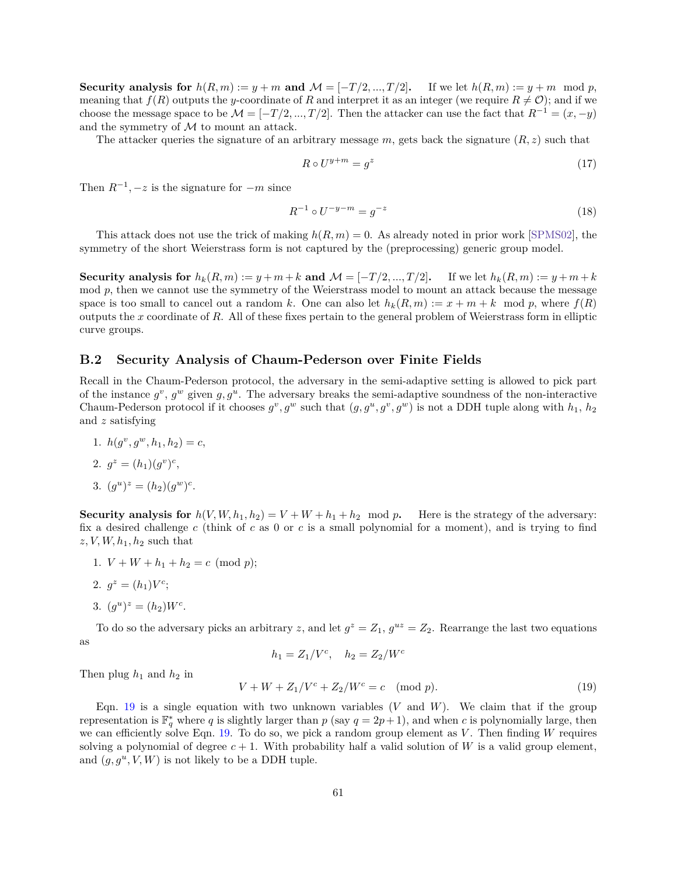**Security analysis for**  $h(R, m) := y + m$  and  $M = [-T/2, ..., T/2]$ . If we let  $h(R, m) := y + m \mod p$ , meaning that  $f(R)$  outputs the y-coordinate of R and interpret it as an integer (we require  $R \neq \mathcal{O}$ ); and if we choose the message space to be  $\mathcal{M} = [-T/2, ..., T/2]$ . Then the attacker can use the fact that  $R^{-1} = (x, -y)$ and the symmetry of  $M$  to mount an attack.

The attacker queries the signature of an arbitrary message  $m$ , gets back the signature  $(R, z)$  such that

$$
R \circ U^{y+m} = g^z \tag{17}
$$

Then  $R^{-1}$ ,  $-z$  is the signature for  $-m$  since

$$
R^{-1} \circ U^{-y-m} = g^{-z} \tag{18}
$$

This attack does not use the trick of making  $h(R, m) = 0$ . As already noted in prior work [\[SPMS02\]](#page-58-8), the symmetry of the short Weierstrass form is not captured by the (preprocessing) generic group model.

**Security analysis for**  $h_k(R,m) := y + m + k$  and  $\mathcal{M} = [-T/2, ..., T/2]$ . If we let  $h_k(R,m) := y + m + k$  $m$  mod  $p$ , then we cannot use the symmetry of the Weierstrass model to mount an attack because the message space is too small to cancel out a random k. One can also let  $h_k(R,m) := x + m + k \mod p$ , where  $f(R)$ outputs the  $x$  coordinate of  $R$ . All of these fixes pertain to the general problem of Weierstrass form in elliptic curve groups.

## <span id="page-62-0"></span>**B.2 Security Analysis of Chaum-Pederson over Finite Fields**

Recall in the Chaum-Pederson protocol, the adversary in the semi-adaptive setting is allowed to pick part of the instance  $g^v$ ,  $g^w$  given  $g, g^u$ . The adversary breaks the semi-adaptive soundness of the non-interactive Chaum-Pederson protocol if it chooses  $g^v, g^w$  such that  $(g, g^u, g^v, g^w)$  is not a DDH tuple along with  $h_1, h_2$ and  $z$  satisfying

1.  $h(g^v, g^w, h_1, h_2) = c$ , 2.  $g^z = (h_1)(g^v)^c$ , 3.  $(g^u)^z = (h_2)(g^w)^c$ .

**Security analysis for**  $h(V, W, h_1, h_2) = V + W + h_1 + h_2 \mod p$ . Here is the strategy of the adversary: fix a desired challenge  $c$  (think of  $c$  as 0 or  $c$  is a small polynomial for a moment), and is trying to find  $z, V, W, h<sub>1</sub>, h<sub>2</sub>$  such that

- 1.  $V + W + h_1 + h_2 = c \pmod{p};$
- 2.  $g^z = (h_1)V^c;$
- 3.  $(g^u)^z = (h_2)W^c$ .

To do so the adversary picks an arbitrary z, and let  $g^z = Z_1$ ,  $g^{uz} = Z_2$ . Rearrange the last two equations as

$$
h_1 = Z_1/V^c, \quad h_2 = Z_2/W^c
$$

Then plug *ℎ*<sup>1</sup> and *ℎ*<sup>2</sup> in

<span id="page-62-1"></span>
$$
V + W + Z_1/V^c + Z_2/W^c = c \pmod{p}.
$$
 (19)

Eqn. [19](#page-62-1) is a single equation with two unknown variables  $(V \text{ and } W)$ . We claim that if the group representation is  $\mathbb{F}_q^*$  where q is slightly larger than p (say  $q=2p+1$ ), and when c is polynomially large, then we can efficiently solve Eqn. [19.](#page-62-1) To do so, we pick a random group element as  $V$ . Then finding  $W$  requires solving a polynomial of degree  $c + 1$ . With probability half a valid solution of W is a valid group element, and  $(g, g^u, V, W)$  is not likely to be a DDH tuple.